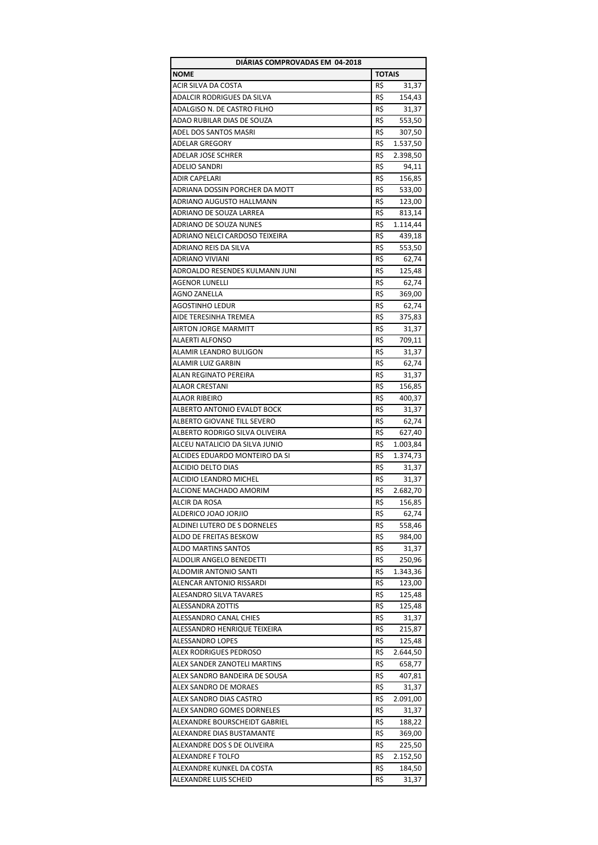| DIÁRIAS COMPROVADAS EM 04-2018 |               |          |  |
|--------------------------------|---------------|----------|--|
| <b>NOME</b>                    | <b>TOTAIS</b> |          |  |
| ACIR SILVA DA COSTA            | R\$           | 31,37    |  |
| ADALCIR RODRIGUES DA SILVA     | R\$           | 154,43   |  |
| ADALGISO N. DE CASTRO FILHO    | R\$           | 31,37    |  |
| ADAO RUBILAR DIAS DE SOUZA     | R\$           | 553,50   |  |
| ADEL DOS SANTOS MASRI          | R\$           | 307,50   |  |
| <b>ADELAR GREGORY</b>          | R\$           | 1.537,50 |  |
| ADELAR JOSE SCHRER             | R\$           | 2.398,50 |  |
| ADELIO SANDRI                  | R\$           | 94,11    |  |
| ADIR CAPELARI                  | R\$           | 156,85   |  |
| ADRIANA DOSSIN PORCHER DA MOTT | R\$           | 533,00   |  |
| ADRIANO AUGUSTO HALLMANN       | R\$           | 123,00   |  |
| ADRIANO DE SOUZA LARREA        | R\$           | 813,14   |  |
| ADRIANO DE SOUZA NUNES         | R\$           | 1.114,44 |  |
|                                | R\$           |          |  |
| ADRIANO NELCI CARDOSO TEIXEIRA |               | 439,18   |  |
| ADRIANO REIS DA SILVA          | R\$           | 553,50   |  |
| <b>ADRIANO VIVIANI</b>         | R\$           | 62,74    |  |
| ADROALDO RESENDES KULMANN JUNI | R\$           | 125,48   |  |
| <b>AGENOR LUNELLI</b>          | R\$           | 62,74    |  |
| <b>AGNO ZANELLA</b>            | R\$           | 369,00   |  |
| <b>AGOSTINHO LEDUR</b>         | R\$           | 62,74    |  |
| AIDE TERESINHA TREMEA          | R\$           | 375,83   |  |
| <b>AIRTON JORGE MARMITT</b>    | R\$           | 31,37    |  |
| <b>ALAERTI ALFONSO</b>         | R\$           | 709,11   |  |
| ALAMIR LEANDRO BULIGON         | R\$           | 31,37    |  |
| ALAMIR LUIZ GARBIN             | R\$           | 62,74    |  |
| ALAN REGINATO PEREIRA          | R\$           | 31,37    |  |
| ALAOR CRESTANI                 | R\$           | 156,85   |  |
| ALAOR RIBEIRO                  | R\$           | 400,37   |  |
| ALBERTO ANTONIO EVALDT BOCK    | R\$           | 31,37    |  |
| ALBERTO GIOVANE TILL SEVERO    | R\$           | 62,74    |  |
| ALBERTO RODRIGO SILVA OLIVEIRA | R\$           | 627,40   |  |
| ALCEU NATALICIO DA SILVA JUNIO | R\$           | 1.003,84 |  |
| ALCIDES EDUARDO MONTEIRO DA SI | R\$           | 1.374,73 |  |
| <b>ALCIDIO DELTO DIAS</b>      | R\$           | 31,37    |  |
| ALCIDIO LEANDRO MICHEL         | R\$           | 31,37    |  |
| ALCIONE MACHADO AMORIM         | R\$           | 2.682,70 |  |
| ALCIR DA ROSA                  | R\$           | 156,85   |  |
| ALDERICO JOAO JORJIO           | R\$           | 62,74    |  |
| ALDINEI LUTERO DE S DORNELES   | R\$           | 558,46   |  |
| ALDO DE FREITAS BESKOW         | R\$           | 984,00   |  |
| ALDO MARTINS SANTOS            | R\$           | 31,37    |  |
| ALDOLIR ANGELO BENEDETTI       | R\$           | 250,96   |  |
| ALDOMIR ANTONIO SANTI          | R\$           | 1.343,36 |  |
|                                |               |          |  |
| ALENCAR ANTONIO RISSARDI       | R\$           | 123,00   |  |
| ALESANDRO SILVA TAVARES        | R\$           | 125,48   |  |
| ALESSANDRA ZOTTIS              | R\$           | 125,48   |  |
| ALESSANDRO CANAL CHIES         | R\$           | 31,37    |  |
| ALESSANDRO HENRIQUE TEIXEIRA   | R\$           | 215,87   |  |
| <b>ALESSANDRO LOPES</b>        | R\$           | 125,48   |  |
| ALEX RODRIGUES PEDROSO         | R\$           | 2.644,50 |  |
| ALEX SANDER ZANOTELI MARTINS   | R\$           | 658,77   |  |
| ALEX SANDRO BANDEIRA DE SOUSA  | R\$           | 407,81   |  |
| ALEX SANDRO DE MORAES          | R\$           | 31,37    |  |
| ALEX SANDRO DIAS CASTRO        | R\$           | 2.091,00 |  |
| ALEX SANDRO GOMES DORNELES     | R\$           | 31,37    |  |
| ALEXANDRE BOURSCHEIDT GABRIEL  | R\$           | 188,22   |  |
| ALEXANDRE DIAS BUSTAMANTE      | R\$           | 369,00   |  |
| ALEXANDRE DOS S DE OLIVEIRA    | R\$           | 225,50   |  |
| ALEXANDRE F TOLFO              | R\$           | 2.152,50 |  |
| ALEXANDRE KUNKEL DA COSTA      | R\$           | 184,50   |  |
| ALEXANDRE LUIS SCHEID          | R\$           | 31,37    |  |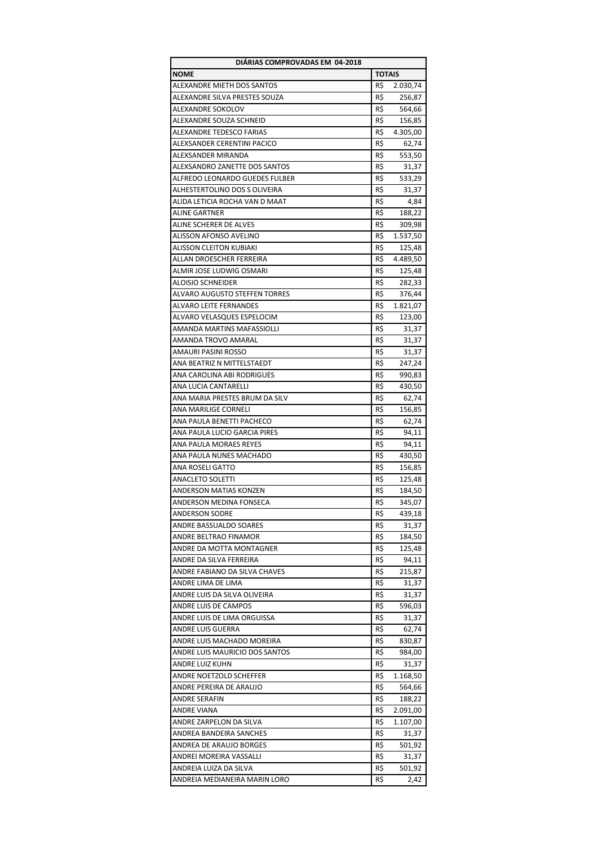| DIÁRIAS COMPROVADAS EM 04-2018       |               |          |
|--------------------------------------|---------------|----------|
| <b>NOME</b>                          | <b>TOTAIS</b> |          |
| ALEXANDRE MIETH DOS SANTOS           | R\$           | 2.030,74 |
| ALEXANDRE SILVA PRESTES SOUZA        | R\$           | 256,87   |
| ALEXANDRE SOKOLOV                    | R\$           | 564,66   |
| ALEXANDRE SOUZA SCHNEID              | R\$           | 156,85   |
| ALEXANDRE TEDESCO FARIAS             | R\$           | 4.305,00 |
| ALEXSANDER CERENTINI PACICO          | R\$           | 62,74    |
| ALEXSANDER MIRANDA                   | R\$           | 553,50   |
| ALEXSANDRO ZANETTE DOS SANTOS        | R\$           | 31,37    |
| ALFREDO LEONARDO GUEDES FULBER       | R\$           | 533,29   |
| ALHESTERTOLINO DOS S OLIVEIRA        | R\$           | 31,37    |
| ALIDA LETICIA ROCHA VAN D MAAT       | R\$           | 4,84     |
| <b>ALINE GARTNER</b>                 | R\$           | 188,22   |
| ALINE SCHERER DE ALVES               | R\$           | 309,98   |
| ALISSON AFONSO AVELINO               | R\$           | 1.537,50 |
| <b>ALISSON CLEITON KUBIAKI</b>       | R\$           | 125,48   |
| ALLAN DROESCHER FERREIRA             | R\$           | 4.489,50 |
| ALMIR JOSE LUDWIG OSMARI             | R\$           | 125,48   |
| <b>ALOISIO SCHNEIDER</b>             | R\$           | 282,33   |
| <b>ALVARO AUGUSTO STEFFEN TORRES</b> | R\$           | 376,44   |
| <b>ALVARO LEITE FERNANDES</b>        | R\$           | 1.821,07 |
| ALVARO VELASQUES ESPELOCIM           | R\$           | 123,00   |
| <b>AMANDA MARTINS MAFASSIOLLI</b>    |               |          |
| AMANDA TROVO AMARAL                  | R\$           | 31,37    |
|                                      | R\$           | 31,37    |
| AMAURI PASINI ROSSO                  | R\$           | 31,37    |
| ANA BEATRIZ N MITTELSTAEDT           | R\$           | 247,24   |
| ANA CAROLINA ABI RODRIGUES           | R\$           | 990,83   |
| ANA LUCIA CANTARELLI                 | R\$           | 430,50   |
| ANA MARIA PRESTES BRUM DA SILV       | R\$           | 62,74    |
| ANA MARILIGE CORNELI                 | R\$           | 156,85   |
| ANA PAULA BENETTI PACHECO            | R\$           | 62,74    |
| ANA PAULA LUCIO GARCIA PIRES         | R\$           | 94,11    |
| ANA PAULA MORAES REYES               | R\$           | 94,11    |
| ANA PAULA NUNES MACHADO              | R\$           | 430,50   |
| ANA ROSELI GATTO                     | R\$           | 156,85   |
| <b>ANACLETO SOLETTI</b>              | R\$           | 125,48   |
| ANDERSON MATIAS KONZEN               | R\$           | 184,50   |
| ANDERSON MEDINA FONSECA              | R\$           | 345,07   |
| <b>ANDERSON SODRE</b>                | R\$           | 439,18   |
| ANDRE BASSUALDO SOARES               | R\$           | 31,37    |
| ANDRE BELTRAO FINAMOR                | R\$           | 184,50   |
| ANDRE DA MOTTA MONTAGNER             | R\$           | 125,48   |
| ANDRE DA SILVA FERREIRA              | R\$           | 94,11    |
| ANDRE FABIANO DA SILVA CHAVES        | R\$           | 215,87   |
| ANDRE LIMA DE LIMA                   | R\$           | 31,37    |
| ANDRE LUIS DA SILVA OLIVEIRA         | R\$           | 31,37    |
| ANDRE LUIS DE CAMPOS                 | R\$           | 596,03   |
| ANDRE LUIS DE LIMA ORGUISSA          | R\$           | 31,37    |
| ANDRE LUIS GUERRA                    | R\$           | 62,74    |
| ANDRE LUIS MACHADO MOREIRA           | R\$           | 830,87   |
| ANDRE LUIS MAURICIO DOS SANTOS       | R\$           | 984,00   |
| ANDRE LUIZ KUHN                      | R\$           | 31,37    |
| ANDRE NOETZOLD SCHEFFER              | R\$           | 1.168,50 |
| ANDRE PEREIRA DE ARAUJO              | R\$           | 564,66   |
| ANDRE SERAFIN                        | R\$           | 188,22   |
| ANDRE VIANA                          | R\$           | 2.091,00 |
| ANDRE ZARPELON DA SILVA              | R\$           | 1.107,00 |
| ANDREA BANDEIRA SANCHES              | R\$           | 31,37    |
| ANDREA DE ARAUJO BORGES              | R\$           | 501,92   |
| ANDREI MOREIRA VASSALLI              | R\$           | 31,37    |
| ANDREIA LUIZA DA SILVA               | R\$           | 501,92   |
| ANDREIA MEDIANEIRA MARIN LORO        | R\$           | 2,42     |
|                                      |               |          |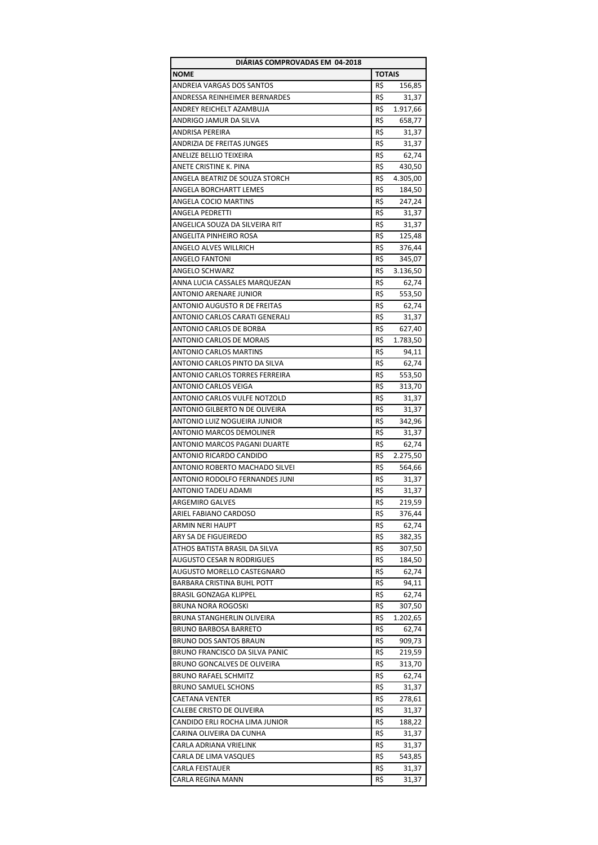| DIÁRIAS COMPROVADAS EM 04-2018        |               |          |  |  |
|---------------------------------------|---------------|----------|--|--|
| <b>NOME</b>                           | <b>TOTAIS</b> |          |  |  |
| ANDREIA VARGAS DOS SANTOS             | R\$           | 156,85   |  |  |
| ANDRESSA REINHEIMER BERNARDES         | R\$           | 31,37    |  |  |
| ANDREY REICHELT AZAMBUJA              | R\$           | 1.917,66 |  |  |
| ANDRIGO JAMUR DA SILVA                | R\$           | 658,77   |  |  |
| ANDRISA PEREIRA                       | R\$           | 31,37    |  |  |
| ANDRIZIA DE FREITAS JUNGES            | R\$           | 31,37    |  |  |
| ANELIZE BELLIO TEIXEIRA               | R\$           | 62,74    |  |  |
|                                       |               |          |  |  |
| ANETE CRISTINE K. PINA                | R\$           | 430,50   |  |  |
| ANGELA BEATRIZ DE SOUZA STORCH        | R\$           | 4.305,00 |  |  |
| ANGELA BORCHARTT LEMES                | R\$           | 184,50   |  |  |
| ANGELA COCIO MARTINS                  | R\$           | 247,24   |  |  |
| ANGELA PEDRETTI                       | R\$           | 31,37    |  |  |
| ANGELICA SOUZA DA SILVEIRA RIT        | R\$           | 31,37    |  |  |
| ANGELITA PINHEIRO ROSA                | R\$           | 125,48   |  |  |
| ANGELO ALVES WILLRICH                 | R\$           | 376,44   |  |  |
| ANGELO FANTONI                        | R\$           | 345,07   |  |  |
| ANGELO SCHWARZ                        | R\$           | 3.136,50 |  |  |
| ANNA LUCIA CASSALES MARQUEZAN         | R\$           | 62,74    |  |  |
| ANTONIO ARENARE JUNIOR                | R\$           | 553,50   |  |  |
| ANTONIO AUGUSTO R DE FREITAS          | R\$           | 62,74    |  |  |
| ANTONIO CARLOS CARATI GENERALI        | R\$           | 31,37    |  |  |
| ANTONIO CARLOS DE BORBA               | R\$           | 627,40   |  |  |
| ANTONIO CARLOS DE MORAIS              | R\$           |          |  |  |
|                                       |               | 1.783,50 |  |  |
| <b>ANTONIO CARLOS MARTINS</b>         | R\$           | 94,11    |  |  |
| ANTONIO CARLOS PINTO DA SILVA         | R\$           | 62,74    |  |  |
| ANTONIO CARLOS TORRES FERREIRA        | R\$           | 553,50   |  |  |
| ANTONIO CARLOS VEIGA                  | R\$           | 313,70   |  |  |
| ANTONIO CARLOS VULFE NOTZOLD          | R\$           | 31,37    |  |  |
| ANTONIO GILBERTO N DE OLIVEIRA        | R\$           | 31,37    |  |  |
| ANTONIO LUIZ NOGUEIRA JUNIOR          | R\$           | 342,96   |  |  |
| <b>ANTONIO MARCOS DEMOLINER</b>       | R\$           | 31,37    |  |  |
| ANTONIO MARCOS PAGANI DUARTE          | R\$           | 62,74    |  |  |
| ANTONIO RICARDO CANDIDO               | R\$           | 2.275,50 |  |  |
| ANTONIO ROBERTO MACHADO SILVEI        | R\$           | 564,66   |  |  |
| <b>ANTONIO RODOLFO FERNANDES JUNI</b> | R\$           | 31,37    |  |  |
| ANTONIO TADEU ADAMI                   | R\$           | 31,37    |  |  |
| <b>ARGEMIRO GALVES</b>                | R\$           | 219,59   |  |  |
|                                       |               |          |  |  |
| ARIEL FABIANO CARDOSO                 | R\$           | 376,44   |  |  |
| ARMIN NERI HAUPT                      | R\$           | 62,74    |  |  |
| ARY SA DE FIGUEIREDO                  | R\$           | 382,35   |  |  |
| ATHOS BATISTA BRASIL DA SILVA         | R\$           | 307,50   |  |  |
| AUGUSTO CESAR N RODRIGUES             | R\$           | 184,50   |  |  |
| AUGUSTO MORELLO CASTEGNARO            | R\$           | 62,74    |  |  |
| BARBARA CRISTINA BUHL POTT            | R\$           | 94,11    |  |  |
| BRASIL GONZAGA KLIPPEL                | R\$           | 62,74    |  |  |
| <b>BRUNA NORA ROGOSKI</b>             | R\$           | 307,50   |  |  |
| BRUNA STANGHERLIN OLIVEIRA            | R\$           | 1.202,65 |  |  |
| <b>BRUNO BARBOSA BARRETO</b>          | R\$           | 62,74    |  |  |
| BRUNO DOS SANTOS BRAUN                | R\$           | 909,73   |  |  |
| BRUNO FRANCISCO DA SILVA PANIC        | R\$           | 219,59   |  |  |
| BRUNO GONCALVES DE OLIVEIRA           | R\$           | 313,70   |  |  |
| <b>BRUNO RAFAEL SCHMITZ</b>           | R\$           | 62,74    |  |  |
|                                       |               |          |  |  |
| <b>BRUNO SAMUEL SCHONS</b>            | R\$           | 31,37    |  |  |
| <b>CAETANA VENTER</b>                 | R\$           | 278,61   |  |  |
| CALEBE CRISTO DE OLIVEIRA             | R\$           | 31,37    |  |  |
| CANDIDO ERLI ROCHA LIMA JUNIOR        | R\$           | 188,22   |  |  |
| CARINA OLIVEIRA DA CUNHA              | R\$           | 31,37    |  |  |
| CARLA ADRIANA VRIELINK                | R\$           | 31,37    |  |  |
| CARLA DE LIMA VASQUES                 | R\$           | 543,85   |  |  |
| CARLA FEISTAUER                       | R\$           | 31,37    |  |  |
| CARLA REGINA MANN                     | R\$           | 31,37    |  |  |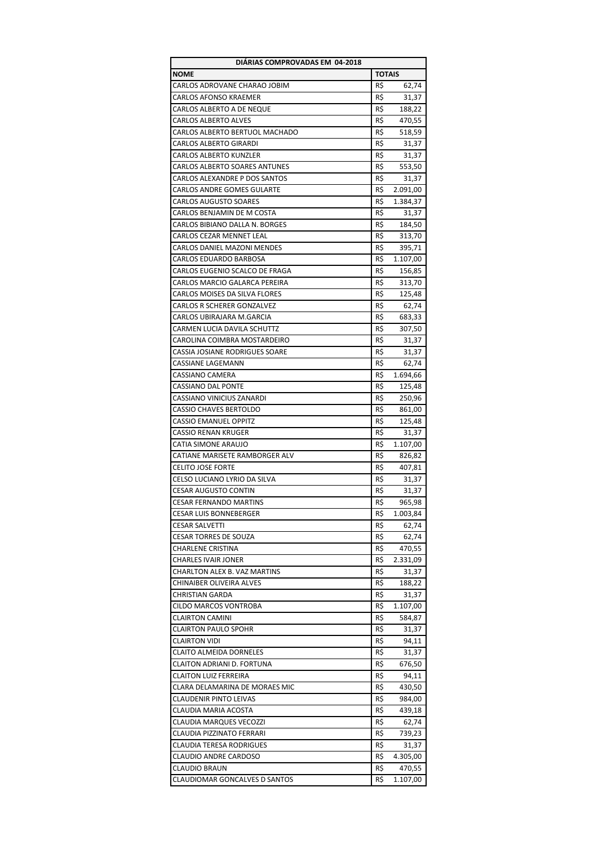| DIARIAS COMPROVADAS EM 04-2018    |               |          |  |
|-----------------------------------|---------------|----------|--|
| <b>NOME</b>                       | <b>TOTAIS</b> |          |  |
| CARLOS ADROVANE CHARAO JOBIM      | R\$           | 62,74    |  |
| <b>CARLOS AFONSO KRAEMER</b>      | R\$           | 31,37    |  |
| <b>CARLOS ALBERTO A DE NEQUE</b>  | R\$           | 188,22   |  |
| <b>CARLOS ALBERTO ALVES</b>       | R\$           | 470,55   |  |
| CARLOS ALBERTO BERTUOL MACHADO    | R\$           | 518,59   |  |
| <b>CARLOS ALBERTO GIRARDI</b>     | R\$           | 31,37    |  |
| <b>CARLOS ALBERTO KUNZLER</b>     | R\$           | 31,37    |  |
| CARLOS ALBERTO SOARES ANTUNES     | R\$           | 553,50   |  |
| CARLOS ALEXANDRE P DOS SANTOS     | R\$           | 31,37    |  |
| <b>CARLOS ANDRE GOMES GULARTE</b> | R\$           | 2.091,00 |  |
| <b>CARLOS AUGUSTO SOARES</b>      | R\$           | 1.384,37 |  |
| CARLOS BENJAMIN DE M COSTA        | R\$           | 31,37    |  |
| CARLOS BIBIANO DALLA N. BORGES    | R\$           | 184,50   |  |
| CARLOS CEZAR MENNET LEAL          | R\$           |          |  |
| CARLOS DANIEL MAZONI MENDES       |               | 313,70   |  |
|                                   | R\$           | 395,71   |  |
| CARLOS EDUARDO BARBOSA            | R\$           | 1.107,00 |  |
| CARLOS EUGENIO SCALCO DE FRAGA    | R\$           | 156,85   |  |
| CARLOS MARCIO GALARCA PEREIRA     | R\$           | 313,70   |  |
| CARLOS MOISES DA SILVA FLORES     | R\$           | 125,48   |  |
| CARLOS R SCHERER GONZALVEZ        | R\$           | 62,74    |  |
| CARLOS UBIRAJARA M.GARCIA         | R\$           | 683,33   |  |
| CARMEN LUCIA DAVILA SCHUTTZ       | R\$           | 307,50   |  |
| CAROLINA COIMBRA MOSTARDEIRO      | R\$           | 31,37    |  |
| CASSIA JOSIANE RODRIGUES SOARE    | R\$           | 31,37    |  |
| CASSIANE LAGEMANN                 | R\$           | 62,74    |  |
| CASSIANO CAMERA                   | R\$           | 1.694,66 |  |
| <b>CASSIANO DAL PONTE</b>         | R\$           | 125,48   |  |
| CASSIANO VINICIUS ZANARDI         | R\$           | 250,96   |  |
| <b>CASSIO CHAVES BERTOLDO</b>     | R\$           | 861,00   |  |
| <b>CASSIO EMANUEL OPPITZ</b>      | R\$           | 125,48   |  |
| CASSIO RENAN KRUGER               | R\$           | 31,37    |  |
| CATIA SIMONE ARAUJO               | R\$           | 1.107,00 |  |
| CATIANE MARISETE RAMBORGER ALV    | R\$           | 826,82   |  |
| <b>CELITO JOSE FORTE</b>          | R\$           | 407,81   |  |
| CELSO LUCIANO LYRIO DA SILVA      | R\$           | 31,37    |  |
| <b>CESAR AUGUSTO CONTIN</b>       | R\$           | 31,37    |  |
| <b>CESAR FERNANDO MARTINS</b>     | R\$           | 965,98   |  |
| CESAR LUIS BONNEBERGER            | R\$           | 1.003,84 |  |
| <b>CESAR SALVETTI</b>             | R\$           | 62,74    |  |
| <b>CESAR TORRES DE SOUZA</b>      | R\$           | 62,74    |  |
| <b>CHARLENE CRISTINA</b>          | R\$           | 470,55   |  |
| <b>CHARLES IVAIR JONER</b>        | R\$           | 2.331,09 |  |
| CHARLTON ALEX B. VAZ MARTINS      | R\$           | 31,37    |  |
| CHINAIBER OLIVEIRA ALVES          | R\$           | 188,22   |  |
| CHRISTIAN GARDA                   | R\$           | 31,37    |  |
| CILDO MARCOS VONTROBA             | R\$           | 1.107,00 |  |
| <b>CLAIRTON CAMINI</b>            | R\$           | 584,87   |  |
| <b>CLAIRTON PAULO SPOHR</b>       | R\$           | 31,37    |  |
| <b>CLAIRTON VIDI</b>              | R\$           | 94,11    |  |
| CLAITO ALMEIDA DORNELES           | R\$           | 31,37    |  |
| CLAITON ADRIANI D. FORTUNA        | R\$           | 676,50   |  |
| <b>CLAITON LUIZ FERREIRA</b>      | R\$           | 94,11    |  |
| CLARA DELAMARINA DE MORAES MIC    | R\$           | 430,50   |  |
| CLAUDENIR PINTO LEIVAS            | R\$           | 984,00   |  |
| CLAUDIA MARIA ACOSTA              | R\$           | 439,18   |  |
| CLAUDIA MARQUES VECOZZI           | R\$           |          |  |
|                                   | R\$           | 62,74    |  |
| CLAUDIA PIZZINATO FERRARI         |               | 739,23   |  |
| <b>CLAUDIA TERESA RODRIGUES</b>   | R\$           | 31,37    |  |
| CLAUDIO ANDRE CARDOSO             | R\$           | 4.305,00 |  |
| CLAUDIO BRAUN                     | R\$           | 470,55   |  |
| CLAUDIOMAR GONCALVES D SANTOS     | R\$           | 1.107,00 |  |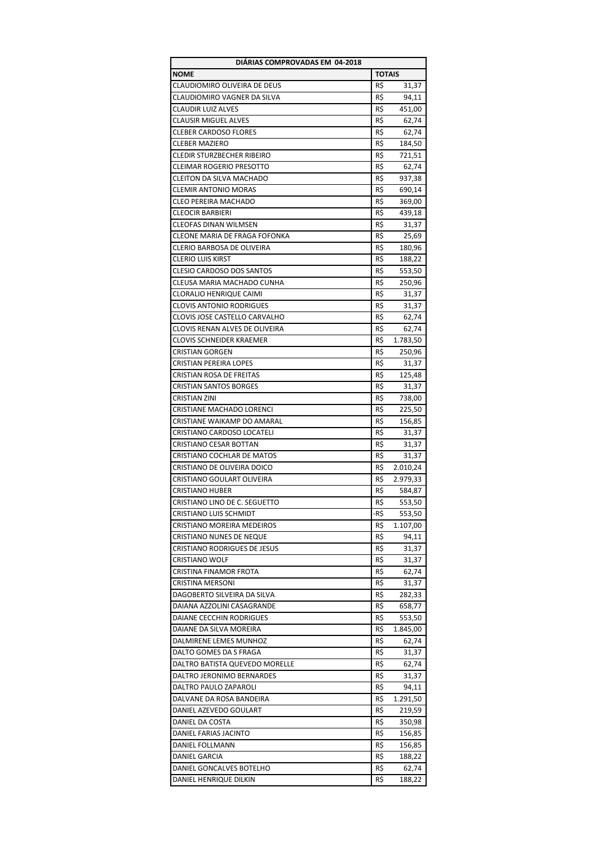| DIÁRIAS COMPROVADAS EM 04-2018      |               |          |  |
|-------------------------------------|---------------|----------|--|
| <b>NOME</b>                         | <b>TOTAIS</b> |          |  |
| CLAUDIOMIRO OLIVEIRA DE DEUS        | R\$           | 31,37    |  |
| CLAUDIOMIRO VAGNER DA SILVA         | R\$           | 94,11    |  |
| <b>CLAUDIR LUIZ ALVES</b>           | R\$           | 451,00   |  |
| <b>CLAUSIR MIGUEL ALVES</b>         | R\$           | 62,74    |  |
| <b>CLEBER CARDOSO FLORES</b>        | R\$           | 62,74    |  |
| <b>CLEBER MAZIERO</b>               | R\$           | 184,50   |  |
| <b>CLEDIR STURZBECHER RIBEIRO</b>   | R\$           | 721,51   |  |
| <b>CLEIMAR ROGERIO PRESOTTO</b>     | R\$           | 62,74    |  |
| <b>CLEITON DA SILVA MACHADO</b>     | R\$           | 937,38   |  |
| <b>CLEMIR ANTONIO MORAS</b>         |               |          |  |
|                                     | R\$           | 690,14   |  |
| CLEO PEREIRA MACHADO                | R\$           | 369,00   |  |
| <b>CLEOCIR BARBIERI</b>             | R\$           | 439,18   |  |
| <b>CLEOFAS DINAN WILMSEN</b>        | R\$           | 31,37    |  |
| CLEONE MARIA DE FRAGA FOFONKA       | R\$           | 25,69    |  |
| CLERIO BARBOSA DE OLIVEIRA          | R\$           | 180,96   |  |
| <b>CLERIO LUIS KIRST</b>            | R\$           | 188,22   |  |
| <b>CLESIO CARDOSO DOS SANTOS</b>    | R\$           | 553,50   |  |
| CLEUSA MARIA MACHADO CUNHA          | R\$           | 250,96   |  |
| CLORALIO HENRIQUE CAIMI             | R\$           | 31,37    |  |
| <b>CLOVIS ANTONIO RODRIGUES</b>     | R\$           | 31,37    |  |
| CLOVIS JOSE CASTELLO CARVALHO       | R\$           | 62,74    |  |
| CLOVIS RENAN ALVES DE OLIVEIRA      | R\$           | 62,74    |  |
| CLOVIS SCHNEIDER KRAEMER            | R\$           | 1.783,50 |  |
| <b>CRISTIAN GORGEN</b>              | R\$           | 250,96   |  |
| <b>CRISTIAN PEREIRA LOPES</b>       | R\$           | 31,37    |  |
| CRISTIAN ROSA DE FREITAS            | R\$           | 125,48   |  |
| <b>CRISTIAN SANTOS BORGES</b>       | R\$           | 31,37    |  |
| CRISTIAN ZINI                       | R\$           | 738,00   |  |
|                                     |               |          |  |
| CRISTIANE MACHADO LORENCI           | R\$           | 225,50   |  |
| CRISTIANE WAIKAMP DO AMARAL         | R\$           | 156,85   |  |
| CRISTIANO CARDOSO LOCATELI          | R\$           | 31,37    |  |
| CRISTIANO CESAR BOTTAN              | R\$           | 31,37    |  |
| <b>CRISTIANO COCHLAR DE MATOS</b>   | R\$           | 31,37    |  |
| CRISTIANO DE OLIVEIRA DOICO         | R\$           | 2.010,24 |  |
| CRISTIANO GOULART OLIVEIRA          | R\$           | 2.979,33 |  |
| CRISTIANO HUBER                     | R\$           | 584,87   |  |
| CRISTIANO LINO DE C. SEGUETTO       | R\$           | 553,50   |  |
| <b>CRISTIANO LUIS SCHMIDT</b>       | -R\$          | 553,50   |  |
| CRISTIANO MOREIRA MEDEIROS          | R\$           | 1.107,00 |  |
| CRISTIANO NUNES DE NEQUE            | R\$           | 94,11    |  |
| <b>CRISTIANO RODRIGUES DE JESUS</b> | R\$           | 31,37    |  |
| CRISTIANO WOLF                      | R\$           | 31,37    |  |
| CRISTINA FINAMOR FROTA              | R\$           | 62,74    |  |
| CRISTINA MERSONI                    | R\$           | 31,37    |  |
| DAGOBERTO SILVEIRA DA SILVA         | R\$           | 282,33   |  |
| DAIANA AZZOLINI CASAGRANDE          | R\$           | 658,77   |  |
| DAIANE CECCHIN RODRIGUES            | R\$           | 553,50   |  |
| DAIANE DA SILVA MOREIRA             | R\$           | 1.845,00 |  |
| DALMIRENE LEMES MUNHOZ              | R\$           | 62,74    |  |
| DALTO GOMES DA S FRAGA              | R\$           | 31,37    |  |
| DALTRO BATISTA QUEVEDO MORELLE      | R\$           | 62,74    |  |
|                                     | R\$           |          |  |
| DALTRO JERONIMO BERNARDES           |               | 31,37    |  |
| DALTRO PAULO ZAPAROLI               | R\$           | 94,11    |  |
| DALVANE DA ROSA BANDEIRA            | R\$           | 1.291,50 |  |
| DANIEL AZEVEDO GOULART              | R\$           | 219,59   |  |
| DANIEL DA COSTA                     | R\$           | 350,98   |  |
| DANIEL FARIAS JACINTO               | R\$           | 156,85   |  |
| DANIEL FOLLMANN                     | R\$           | 156,85   |  |
| DANIEL GARCIA                       | R\$           | 188,22   |  |
| DANIEL GONCALVES BOTELHO            | R\$           | 62,74    |  |
| DANIEL HENRIQUE DILKIN              | R\$           | 188,22   |  |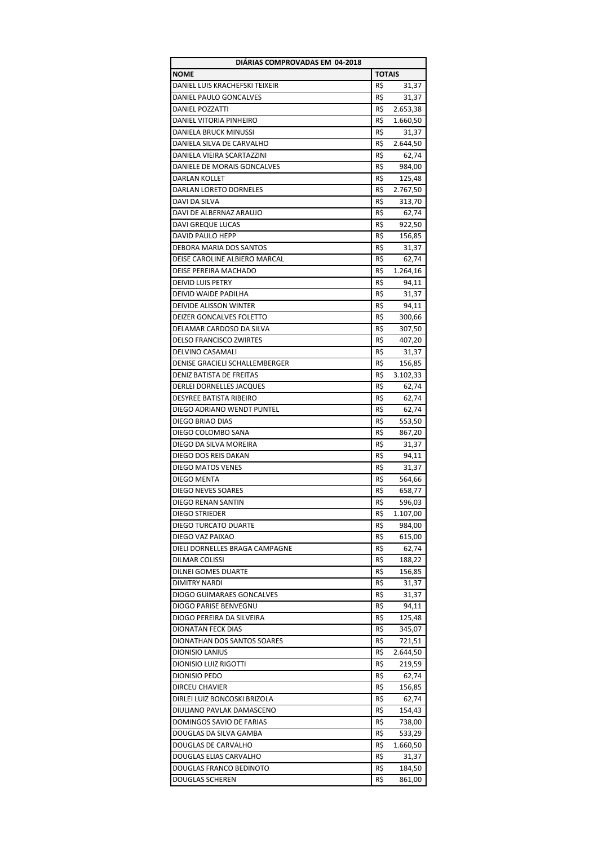| DIÁRIAS COMPROVADAS EM 04-2018   |               |          |  |
|----------------------------------|---------------|----------|--|
| <b>NOME</b>                      | <b>TOTAIS</b> |          |  |
| DANIEL LUIS KRACHEFSKI TEIXEIR   | R\$           | 31,37    |  |
| DANIEL PAULO GONCALVES           | R\$           | 31,37    |  |
| DANIEL POZZATTI                  | R\$           | 2.653,38 |  |
| DANIEL VITORIA PINHEIRO          | R\$           | 1.660,50 |  |
| DANIELA BRUCK MINUSSI            | R\$           | 31,37    |  |
| DANIELA SILVA DE CARVALHO        | R\$           | 2.644,50 |  |
| DANIELA VIEIRA SCARTAZZINI       | R\$           | 62,74    |  |
| DANIELE DE MORAIS GONCALVES      | R\$           | 984,00   |  |
| DARLAN KOLLET                    | R\$           | 125,48   |  |
| <b>DARLAN LORETO DORNELES</b>    | R\$           | 2.767,50 |  |
| <b>DAVI DA SILVA</b>             | R\$           | 313,70   |  |
| DAVI DE ALBERNAZ ARAUJO          | R\$           | 62,74    |  |
| DAVI GREQUE LUCAS                | R\$           | 922,50   |  |
| DAVID PAULO HEPP                 | R\$           |          |  |
|                                  |               | 156,85   |  |
| DEBORA MARIA DOS SANTOS          | R\$           | 31,37    |  |
| DEISE CAROLINE ALBIERO MARCAL    | R\$           | 62,74    |  |
| <b>DEISE PEREIRA MACHADO</b>     | R\$           | 1.264,16 |  |
| <b>DEIVID LUIS PETRY</b>         | R\$           | 94,11    |  |
| DEIVID WAIDE PADILHA             | R\$           | 31,37    |  |
| DEIVIDE ALISSON WINTER           | R\$           | 94,11    |  |
| <b>DEIZER GONCALVES FOLETTO</b>  | R\$           | 300,66   |  |
| DELAMAR CARDOSO DA SILVA         | R\$           | 307,50   |  |
| <b>DELSO FRANCISCO ZWIRTES</b>   | R\$           | 407,20   |  |
| DELVINO CASAMALI                 | R\$           | 31,37    |  |
| DENISE GRACIELI SCHALLEMBERGER   | R\$           | 156,85   |  |
| DENIZ BATISTA DE FREITAS         | R\$           | 3.102,33 |  |
| DERLEI DORNELLES JACQUES         | R\$           | 62,74    |  |
| DESYREE BATISTA RIBEIRO          | R\$           | 62,74    |  |
| DIEGO ADRIANO WENDT PUNTEL       | R\$           | 62,74    |  |
| DIEGO BRIAO DIAS                 | R\$           | 553,50   |  |
| DIEGO COLOMBO SANA               | R\$           | 867,20   |  |
| DIEGO DA SILVA MOREIRA           | R\$           | 31,37    |  |
| DIEGO DOS REIS DAKAN             | R\$           | 94,11    |  |
| <b>DIEGO MATOS VENES</b>         | R\$           | 31,37    |  |
| DIEGO MENTA                      | R\$           | 564,66   |  |
| <b>DIEGO NEVES SOARES</b>        | R\$           | 658,77   |  |
| <b>DIEGO RENAN SANTIN</b>        | R\$           | 596,03   |  |
| DIEGO STRIEDER                   | R\$           | 1.107,00 |  |
| DIEGO TURCATO DUARTE             | R\$           | 984,00   |  |
| DIEGO VAZ PAIXAO                 | R\$           | 615,00   |  |
| DIELI DORNELLES BRAGA CAMPAGNE   | R\$           | 62,74    |  |
| DILMAR COLISSI                   | R\$           | 188,22   |  |
| <b>DILNEI GOMES DUARTE</b>       | R\$           | 156,85   |  |
| <b>DIMITRY NARDI</b>             | R\$           | 31,37    |  |
| <b>DIOGO GUIMARAES GONCALVES</b> | R\$           | 31,37    |  |
| DIOGO PARISE BENVEGNU            | R\$           | 94,11    |  |
| DIOGO PEREIRA DA SILVEIRA        | R\$           | 125,48   |  |
| <b>DIONATAN FECK DIAS</b>        | R\$           | 345,07   |  |
| DIONATHAN DOS SANTOS SOARES      | R\$           | 721,51   |  |
| DIONISIO LANIUS                  | R\$           | 2.644,50 |  |
| <b>DIONISIO LUIZ RIGOTTI</b>     | R\$           | 219,59   |  |
| DIONISIO PEDO                    | R\$           | 62,74    |  |
| DIRCEU CHAVIER                   | R\$           | 156,85   |  |
| DIRLEI LUIZ BONCOSKI BRIZOLA     | R\$           | 62,74    |  |
|                                  |               |          |  |
| DIULIANO PAVLAK DAMASCENO        | R\$           | 154,43   |  |
| DOMINGOS SAVIO DE FARIAS         | R\$           | 738,00   |  |
| DOUGLAS DA SILVA GAMBA           | R\$           | 533,29   |  |
| DOUGLAS DE CARVALHO              | R\$           | 1.660,50 |  |
| DOUGLAS ELIAS CARVALHO           | R\$           | 31,37    |  |
| DOUGLAS FRANCO BEDINOTO          | R\$           | 184,50   |  |
| DOUGLAS SCHEREN                  | R\$           | 861,00   |  |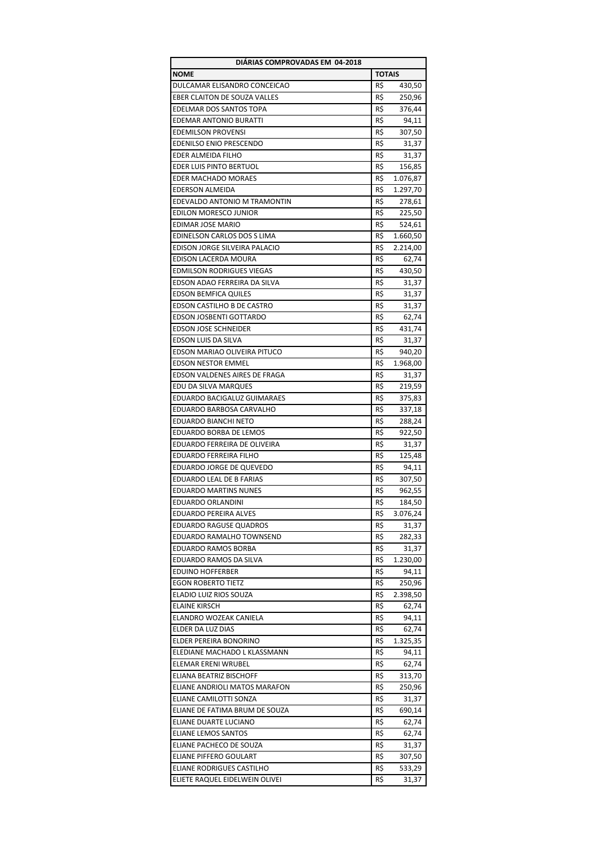| DIARIAS COMPROVADAS EM 04-2018   |               |          |  |
|----------------------------------|---------------|----------|--|
| <b>NOME</b>                      | <b>TOTAIS</b> |          |  |
| DULCAMAR ELISANDRO CONCEICAO     | R\$           | 430,50   |  |
| EBER CLAITON DE SOUZA VALLES     | R\$           | 250,96   |  |
| <b>EDELMAR DOS SANTOS TOPA</b>   | R\$           | 376,44   |  |
| <b>EDEMAR ANTONIO BURATTI</b>    | R\$           | 94,11    |  |
| <b>EDEMILSON PROVENSI</b>        | R\$           | 307,50   |  |
| <b>EDENILSO ENIO PRESCENDO</b>   | R\$           | 31,37    |  |
| EDER ALMEIDA FILHO               | R\$           | 31,37    |  |
| EDER LUIS PINTO BERTUOL          | R\$           | 156,85   |  |
| EDER MACHADO MORAES              | R\$           | 1.076,87 |  |
| <b>EDERSON ALMEIDA</b>           | R\$           | 1.297,70 |  |
| EDEVALDO ANTONIO M TRAMONTIN     | R\$           | 278,61   |  |
| EDILON MORESCO JUNIOR            | R\$           | 225,50   |  |
| EDIMAR JOSE MARIO                | R\$           | 524,61   |  |
|                                  |               |          |  |
| EDINELSON CARLOS DOS S LIMA      | R\$           | 1.660,50 |  |
| EDISON JORGE SILVEIRA PALACIO    | R\$           | 2.214,00 |  |
| EDISON LACERDA MOURA             | R\$           | 62,74    |  |
| <b>EDMILSON RODRIGUES VIEGAS</b> | R\$           | 430,50   |  |
| EDSON ADAO FERREIRA DA SILVA     | R\$           | 31,37    |  |
| <b>EDSON BEMFICA QUILES</b>      | R\$           | 31,37    |  |
| EDSON CASTILHO B DE CASTRO       | R\$           | 31,37    |  |
| EDSON JOSBENTI GOTTARDO          | R\$           | 62,74    |  |
| <b>EDSON JOSE SCHNEIDER</b>      | R\$           | 431,74   |  |
| EDSON LUIS DA SILVA              | R\$           | 31,37    |  |
| EDSON MARIAO OLIVEIRA PITUCO     | R\$           | 940,20   |  |
| <b>EDSON NESTOR EMMEL</b>        | R\$           | 1.968,00 |  |
| EDSON VALDENES AIRES DE FRAGA    | R\$           | 31,37    |  |
| EDU DA SILVA MARQUES             | R\$           | 219,59   |  |
| EDUARDO BACIGALUZ GUIMARAES      | R\$           | 375,83   |  |
| EDUARDO BARBOSA CARVALHO         | R\$           | 337,18   |  |
| EDUARDO BIANCHI NETO             | R\$           | 288,24   |  |
| EDUARDO BORBA DE LEMOS           | R\$           | 922,50   |  |
| EDUARDO FERREIRA DE OLIVEIRA     | R\$           | 31,37    |  |
| <b>EDUARDO FERREIRA FILHO</b>    | R\$           | 125,48   |  |
| EDUARDO JORGE DE QUEVEDO         | R\$           | 94,11    |  |
| EDUARDO LEAL DE B FARIAS         | R\$           | 307,50   |  |
| <b>EDUARDO MARTINS NUNES</b>     | R\$           | 962,55   |  |
| <b>EDUARDO ORLANDINI</b>         | R\$           | 184,50   |  |
| <b>EDUARDO PEREIRA ALVES</b>     | R\$           | 3.076,24 |  |
| <b>EDUARDO RAGUSE QUADROS</b>    | R\$           | 31,37    |  |
| EDUARDO RAMALHO TOWNSEND         | R\$           | 282,33   |  |
| EDUARDO RAMOS BORBA              | R\$           | 31,37    |  |
| EDUARDO RAMOS DA SILVA           | R\$           | 1.230,00 |  |
| <b>EDUINO HOFFERBER</b>          | R\$           | 94,11    |  |
| <b>EGON ROBERTO TIETZ</b>        | R\$           | 250,96   |  |
| ELADIO LUIZ RIOS SOUZA           | R\$           | 2.398,50 |  |
| <b>ELAINE KIRSCH</b>             | R\$           | 62,74    |  |
| ELANDRO WOZEAK CANIELA           | R\$           |          |  |
| ELDER DA LUZ DIAS                |               | 94,11    |  |
|                                  | R\$           | 62,74    |  |
| ELDER PEREIRA BONORINO           | R\$           | 1.325,35 |  |
| ELEDIANE MACHADO L KLASSMANN     | R\$           | 94,11    |  |
| ELEMAR ERENI WRUBEL              | R\$           | 62,74    |  |
| ELIANA BEATRIZ BISCHOFF          | R\$           | 313,70   |  |
| ELIANE ANDRIOLI MATOS MARAFON    | R\$           | 250,96   |  |
| ELIANE CAMILOTTI SONZA           | R\$           | 31,37    |  |
| ELIANE DE FATIMA BRUM DE SOUZA   | R\$           | 690,14   |  |
| ELIANE DUARTE LUCIANO            | R\$           | 62,74    |  |
| ELIANE LEMOS SANTOS              | R\$           | 62,74    |  |
| ELIANE PACHECO DE SOUZA          | R\$           | 31,37    |  |
| ELIANE PIFFERO GOULART           | R\$           | 307,50   |  |
| ELIANE RODRIGUES CASTILHO        | R\$           | 533,29   |  |
| ELIETE RAQUEL EIDELWEIN OLIVEI   | R\$           | 31,37    |  |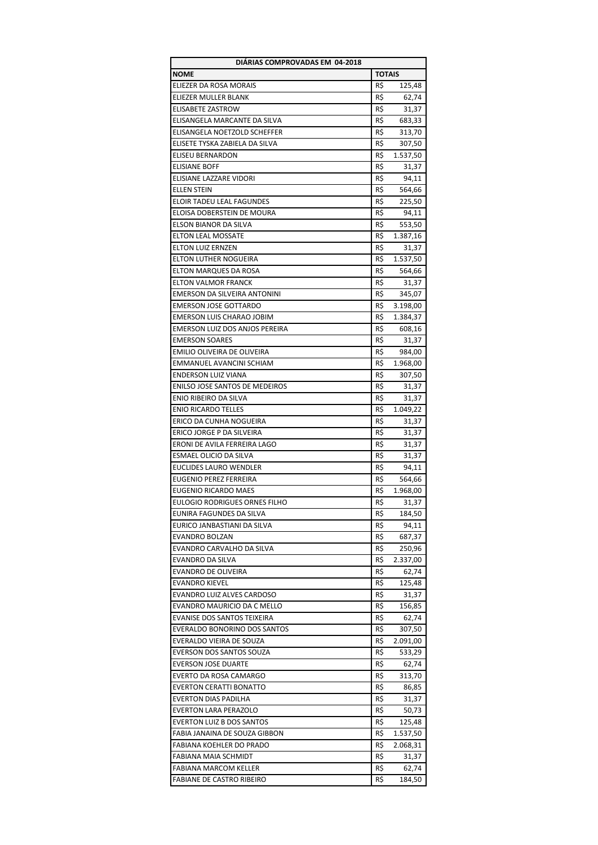| DIÁRIAS COMPROVADAS EM 04-2018   |               |          |  |
|----------------------------------|---------------|----------|--|
| <b>NOME</b>                      | <b>TOTAIS</b> |          |  |
| ELIEZER DA ROSA MORAIS           | R\$           | 125,48   |  |
| ELIEZER MULLER BLANK             | R\$           | 62,74    |  |
| ELISABETE ZASTROW                | R\$           | 31,37    |  |
| ELISANGELA MARCANTE DA SILVA     | R\$           | 683,33   |  |
| ELISANGELA NOETZOLD SCHEFFER     | R\$           | 313,70   |  |
| ELISETE TYSKA ZABIELA DA SILVA   | R\$           | 307,50   |  |
| <b>ELISEU BERNARDON</b>          | R\$           | 1.537,50 |  |
| <b>ELISIANE BOFF</b>             | R\$           | 31,37    |  |
| ELISIANE LAZZARE VIDORI          | R\$           | 94,11    |  |
| <b>ELLEN STEIN</b>               | R\$           | 564,66   |  |
| <b>ELOIR TADEU LEAL FAGUNDES</b> | R\$           | 225,50   |  |
| ELOISA DOBERSTEIN DE MOURA       | R\$           | 94,11    |  |
| ELSON BIANOR DA SILVA            | R\$           | 553,50   |  |
|                                  |               |          |  |
| <b>ELTON LEAL MOSSATE</b>        | R\$           | 1.387,16 |  |
| ELTON LUIZ ERNZEN                | R\$           | 31,37    |  |
| ELTON LUTHER NOGUEIRA            | R\$           | 1.537,50 |  |
| ELTON MARQUES DA ROSA            | R\$           | 564,66   |  |
| <b>ELTON VALMOR FRANCK</b>       | R\$           | 31,37    |  |
| EMERSON DA SILVEIRA ANTONINI     | R\$           | 345,07   |  |
| <b>EMERSON JOSE GOTTARDO</b>     | R\$           | 3.198,00 |  |
| EMERSON LUIS CHARAO JOBIM        | R\$           | 1.384,37 |  |
| EMERSON LUIZ DOS ANJOS PEREIRA   | R\$           | 608,16   |  |
| <b>EMERSON SOARES</b>            | R\$           | 31,37    |  |
| EMILIO OLIVEIRA DE OLIVEIRA      | R\$           | 984,00   |  |
| EMMANUEL AVANCINI SCHIAM         | R\$           | 1.968,00 |  |
| <b>ENDERSON LUIZ VIANA</b>       | R\$           | 307,50   |  |
| ENILSO JOSE SANTOS DE MEDEIROS   | R\$           | 31,37    |  |
| ENIO RIBEIRO DA SILVA            | R\$           | 31,37    |  |
| <b>ENIO RICARDO TELLES</b>       | R\$           | 1.049,22 |  |
| ERICO DA CUNHA NOGUEIRA          | R\$           | 31,37    |  |
| ERICO JORGE P DA SILVEIRA        | R\$           | 31,37    |  |
| ERONI DE AVILA FERREIRA LAGO     | R\$           | 31,37    |  |
| ESMAEL OLICIO DA SILVA           | R\$           | 31,37    |  |
| <b>EUCLIDES LAURO WENDLER</b>    | R\$           | 94,11    |  |
| EUGENIO PEREZ FERREIRA           | R\$           | 564,66   |  |
| EUGENIO RICARDO MAES             | R\$           | 1.968,00 |  |
| EULOGIO RODRIGUES ORNES FILHO    | R\$           | 31,37    |  |
| EUNIRA FAGUNDES DA SILVA         | R\$           | 184,50   |  |
| EURICO JANBASTIANI DA SILVA      | R\$           | 94,11    |  |
| <b>EVANDRO BOLZAN</b>            | R\$           | 687,37   |  |
| EVANDRO CARVALHO DA SILVA        | R\$           | 250,96   |  |
| EVANDRO DA SILVA                 | R\$           | 2.337,00 |  |
| EVANDRO DE OLIVEIRA              | R\$           | 62,74    |  |
| <b>EVANDRO KIEVEL</b>            | R\$           | 125,48   |  |
| EVANDRO LUIZ ALVES CARDOSO       | R\$           | 31,37    |  |
| EVANDRO MAURICIO DA C MELLO      | R\$           | 156,85   |  |
| EVANISE DOS SANTOS TEIXEIRA      | R\$           | 62,74    |  |
| EVERALDO BONORINO DOS SANTOS     | R\$           | 307,50   |  |
| EVERALDO VIEIRA DE SOUZA         | R\$           | 2.091,00 |  |
| EVERSON DOS SANTOS SOUZA         | R\$           | 533,29   |  |
| <b>EVERSON JOSE DUARTE</b>       | R\$           | 62,74    |  |
| EVERTO DA ROSA CAMARGO           | R\$           | 313,70   |  |
| <b>EVERTON CERATTI BONATTO</b>   | R\$           |          |  |
|                                  |               | 86,85    |  |
| <b>EVERTON DIAS PADILHA</b>      | R\$           | 31,37    |  |
| EVERTON LARA PERAZOLO            | R\$           | 50,73    |  |
| <b>EVERTON LUIZ B DOS SANTOS</b> | R\$           | 125,48   |  |
| FABIA JANAINA DE SOUZA GIBBON    | R\$           | 1.537,50 |  |
| FABIANA KOEHLER DO PRADO         | R\$           | 2.068,31 |  |
| <b>FABIANA MAIA SCHMIDT</b>      | R\$           | 31,37    |  |
| <b>FABIANA MARCOM KELLER</b>     | R\$           | 62,74    |  |
| FABIANE DE CASTRO RIBEIRO        | R\$           | 184,50   |  |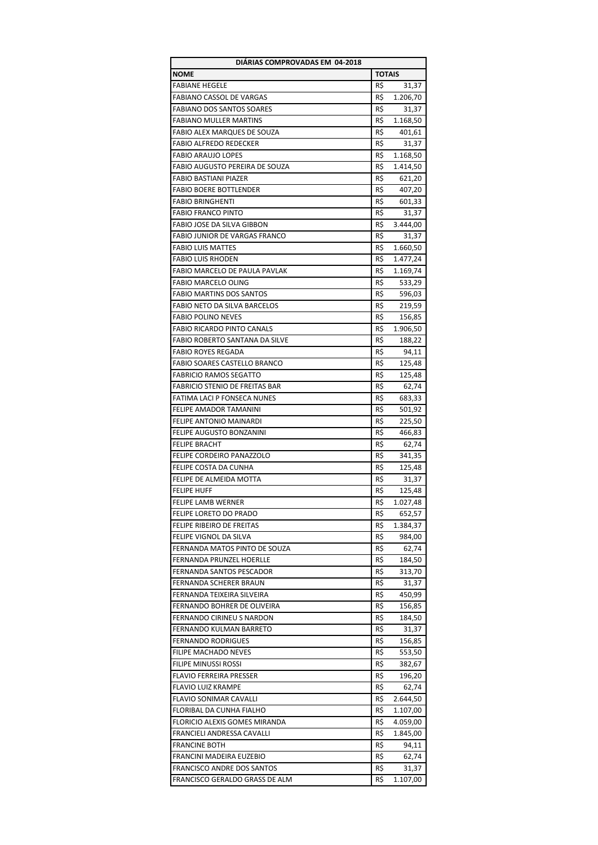| DIÁRIAS COMPROVADAS EM 04-2018        |               |          |  |
|---------------------------------------|---------------|----------|--|
| <b>NOME</b>                           | <b>TOTAIS</b> |          |  |
| <b>FABIANE HEGELE</b>                 | R\$           | 31,37    |  |
| <b>FABIANO CASSOL DE VARGAS</b>       | R\$           | 1.206,70 |  |
| <b>FABIANO DOS SANTOS SOARES</b>      | R\$           | 31,37    |  |
| <b>FABIANO MULLER MARTINS</b>         | R\$           | 1.168,50 |  |
| FABIO ALEX MARQUES DE SOUZA           | R\$           | 401,61   |  |
| <b>FABIO ALFREDO REDECKER</b>         | R\$           | 31,37    |  |
| <b>FABIO ARAUJO LOPES</b>             | R\$           | 1.168,50 |  |
| <b>FABIO AUGUSTO PEREIRA DE SOUZA</b> | R\$           | 1.414,50 |  |
| <b>FABIO BASTIANI PIAZER</b>          | R\$           | 621,20   |  |
| <b>FABIO BOERE BOTTLENDER</b>         | R\$           | 407,20   |  |
| <b>FABIO BRINGHENTI</b>               | R\$           |          |  |
|                                       |               | 601,33   |  |
| <b>FABIO FRANCO PINTO</b>             | R\$           | 31,37    |  |
| FABIO JOSE DA SILVA GIBBON            | R\$           | 3.444,00 |  |
| <b>FABIO JUNIOR DE VARGAS FRANCO</b>  | R\$           | 31,37    |  |
| <b>FABIO LUIS MATTES</b>              | R\$           | 1.660,50 |  |
| <b>FABIO LUIS RHODEN</b>              | R\$           | 1.477,24 |  |
| FABIO MARCELO DE PAULA PAVLAK         | R\$           | 1.169,74 |  |
| <b>FABIO MARCELO OLING</b>            | R\$           | 533,29   |  |
| <b>FABIO MARTINS DOS SANTOS</b>       | R\$           | 596,03   |  |
| <b>FABIO NETO DA SILVA BARCELOS</b>   | R\$           | 219,59   |  |
| <b>FABIO POLINO NEVES</b>             | R\$           | 156,85   |  |
| <b>FABIO RICARDO PINTO CANALS</b>     | R\$           | 1.906,50 |  |
| FABIO ROBERTO SANTANA DA SILVE        | R\$           | 188,22   |  |
| <b>FABIO ROYES REGADA</b>             | R\$           | 94,11    |  |
| <b>FABIO SOARES CASTELLO BRANCO</b>   | R\$           | 125,48   |  |
| <b>FABRICIO RAMOS SEGATTO</b>         | R\$           | 125,48   |  |
| <b>FABRICIO STENIO DE FREITAS BAR</b> | R\$           | 62,74    |  |
| <b>FATIMA LACI P FONSECA NUNES</b>    | R\$           | 683,33   |  |
| FELIPE AMADOR TAMANINI                | R\$           | 501,92   |  |
| <b>FELIPE ANTONIO MAINARDI</b>        | R\$           | 225,50   |  |
| FELIPE AUGUSTO BONZANINI              | R\$           | 466,83   |  |
| <b>FELIPE BRACHT</b>                  | R\$           | 62,74    |  |
|                                       |               |          |  |
| FELIPE CORDEIRO PANAZZOLO             | R\$           | 341,35   |  |
| FELIPE COSTA DA CUNHA                 | R\$           | 125,48   |  |
| FELIPE DE ALMEIDA MOTTA               | R\$           | 31,37    |  |
| <b>FELIPE HUFF</b>                    | R\$           | 125,48   |  |
| FELIPE LAMB WERNER                    | R\$           | 1.027,48 |  |
| FELIPE LORETO DO PRADO                | R\$           | 652,57   |  |
| FELIPE RIBEIRO DE FREITAS             | R\$           | 1.384,37 |  |
| FELIPE VIGNOL DA SILVA                | R\$           | 984,00   |  |
| FERNANDA MATOS PINTO DE SOUZA         | R\$           | 62,74    |  |
| FERNANDA PRUNZEL HOERLLE              | R\$           | 184,50   |  |
| FERNANDA SANTOS PESCADOR              | R\$           | 313,70   |  |
| FERNANDA SCHERER BRAUN                | R\$           | 31,37    |  |
| FERNANDA TEIXEIRA SILVEIRA            | R\$           | 450,99   |  |
| FERNANDO BOHRER DE OLIVEIRA           | R\$           | 156,85   |  |
| <b>FERNANDO CIRINEU S NARDON</b>      | R\$           | 184,50   |  |
| FERNANDO KULMAN BARRETO               | R\$           | 31,37    |  |
| <b>FERNANDO RODRIGUES</b>             | R\$           | 156,85   |  |
| FILIPE MACHADO NEVES                  | R\$           | 553,50   |  |
| FILIPE MINUSSI ROSSI                  | R\$           | 382,67   |  |
| <b>FLAVIO FERREIRA PRESSER</b>        | R\$           | 196,20   |  |
| <b>FLAVIO LUIZ KRAMPE</b>             | R\$           | 62,74    |  |
| <b>FLAVIO SONIMAR CAVALLI</b>         | R\$           | 2.644,50 |  |
| FLORIBAL DA CUNHA FIALHO              | R\$           | 1.107,00 |  |
| FLORICIO ALEXIS GOMES MIRANDA         | R\$           |          |  |
|                                       | R\$           | 4.059,00 |  |
| FRANCIELI ANDRESSA CAVALLI            |               | 1.845,00 |  |
| <b>FRANCINE BOTH</b>                  | R\$           | 94,11    |  |
| FRANCINI MADEIRA EUZEBIO              | R\$           | 62,74    |  |
| <b>FRANCISCO ANDRE DOS SANTOS</b>     | R\$           | 31,37    |  |
| FRANCISCO GERALDO GRASS DE ALM        | R\$           | 1.107,00 |  |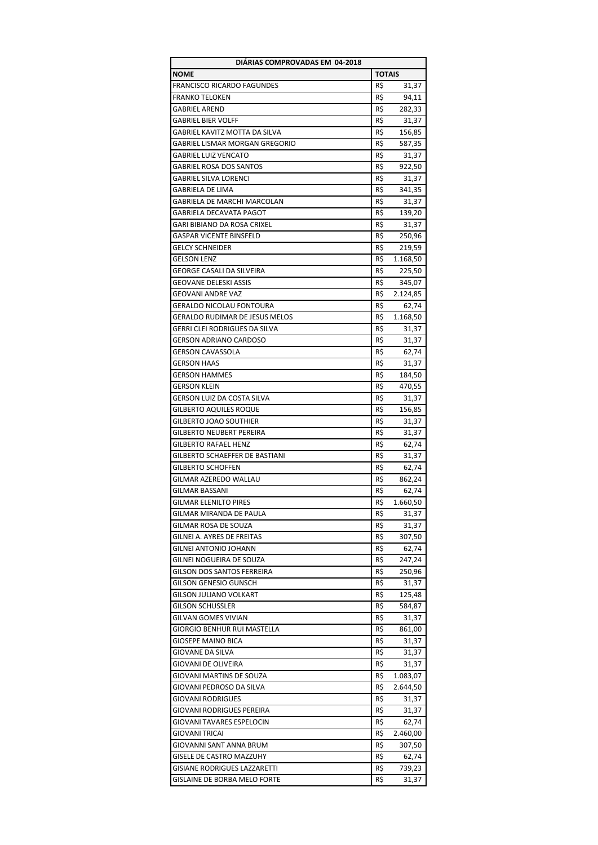| DIÁRIAS COMPROVADAS EM 04-2018        |               |          |  |
|---------------------------------------|---------------|----------|--|
| <b>NOME</b>                           | <b>TOTAIS</b> |          |  |
| <b>FRANCISCO RICARDO FAGUNDES</b>     | R\$           | 31,37    |  |
| <b>FRANKO TELOKEN</b>                 | R\$           | 94,11    |  |
| <b>GABRIEL AREND</b>                  | R\$           | 282,33   |  |
| <b>GABRIEL BIER VOLFF</b>             | R\$           | 31,37    |  |
| GABRIEL KAVITZ MOTTA DA SILVA         | R\$           | 156,85   |  |
| GABRIEL LISMAR MORGAN GREGORIO        | R\$           | 587,35   |  |
| <b>GABRIEL LUIZ VENCATO</b>           | R\$           | 31,37    |  |
| <b>GABRIEL ROSA DOS SANTOS</b>        | R\$           | 922,50   |  |
| <b>GABRIEL SILVA LORENCI</b>          | R\$           | 31,37    |  |
| GABRIELA DE LIMA                      | R\$           | 341,35   |  |
|                                       |               |          |  |
| GABRIELA DE MARCHI MARCOLAN           | R\$           | 31,37    |  |
| GABRIELA DECAVATA PAGOT               | R\$           | 139,20   |  |
| GARI BIBIANO DA ROSA CRIXEL           | R\$           | 31,37    |  |
| <b>GASPAR VICENTE BINSFELD</b>        | R\$           | 250,96   |  |
| <b>GELCY SCHNEIDER</b>                | R\$           | 219,59   |  |
| <b>GELSON LENZ</b>                    | R\$           | 1.168,50 |  |
| GEORGE CASALI DA SILVEIRA             | R\$           | 225,50   |  |
| <b>GEOVANE DELESKI ASSIS</b>          | R\$           | 345,07   |  |
| <b>GEOVANI ANDRE VAZ</b>              | R\$           | 2.124,85 |  |
| <b>GERALDO NICOLAU FONTOURA</b>       | R\$           | 62,74    |  |
| <b>GERALDO RUDIMAR DE JESUS MELOS</b> | R\$           | 1.168,50 |  |
| GERRI CLEI RODRIGUES DA SILVA         | R\$           | 31,37    |  |
| <b>GERSON ADRIANO CARDOSO</b>         | R\$           | 31,37    |  |
| <b>GERSON CAVASSOLA</b>               | R\$           | 62,74    |  |
| <b>GERSON HAAS</b>                    | R\$           | 31,37    |  |
| <b>GERSON HAMMES</b>                  | R\$           | 184,50   |  |
| <b>GERSON KLEIN</b>                   | R\$           | 470,55   |  |
| GERSON LUIZ DA COSTA SILVA            | R\$           | 31,37    |  |
| <b>GILBERTO AQUILES ROQUE</b>         | R\$           | 156,85   |  |
| GILBERTO JOAO SOUTHIER                | R\$           | 31,37    |  |
| GILBERTO NEUBERT PEREIRA              | R\$           | 31,37    |  |
| <b>GILBERTO RAFAEL HENZ</b>           | R\$           |          |  |
|                                       |               | 62,74    |  |
| GILBERTO SCHAEFFER DE BASTIANI        | R\$           | 31,37    |  |
| <b>GILBERTO SCHOFFEN</b>              | R\$           | 62,74    |  |
| GILMAR AZEREDO WALLAU                 | R\$           | 862,24   |  |
| <b>GILMAR BASSANI</b>                 | R\$           | 62,74    |  |
| <b>GILMAR ELENILTO PIRES</b>          | R\$           | 1.660,50 |  |
| GILMAR MIRANDA DE PAULA               | R\$           | 31,37    |  |
| GILMAR ROSA DE SOUZA                  | R\$           | 31,37    |  |
| GILNEI A. AYRES DE FREITAS            | R\$           | 307,50   |  |
| <b>GILNEI ANTONIO JOHANN</b>          | R\$           | 62,74    |  |
| GILNEI NOGUEIRA DE SOUZA              | R\$           | 247,24   |  |
| GILSON DOS SANTOS FERREIRA            | R\$           | 250,96   |  |
| GILSON GENESIO GUNSCH                 | R\$           | 31,37    |  |
| <b>GILSON JULIANO VOLKART</b>         | R\$           | 125,48   |  |
| <b>GILSON SCHUSSLER</b>               | R\$           | 584,87   |  |
| GILVAN GOMES VIVIAN                   | R\$           | 31,37    |  |
| GIORGIO BENHUR RUI MASTELLA           | R\$           | 861,00   |  |
| <b>GIOSEPE MAINO BICA</b>             | R\$           | 31,37    |  |
| GIOVANE DA SILVA                      | R\$           | 31,37    |  |
| GIOVANI DE OLIVEIRA                   | R\$           | 31,37    |  |
| GIOVANI MARTINS DE SOUZA              | R\$           | 1.083,07 |  |
| GIOVANI PEDROSO DA SILVA              | R\$           | 2.644,50 |  |
| <b>GIOVANI RODRIGUES</b>              | R\$           | 31,37    |  |
| GIOVANI RODRIGUES PEREIRA             | R\$           | 31,37    |  |
| GIOVANI TAVARES ESPELOCIN             | R\$           | 62,74    |  |
| GIOVANI TRICAI                        | R\$           |          |  |
|                                       |               | 2.460,00 |  |
| GIOVANNI SANT ANNA BRUM               | R\$           | 307,50   |  |
| GISELE DE CASTRO MAZZUHY              | R\$           | 62,74    |  |
| GISIANE RODRIGUES LAZZARETTI          | R\$           | 739,23   |  |
| GISLAINE DE BORBA MELO FORTE          | R\$           | 31,37    |  |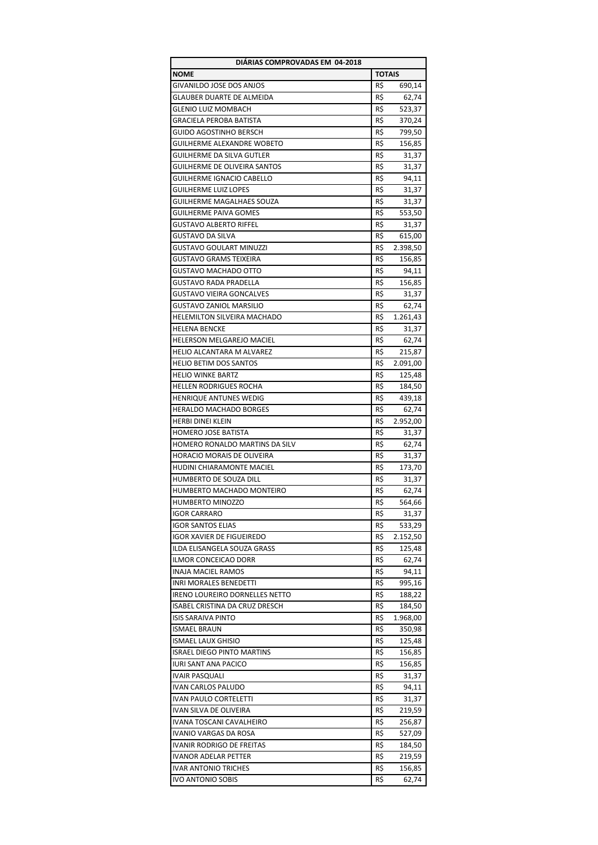| <b>TOTAIS</b><br><b>NOME</b><br>GIVANILDO JOSE DOS ANJOS<br>R\$<br>690,14<br>R\$<br>GLAUBER DUARTE DE ALMEIDA<br>62,74<br>R\$<br>GLENIO LUIZ MOMBACH<br>523,37<br><b>GRACIELA PEROBA BATISTA</b><br>R\$<br>370,24<br>GUIDO AGOSTINHO BERSCH<br>R\$<br>799,50<br><b>GUILHERME ALEXANDRE WOBETO</b><br>R\$<br>156,85<br>R\$<br>GUILHERME DA SILVA GUTLER<br>31,37<br>GUILHERME DE OLIVEIRA SANTOS<br>R\$<br>31,37<br><b>GUILHERME IGNACIO CABELLO</b><br>R\$<br>94,11<br><b>GUILHERME LUIZ LOPES</b><br>R\$<br>31,37<br>R\$<br>GUILHERME MAGALHAES SOUZA<br>31,37<br><b>GUILHERME PAIVA GOMES</b><br>R\$<br>553,50<br>R\$<br><b>GUSTAVO ALBERTO RIFFEL</b><br>31,37<br>R\$<br>GUSTAVO DA SILVA<br>615,00<br>R\$<br>GUSTAVO GOULART MINUZZI<br>2.398,50<br>GUSTAVO GRAMS TEIXEIRA<br>R\$<br>156,85<br>R\$<br>GUSTAVO MACHADO OTTO<br>94,11<br><b>GUSTAVO RADA PRADELLA</b><br>R\$<br>156,85<br>R\$<br><b>GUSTAVO VIEIRA GONCALVES</b><br>31,37<br>R\$<br><b>GUSTAVO ZANIOL MARSILIO</b><br>62,74<br>R\$<br><b>HELEMILTON SILVEIRA MACHADO</b><br>1.261,43<br>R\$<br><b>HELENA BENCKE</b><br>31,37<br>R\$<br>62,74<br>HELERSON MELGAREJO MACIEL<br>R\$<br>HELIO ALCANTARA M ALVAREZ<br>215,87<br>R\$<br>2.091,00<br><b>HELIO BETIM DOS SANTOS</b><br>R\$<br><b>HELIO WINKE BARTZ</b><br>125,48<br>R\$<br><b>HELLEN RODRIGUES ROCHA</b><br>184,50<br><b>HENRIQUE ANTUNES WEDIG</b><br>R\$<br>439,18<br>R\$<br><b>HERALDO MACHADO BORGES</b><br>62,74<br>R\$<br><b>HERBI DINEI KLEIN</b><br>2.952,00<br><b>HOMERO JOSE BATISTA</b><br>R\$<br>31,37<br>R\$<br>HOMERO RONALDO MARTINS DA SILV<br>62,74<br>HORACIO MORAIS DE OLIVEIRA<br>R\$<br>31,37<br>R\$<br><b>HUDINI CHIARAMONTE MACIEL</b><br>173,70<br>HUMBERTO DE SOUZA DILL<br>R\$<br>31,37<br>HUMBERTO MACHADO MONTEIRO<br>R\$<br>62,74<br>R\$<br><b>HUMBERTO MINOZZO</b><br>564,66<br><b>IGOR CARRARO</b><br>R\$<br>31,37<br><b>IGOR SANTOS ELIAS</b><br>R\$<br>533,29<br>R\$<br><b>IGOR XAVIER DE FIGUEIREDO</b><br>2.152,50<br>ILDA ELISANGELA SOUZA GRASS<br>R\$<br>125,48<br>R\$<br>ILMOR CONCEICAO DORR<br>62,74<br><b>INAJA MACIEL RAMOS</b><br>R\$<br>94,11<br>INRI MORALES BENEDETTI<br>R\$<br>995,16<br>IRENO LOUREIRO DORNELLES NETTO<br>R\$<br>188,22<br>ISABEL CRISTINA DA CRUZ DRESCH<br>R\$<br>184,50<br><b>ISIS SARAIVA PINTO</b><br>R\$<br>1.968,00<br><b>ISMAEL BRAUN</b><br>R\$<br>350,98<br><b>ISMAEL LAUX GHISIO</b><br>R\$<br>125,48<br><b>ISRAEL DIEGO PINTO MARTINS</b><br>R\$<br>156,85<br><b>IURI SANT ANA PACICO</b><br>R\$<br>156,85<br>R\$<br><b>IVAIR PASQUALI</b><br>31,37<br>R\$<br>IVAN CARLOS PALUDO<br>94,11<br><b>IVAN PAULO CORTELETTI</b><br>R\$<br>31,37<br>IVAN SILVA DE OLIVEIRA<br>R\$<br>219,59<br>IVANA TOSCANI CAVALHEIRO<br>R\$<br>256,87<br>R\$<br>IVANIO VARGAS DA ROSA<br>527,09<br>IVANIR RODRIGO DE FREITAS<br>R\$<br>184,50<br>R\$<br><b>IVANOR ADELAR PETTER</b><br>219,59<br><b>IVAR ANTONIO TRICHES</b><br>R\$<br>156,85<br>R\$<br>IVO ANTONIO SOBIS<br>62,74 | DIÁRIAS COMPROVADAS EM 04-2018 |  |
|-----------------------------------------------------------------------------------------------------------------------------------------------------------------------------------------------------------------------------------------------------------------------------------------------------------------------------------------------------------------------------------------------------------------------------------------------------------------------------------------------------------------------------------------------------------------------------------------------------------------------------------------------------------------------------------------------------------------------------------------------------------------------------------------------------------------------------------------------------------------------------------------------------------------------------------------------------------------------------------------------------------------------------------------------------------------------------------------------------------------------------------------------------------------------------------------------------------------------------------------------------------------------------------------------------------------------------------------------------------------------------------------------------------------------------------------------------------------------------------------------------------------------------------------------------------------------------------------------------------------------------------------------------------------------------------------------------------------------------------------------------------------------------------------------------------------------------------------------------------------------------------------------------------------------------------------------------------------------------------------------------------------------------------------------------------------------------------------------------------------------------------------------------------------------------------------------------------------------------------------------------------------------------------------------------------------------------------------------------------------------------------------------------------------------------------------------------------------------------------------------------------------------------------------------------------------------------------------------------------------------------------------------------------------------------------------------------------------------------------------------------------------------------------------------------------------------------------------------------------------------------------------------------------------------------------------------------------------------|--------------------------------|--|
|                                                                                                                                                                                                                                                                                                                                                                                                                                                                                                                                                                                                                                                                                                                                                                                                                                                                                                                                                                                                                                                                                                                                                                                                                                                                                                                                                                                                                                                                                                                                                                                                                                                                                                                                                                                                                                                                                                                                                                                                                                                                                                                                                                                                                                                                                                                                                                                                                                                                                                                                                                                                                                                                                                                                                                                                                                                                                                                                                                       |                                |  |
|                                                                                                                                                                                                                                                                                                                                                                                                                                                                                                                                                                                                                                                                                                                                                                                                                                                                                                                                                                                                                                                                                                                                                                                                                                                                                                                                                                                                                                                                                                                                                                                                                                                                                                                                                                                                                                                                                                                                                                                                                                                                                                                                                                                                                                                                                                                                                                                                                                                                                                                                                                                                                                                                                                                                                                                                                                                                                                                                                                       |                                |  |
|                                                                                                                                                                                                                                                                                                                                                                                                                                                                                                                                                                                                                                                                                                                                                                                                                                                                                                                                                                                                                                                                                                                                                                                                                                                                                                                                                                                                                                                                                                                                                                                                                                                                                                                                                                                                                                                                                                                                                                                                                                                                                                                                                                                                                                                                                                                                                                                                                                                                                                                                                                                                                                                                                                                                                                                                                                                                                                                                                                       |                                |  |
|                                                                                                                                                                                                                                                                                                                                                                                                                                                                                                                                                                                                                                                                                                                                                                                                                                                                                                                                                                                                                                                                                                                                                                                                                                                                                                                                                                                                                                                                                                                                                                                                                                                                                                                                                                                                                                                                                                                                                                                                                                                                                                                                                                                                                                                                                                                                                                                                                                                                                                                                                                                                                                                                                                                                                                                                                                                                                                                                                                       |                                |  |
|                                                                                                                                                                                                                                                                                                                                                                                                                                                                                                                                                                                                                                                                                                                                                                                                                                                                                                                                                                                                                                                                                                                                                                                                                                                                                                                                                                                                                                                                                                                                                                                                                                                                                                                                                                                                                                                                                                                                                                                                                                                                                                                                                                                                                                                                                                                                                                                                                                                                                                                                                                                                                                                                                                                                                                                                                                                                                                                                                                       |                                |  |
|                                                                                                                                                                                                                                                                                                                                                                                                                                                                                                                                                                                                                                                                                                                                                                                                                                                                                                                                                                                                                                                                                                                                                                                                                                                                                                                                                                                                                                                                                                                                                                                                                                                                                                                                                                                                                                                                                                                                                                                                                                                                                                                                                                                                                                                                                                                                                                                                                                                                                                                                                                                                                                                                                                                                                                                                                                                                                                                                                                       |                                |  |
|                                                                                                                                                                                                                                                                                                                                                                                                                                                                                                                                                                                                                                                                                                                                                                                                                                                                                                                                                                                                                                                                                                                                                                                                                                                                                                                                                                                                                                                                                                                                                                                                                                                                                                                                                                                                                                                                                                                                                                                                                                                                                                                                                                                                                                                                                                                                                                                                                                                                                                                                                                                                                                                                                                                                                                                                                                                                                                                                                                       |                                |  |
|                                                                                                                                                                                                                                                                                                                                                                                                                                                                                                                                                                                                                                                                                                                                                                                                                                                                                                                                                                                                                                                                                                                                                                                                                                                                                                                                                                                                                                                                                                                                                                                                                                                                                                                                                                                                                                                                                                                                                                                                                                                                                                                                                                                                                                                                                                                                                                                                                                                                                                                                                                                                                                                                                                                                                                                                                                                                                                                                                                       |                                |  |
|                                                                                                                                                                                                                                                                                                                                                                                                                                                                                                                                                                                                                                                                                                                                                                                                                                                                                                                                                                                                                                                                                                                                                                                                                                                                                                                                                                                                                                                                                                                                                                                                                                                                                                                                                                                                                                                                                                                                                                                                                                                                                                                                                                                                                                                                                                                                                                                                                                                                                                                                                                                                                                                                                                                                                                                                                                                                                                                                                                       |                                |  |
|                                                                                                                                                                                                                                                                                                                                                                                                                                                                                                                                                                                                                                                                                                                                                                                                                                                                                                                                                                                                                                                                                                                                                                                                                                                                                                                                                                                                                                                                                                                                                                                                                                                                                                                                                                                                                                                                                                                                                                                                                                                                                                                                                                                                                                                                                                                                                                                                                                                                                                                                                                                                                                                                                                                                                                                                                                                                                                                                                                       |                                |  |
|                                                                                                                                                                                                                                                                                                                                                                                                                                                                                                                                                                                                                                                                                                                                                                                                                                                                                                                                                                                                                                                                                                                                                                                                                                                                                                                                                                                                                                                                                                                                                                                                                                                                                                                                                                                                                                                                                                                                                                                                                                                                                                                                                                                                                                                                                                                                                                                                                                                                                                                                                                                                                                                                                                                                                                                                                                                                                                                                                                       |                                |  |
|                                                                                                                                                                                                                                                                                                                                                                                                                                                                                                                                                                                                                                                                                                                                                                                                                                                                                                                                                                                                                                                                                                                                                                                                                                                                                                                                                                                                                                                                                                                                                                                                                                                                                                                                                                                                                                                                                                                                                                                                                                                                                                                                                                                                                                                                                                                                                                                                                                                                                                                                                                                                                                                                                                                                                                                                                                                                                                                                                                       |                                |  |
|                                                                                                                                                                                                                                                                                                                                                                                                                                                                                                                                                                                                                                                                                                                                                                                                                                                                                                                                                                                                                                                                                                                                                                                                                                                                                                                                                                                                                                                                                                                                                                                                                                                                                                                                                                                                                                                                                                                                                                                                                                                                                                                                                                                                                                                                                                                                                                                                                                                                                                                                                                                                                                                                                                                                                                                                                                                                                                                                                                       |                                |  |
|                                                                                                                                                                                                                                                                                                                                                                                                                                                                                                                                                                                                                                                                                                                                                                                                                                                                                                                                                                                                                                                                                                                                                                                                                                                                                                                                                                                                                                                                                                                                                                                                                                                                                                                                                                                                                                                                                                                                                                                                                                                                                                                                                                                                                                                                                                                                                                                                                                                                                                                                                                                                                                                                                                                                                                                                                                                                                                                                                                       |                                |  |
|                                                                                                                                                                                                                                                                                                                                                                                                                                                                                                                                                                                                                                                                                                                                                                                                                                                                                                                                                                                                                                                                                                                                                                                                                                                                                                                                                                                                                                                                                                                                                                                                                                                                                                                                                                                                                                                                                                                                                                                                                                                                                                                                                                                                                                                                                                                                                                                                                                                                                                                                                                                                                                                                                                                                                                                                                                                                                                                                                                       |                                |  |
|                                                                                                                                                                                                                                                                                                                                                                                                                                                                                                                                                                                                                                                                                                                                                                                                                                                                                                                                                                                                                                                                                                                                                                                                                                                                                                                                                                                                                                                                                                                                                                                                                                                                                                                                                                                                                                                                                                                                                                                                                                                                                                                                                                                                                                                                                                                                                                                                                                                                                                                                                                                                                                                                                                                                                                                                                                                                                                                                                                       |                                |  |
|                                                                                                                                                                                                                                                                                                                                                                                                                                                                                                                                                                                                                                                                                                                                                                                                                                                                                                                                                                                                                                                                                                                                                                                                                                                                                                                                                                                                                                                                                                                                                                                                                                                                                                                                                                                                                                                                                                                                                                                                                                                                                                                                                                                                                                                                                                                                                                                                                                                                                                                                                                                                                                                                                                                                                                                                                                                                                                                                                                       |                                |  |
|                                                                                                                                                                                                                                                                                                                                                                                                                                                                                                                                                                                                                                                                                                                                                                                                                                                                                                                                                                                                                                                                                                                                                                                                                                                                                                                                                                                                                                                                                                                                                                                                                                                                                                                                                                                                                                                                                                                                                                                                                                                                                                                                                                                                                                                                                                                                                                                                                                                                                                                                                                                                                                                                                                                                                                                                                                                                                                                                                                       |                                |  |
|                                                                                                                                                                                                                                                                                                                                                                                                                                                                                                                                                                                                                                                                                                                                                                                                                                                                                                                                                                                                                                                                                                                                                                                                                                                                                                                                                                                                                                                                                                                                                                                                                                                                                                                                                                                                                                                                                                                                                                                                                                                                                                                                                                                                                                                                                                                                                                                                                                                                                                                                                                                                                                                                                                                                                                                                                                                                                                                                                                       |                                |  |
|                                                                                                                                                                                                                                                                                                                                                                                                                                                                                                                                                                                                                                                                                                                                                                                                                                                                                                                                                                                                                                                                                                                                                                                                                                                                                                                                                                                                                                                                                                                                                                                                                                                                                                                                                                                                                                                                                                                                                                                                                                                                                                                                                                                                                                                                                                                                                                                                                                                                                                                                                                                                                                                                                                                                                                                                                                                                                                                                                                       |                                |  |
|                                                                                                                                                                                                                                                                                                                                                                                                                                                                                                                                                                                                                                                                                                                                                                                                                                                                                                                                                                                                                                                                                                                                                                                                                                                                                                                                                                                                                                                                                                                                                                                                                                                                                                                                                                                                                                                                                                                                                                                                                                                                                                                                                                                                                                                                                                                                                                                                                                                                                                                                                                                                                                                                                                                                                                                                                                                                                                                                                                       |                                |  |
|                                                                                                                                                                                                                                                                                                                                                                                                                                                                                                                                                                                                                                                                                                                                                                                                                                                                                                                                                                                                                                                                                                                                                                                                                                                                                                                                                                                                                                                                                                                                                                                                                                                                                                                                                                                                                                                                                                                                                                                                                                                                                                                                                                                                                                                                                                                                                                                                                                                                                                                                                                                                                                                                                                                                                                                                                                                                                                                                                                       |                                |  |
|                                                                                                                                                                                                                                                                                                                                                                                                                                                                                                                                                                                                                                                                                                                                                                                                                                                                                                                                                                                                                                                                                                                                                                                                                                                                                                                                                                                                                                                                                                                                                                                                                                                                                                                                                                                                                                                                                                                                                                                                                                                                                                                                                                                                                                                                                                                                                                                                                                                                                                                                                                                                                                                                                                                                                                                                                                                                                                                                                                       |                                |  |
|                                                                                                                                                                                                                                                                                                                                                                                                                                                                                                                                                                                                                                                                                                                                                                                                                                                                                                                                                                                                                                                                                                                                                                                                                                                                                                                                                                                                                                                                                                                                                                                                                                                                                                                                                                                                                                                                                                                                                                                                                                                                                                                                                                                                                                                                                                                                                                                                                                                                                                                                                                                                                                                                                                                                                                                                                                                                                                                                                                       |                                |  |
|                                                                                                                                                                                                                                                                                                                                                                                                                                                                                                                                                                                                                                                                                                                                                                                                                                                                                                                                                                                                                                                                                                                                                                                                                                                                                                                                                                                                                                                                                                                                                                                                                                                                                                                                                                                                                                                                                                                                                                                                                                                                                                                                                                                                                                                                                                                                                                                                                                                                                                                                                                                                                                                                                                                                                                                                                                                                                                                                                                       |                                |  |
|                                                                                                                                                                                                                                                                                                                                                                                                                                                                                                                                                                                                                                                                                                                                                                                                                                                                                                                                                                                                                                                                                                                                                                                                                                                                                                                                                                                                                                                                                                                                                                                                                                                                                                                                                                                                                                                                                                                                                                                                                                                                                                                                                                                                                                                                                                                                                                                                                                                                                                                                                                                                                                                                                                                                                                                                                                                                                                                                                                       |                                |  |
|                                                                                                                                                                                                                                                                                                                                                                                                                                                                                                                                                                                                                                                                                                                                                                                                                                                                                                                                                                                                                                                                                                                                                                                                                                                                                                                                                                                                                                                                                                                                                                                                                                                                                                                                                                                                                                                                                                                                                                                                                                                                                                                                                                                                                                                                                                                                                                                                                                                                                                                                                                                                                                                                                                                                                                                                                                                                                                                                                                       |                                |  |
|                                                                                                                                                                                                                                                                                                                                                                                                                                                                                                                                                                                                                                                                                                                                                                                                                                                                                                                                                                                                                                                                                                                                                                                                                                                                                                                                                                                                                                                                                                                                                                                                                                                                                                                                                                                                                                                                                                                                                                                                                                                                                                                                                                                                                                                                                                                                                                                                                                                                                                                                                                                                                                                                                                                                                                                                                                                                                                                                                                       |                                |  |
|                                                                                                                                                                                                                                                                                                                                                                                                                                                                                                                                                                                                                                                                                                                                                                                                                                                                                                                                                                                                                                                                                                                                                                                                                                                                                                                                                                                                                                                                                                                                                                                                                                                                                                                                                                                                                                                                                                                                                                                                                                                                                                                                                                                                                                                                                                                                                                                                                                                                                                                                                                                                                                                                                                                                                                                                                                                                                                                                                                       |                                |  |
|                                                                                                                                                                                                                                                                                                                                                                                                                                                                                                                                                                                                                                                                                                                                                                                                                                                                                                                                                                                                                                                                                                                                                                                                                                                                                                                                                                                                                                                                                                                                                                                                                                                                                                                                                                                                                                                                                                                                                                                                                                                                                                                                                                                                                                                                                                                                                                                                                                                                                                                                                                                                                                                                                                                                                                                                                                                                                                                                                                       |                                |  |
|                                                                                                                                                                                                                                                                                                                                                                                                                                                                                                                                                                                                                                                                                                                                                                                                                                                                                                                                                                                                                                                                                                                                                                                                                                                                                                                                                                                                                                                                                                                                                                                                                                                                                                                                                                                                                                                                                                                                                                                                                                                                                                                                                                                                                                                                                                                                                                                                                                                                                                                                                                                                                                                                                                                                                                                                                                                                                                                                                                       |                                |  |
|                                                                                                                                                                                                                                                                                                                                                                                                                                                                                                                                                                                                                                                                                                                                                                                                                                                                                                                                                                                                                                                                                                                                                                                                                                                                                                                                                                                                                                                                                                                                                                                                                                                                                                                                                                                                                                                                                                                                                                                                                                                                                                                                                                                                                                                                                                                                                                                                                                                                                                                                                                                                                                                                                                                                                                                                                                                                                                                                                                       |                                |  |
|                                                                                                                                                                                                                                                                                                                                                                                                                                                                                                                                                                                                                                                                                                                                                                                                                                                                                                                                                                                                                                                                                                                                                                                                                                                                                                                                                                                                                                                                                                                                                                                                                                                                                                                                                                                                                                                                                                                                                                                                                                                                                                                                                                                                                                                                                                                                                                                                                                                                                                                                                                                                                                                                                                                                                                                                                                                                                                                                                                       |                                |  |
|                                                                                                                                                                                                                                                                                                                                                                                                                                                                                                                                                                                                                                                                                                                                                                                                                                                                                                                                                                                                                                                                                                                                                                                                                                                                                                                                                                                                                                                                                                                                                                                                                                                                                                                                                                                                                                                                                                                                                                                                                                                                                                                                                                                                                                                                                                                                                                                                                                                                                                                                                                                                                                                                                                                                                                                                                                                                                                                                                                       |                                |  |
|                                                                                                                                                                                                                                                                                                                                                                                                                                                                                                                                                                                                                                                                                                                                                                                                                                                                                                                                                                                                                                                                                                                                                                                                                                                                                                                                                                                                                                                                                                                                                                                                                                                                                                                                                                                                                                                                                                                                                                                                                                                                                                                                                                                                                                                                                                                                                                                                                                                                                                                                                                                                                                                                                                                                                                                                                                                                                                                                                                       |                                |  |
|                                                                                                                                                                                                                                                                                                                                                                                                                                                                                                                                                                                                                                                                                                                                                                                                                                                                                                                                                                                                                                                                                                                                                                                                                                                                                                                                                                                                                                                                                                                                                                                                                                                                                                                                                                                                                                                                                                                                                                                                                                                                                                                                                                                                                                                                                                                                                                                                                                                                                                                                                                                                                                                                                                                                                                                                                                                                                                                                                                       |                                |  |
|                                                                                                                                                                                                                                                                                                                                                                                                                                                                                                                                                                                                                                                                                                                                                                                                                                                                                                                                                                                                                                                                                                                                                                                                                                                                                                                                                                                                                                                                                                                                                                                                                                                                                                                                                                                                                                                                                                                                                                                                                                                                                                                                                                                                                                                                                                                                                                                                                                                                                                                                                                                                                                                                                                                                                                                                                                                                                                                                                                       |                                |  |
|                                                                                                                                                                                                                                                                                                                                                                                                                                                                                                                                                                                                                                                                                                                                                                                                                                                                                                                                                                                                                                                                                                                                                                                                                                                                                                                                                                                                                                                                                                                                                                                                                                                                                                                                                                                                                                                                                                                                                                                                                                                                                                                                                                                                                                                                                                                                                                                                                                                                                                                                                                                                                                                                                                                                                                                                                                                                                                                                                                       |                                |  |
|                                                                                                                                                                                                                                                                                                                                                                                                                                                                                                                                                                                                                                                                                                                                                                                                                                                                                                                                                                                                                                                                                                                                                                                                                                                                                                                                                                                                                                                                                                                                                                                                                                                                                                                                                                                                                                                                                                                                                                                                                                                                                                                                                                                                                                                                                                                                                                                                                                                                                                                                                                                                                                                                                                                                                                                                                                                                                                                                                                       |                                |  |
|                                                                                                                                                                                                                                                                                                                                                                                                                                                                                                                                                                                                                                                                                                                                                                                                                                                                                                                                                                                                                                                                                                                                                                                                                                                                                                                                                                                                                                                                                                                                                                                                                                                                                                                                                                                                                                                                                                                                                                                                                                                                                                                                                                                                                                                                                                                                                                                                                                                                                                                                                                                                                                                                                                                                                                                                                                                                                                                                                                       |                                |  |
|                                                                                                                                                                                                                                                                                                                                                                                                                                                                                                                                                                                                                                                                                                                                                                                                                                                                                                                                                                                                                                                                                                                                                                                                                                                                                                                                                                                                                                                                                                                                                                                                                                                                                                                                                                                                                                                                                                                                                                                                                                                                                                                                                                                                                                                                                                                                                                                                                                                                                                                                                                                                                                                                                                                                                                                                                                                                                                                                                                       |                                |  |
|                                                                                                                                                                                                                                                                                                                                                                                                                                                                                                                                                                                                                                                                                                                                                                                                                                                                                                                                                                                                                                                                                                                                                                                                                                                                                                                                                                                                                                                                                                                                                                                                                                                                                                                                                                                                                                                                                                                                                                                                                                                                                                                                                                                                                                                                                                                                                                                                                                                                                                                                                                                                                                                                                                                                                                                                                                                                                                                                                                       |                                |  |
|                                                                                                                                                                                                                                                                                                                                                                                                                                                                                                                                                                                                                                                                                                                                                                                                                                                                                                                                                                                                                                                                                                                                                                                                                                                                                                                                                                                                                                                                                                                                                                                                                                                                                                                                                                                                                                                                                                                                                                                                                                                                                                                                                                                                                                                                                                                                                                                                                                                                                                                                                                                                                                                                                                                                                                                                                                                                                                                                                                       |                                |  |
|                                                                                                                                                                                                                                                                                                                                                                                                                                                                                                                                                                                                                                                                                                                                                                                                                                                                                                                                                                                                                                                                                                                                                                                                                                                                                                                                                                                                                                                                                                                                                                                                                                                                                                                                                                                                                                                                                                                                                                                                                                                                                                                                                                                                                                                                                                                                                                                                                                                                                                                                                                                                                                                                                                                                                                                                                                                                                                                                                                       |                                |  |
|                                                                                                                                                                                                                                                                                                                                                                                                                                                                                                                                                                                                                                                                                                                                                                                                                                                                                                                                                                                                                                                                                                                                                                                                                                                                                                                                                                                                                                                                                                                                                                                                                                                                                                                                                                                                                                                                                                                                                                                                                                                                                                                                                                                                                                                                                                                                                                                                                                                                                                                                                                                                                                                                                                                                                                                                                                                                                                                                                                       |                                |  |
|                                                                                                                                                                                                                                                                                                                                                                                                                                                                                                                                                                                                                                                                                                                                                                                                                                                                                                                                                                                                                                                                                                                                                                                                                                                                                                                                                                                                                                                                                                                                                                                                                                                                                                                                                                                                                                                                                                                                                                                                                                                                                                                                                                                                                                                                                                                                                                                                                                                                                                                                                                                                                                                                                                                                                                                                                                                                                                                                                                       |                                |  |
|                                                                                                                                                                                                                                                                                                                                                                                                                                                                                                                                                                                                                                                                                                                                                                                                                                                                                                                                                                                                                                                                                                                                                                                                                                                                                                                                                                                                                                                                                                                                                                                                                                                                                                                                                                                                                                                                                                                                                                                                                                                                                                                                                                                                                                                                                                                                                                                                                                                                                                                                                                                                                                                                                                                                                                                                                                                                                                                                                                       |                                |  |
|                                                                                                                                                                                                                                                                                                                                                                                                                                                                                                                                                                                                                                                                                                                                                                                                                                                                                                                                                                                                                                                                                                                                                                                                                                                                                                                                                                                                                                                                                                                                                                                                                                                                                                                                                                                                                                                                                                                                                                                                                                                                                                                                                                                                                                                                                                                                                                                                                                                                                                                                                                                                                                                                                                                                                                                                                                                                                                                                                                       |                                |  |
|                                                                                                                                                                                                                                                                                                                                                                                                                                                                                                                                                                                                                                                                                                                                                                                                                                                                                                                                                                                                                                                                                                                                                                                                                                                                                                                                                                                                                                                                                                                                                                                                                                                                                                                                                                                                                                                                                                                                                                                                                                                                                                                                                                                                                                                                                                                                                                                                                                                                                                                                                                                                                                                                                                                                                                                                                                                                                                                                                                       |                                |  |
|                                                                                                                                                                                                                                                                                                                                                                                                                                                                                                                                                                                                                                                                                                                                                                                                                                                                                                                                                                                                                                                                                                                                                                                                                                                                                                                                                                                                                                                                                                                                                                                                                                                                                                                                                                                                                                                                                                                                                                                                                                                                                                                                                                                                                                                                                                                                                                                                                                                                                                                                                                                                                                                                                                                                                                                                                                                                                                                                                                       |                                |  |
|                                                                                                                                                                                                                                                                                                                                                                                                                                                                                                                                                                                                                                                                                                                                                                                                                                                                                                                                                                                                                                                                                                                                                                                                                                                                                                                                                                                                                                                                                                                                                                                                                                                                                                                                                                                                                                                                                                                                                                                                                                                                                                                                                                                                                                                                                                                                                                                                                                                                                                                                                                                                                                                                                                                                                                                                                                                                                                                                                                       |                                |  |
|                                                                                                                                                                                                                                                                                                                                                                                                                                                                                                                                                                                                                                                                                                                                                                                                                                                                                                                                                                                                                                                                                                                                                                                                                                                                                                                                                                                                                                                                                                                                                                                                                                                                                                                                                                                                                                                                                                                                                                                                                                                                                                                                                                                                                                                                                                                                                                                                                                                                                                                                                                                                                                                                                                                                                                                                                                                                                                                                                                       |                                |  |
|                                                                                                                                                                                                                                                                                                                                                                                                                                                                                                                                                                                                                                                                                                                                                                                                                                                                                                                                                                                                                                                                                                                                                                                                                                                                                                                                                                                                                                                                                                                                                                                                                                                                                                                                                                                                                                                                                                                                                                                                                                                                                                                                                                                                                                                                                                                                                                                                                                                                                                                                                                                                                                                                                                                                                                                                                                                                                                                                                                       |                                |  |
|                                                                                                                                                                                                                                                                                                                                                                                                                                                                                                                                                                                                                                                                                                                                                                                                                                                                                                                                                                                                                                                                                                                                                                                                                                                                                                                                                                                                                                                                                                                                                                                                                                                                                                                                                                                                                                                                                                                                                                                                                                                                                                                                                                                                                                                                                                                                                                                                                                                                                                                                                                                                                                                                                                                                                                                                                                                                                                                                                                       |                                |  |
|                                                                                                                                                                                                                                                                                                                                                                                                                                                                                                                                                                                                                                                                                                                                                                                                                                                                                                                                                                                                                                                                                                                                                                                                                                                                                                                                                                                                                                                                                                                                                                                                                                                                                                                                                                                                                                                                                                                                                                                                                                                                                                                                                                                                                                                                                                                                                                                                                                                                                                                                                                                                                                                                                                                                                                                                                                                                                                                                                                       |                                |  |
|                                                                                                                                                                                                                                                                                                                                                                                                                                                                                                                                                                                                                                                                                                                                                                                                                                                                                                                                                                                                                                                                                                                                                                                                                                                                                                                                                                                                                                                                                                                                                                                                                                                                                                                                                                                                                                                                                                                                                                                                                                                                                                                                                                                                                                                                                                                                                                                                                                                                                                                                                                                                                                                                                                                                                                                                                                                                                                                                                                       |                                |  |
|                                                                                                                                                                                                                                                                                                                                                                                                                                                                                                                                                                                                                                                                                                                                                                                                                                                                                                                                                                                                                                                                                                                                                                                                                                                                                                                                                                                                                                                                                                                                                                                                                                                                                                                                                                                                                                                                                                                                                                                                                                                                                                                                                                                                                                                                                                                                                                                                                                                                                                                                                                                                                                                                                                                                                                                                                                                                                                                                                                       |                                |  |
|                                                                                                                                                                                                                                                                                                                                                                                                                                                                                                                                                                                                                                                                                                                                                                                                                                                                                                                                                                                                                                                                                                                                                                                                                                                                                                                                                                                                                                                                                                                                                                                                                                                                                                                                                                                                                                                                                                                                                                                                                                                                                                                                                                                                                                                                                                                                                                                                                                                                                                                                                                                                                                                                                                                                                                                                                                                                                                                                                                       |                                |  |
|                                                                                                                                                                                                                                                                                                                                                                                                                                                                                                                                                                                                                                                                                                                                                                                                                                                                                                                                                                                                                                                                                                                                                                                                                                                                                                                                                                                                                                                                                                                                                                                                                                                                                                                                                                                                                                                                                                                                                                                                                                                                                                                                                                                                                                                                                                                                                                                                                                                                                                                                                                                                                                                                                                                                                                                                                                                                                                                                                                       |                                |  |
|                                                                                                                                                                                                                                                                                                                                                                                                                                                                                                                                                                                                                                                                                                                                                                                                                                                                                                                                                                                                                                                                                                                                                                                                                                                                                                                                                                                                                                                                                                                                                                                                                                                                                                                                                                                                                                                                                                                                                                                                                                                                                                                                                                                                                                                                                                                                                                                                                                                                                                                                                                                                                                                                                                                                                                                                                                                                                                                                                                       |                                |  |
|                                                                                                                                                                                                                                                                                                                                                                                                                                                                                                                                                                                                                                                                                                                                                                                                                                                                                                                                                                                                                                                                                                                                                                                                                                                                                                                                                                                                                                                                                                                                                                                                                                                                                                                                                                                                                                                                                                                                                                                                                                                                                                                                                                                                                                                                                                                                                                                                                                                                                                                                                                                                                                                                                                                                                                                                                                                                                                                                                                       |                                |  |
|                                                                                                                                                                                                                                                                                                                                                                                                                                                                                                                                                                                                                                                                                                                                                                                                                                                                                                                                                                                                                                                                                                                                                                                                                                                                                                                                                                                                                                                                                                                                                                                                                                                                                                                                                                                                                                                                                                                                                                                                                                                                                                                                                                                                                                                                                                                                                                                                                                                                                                                                                                                                                                                                                                                                                                                                                                                                                                                                                                       |                                |  |
|                                                                                                                                                                                                                                                                                                                                                                                                                                                                                                                                                                                                                                                                                                                                                                                                                                                                                                                                                                                                                                                                                                                                                                                                                                                                                                                                                                                                                                                                                                                                                                                                                                                                                                                                                                                                                                                                                                                                                                                                                                                                                                                                                                                                                                                                                                                                                                                                                                                                                                                                                                                                                                                                                                                                                                                                                                                                                                                                                                       |                                |  |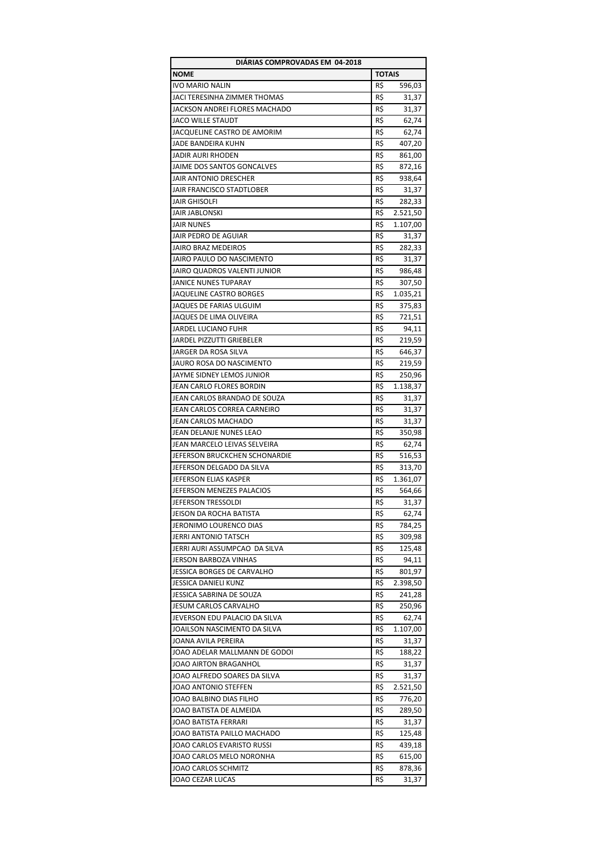| <b>NOME</b><br><b>TOTAIS</b><br>R\$<br><b>IVO MARIO NALIN</b><br>596,03<br>R\$<br>JACI TERESINHA ZIMMER THOMAS<br>31,37<br>JACKSON ANDREI FLORES MACHADO<br>R\$<br>31,37<br><b>JACO WILLE STAUDT</b><br>R\$<br>62,74<br>JACQUELINE CASTRO DE AMORIM<br>R\$<br>62,74<br>R\$<br>JADE BANDEIRA KUHN<br>407,20<br><b>JADIR AURI RHODEN</b><br>R\$<br>861,00<br>JAIME DOS SANTOS GONCALVES<br>R\$<br>872,16<br><b>JAIR ANTONIO DRESCHER</b><br>R\$<br>938,64<br>R\$<br>JAIR FRANCISCO STADTLOBER<br>31,37<br>R\$<br>JAIR GHISOLFI<br>282,33<br>R\$<br>JAIR JABLONSKI<br>2.521,50<br>R\$<br><b>JAIR NUNES</b><br>1.107,00<br>R\$<br>JAIR PEDRO DE AGUIAR<br>31,37<br>JAIRO BRAZ MEDEIROS<br>R\$<br>282,33<br>JAIRO PAULO DO NASCIMENTO<br>R\$<br>31,37<br>JAIRO QUADROS VALENTI JUNIOR<br>R\$<br>986,48<br><b>JANICE NUNES TUPARAY</b><br>R\$<br>307,50<br>R\$<br>JAQUELINE CASTRO BORGES<br>1.035,21<br>JAQUES DE FARIAS ULGUIM<br>R\$<br>375,83<br>JAQUES DE LIMA OLIVEIRA<br>R\$<br>721,51<br>JARDEL LUCIANO FUHR<br>R\$<br>94,11<br>R\$<br>JARDEL PIZZUTTI GRIEBELER<br>219,59<br>R\$<br>JARGER DA ROSA SILVA<br>646,37<br>R\$<br>JAURO ROSA DO NASCIMENTO<br>219,59<br>R\$<br>JAYME SIDNEY LEMOS JUNIOR<br>250,96<br>R\$<br>JEAN CARLO FLORES BORDIN<br>1.138,37<br>R\$<br>JEAN CARLOS BRANDAO DE SOUZA<br>31,37<br>JEAN CARLOS CORREA CARNEIRO<br>R\$<br>31,37<br>JEAN CARLOS MACHADO<br>R\$<br>31,37<br>JEAN DELANJE NUNES LEAO<br>R\$<br>350,98<br>R\$<br>JEAN MARCELO LEIVAS SELVEIRA<br>62,74<br>JEFERSON BRUCKCHEN SCHONARDIE<br>R\$<br>516,53<br>JEFERSON DELGADO DA SILVA<br>R\$<br>313,70<br>R\$<br>JEFERSON ELIAS KASPER<br>1.361,07<br>R\$<br>JEFERSON MENEZES PALACIOS<br>564,66<br>R\$<br>JEFERSON TRESSOLDI<br>31,37<br>JEISON DA ROCHA BATISTA<br>R\$<br>62,74<br>JERONIMO LOURENCO DIAS<br>R\$<br>784,25<br>JERRI ANTONIO TATSCH<br>R\$<br>309,98<br>JERRI AURI ASSUMPCAO DA SILVA<br>R\$<br>125,48<br>JERSON BARBOZA VINHAS<br>R\$<br>94,11<br>JESSICA BORGES DE CARVALHO<br>R\$<br>801,97<br>JESSICA DANIELI KUNZ<br>R\$<br>2.398,50<br>JESSICA SABRINA DE SOUZA<br>R\$<br>241,28<br><b>JESUM CARLOS CARVALHO</b><br>R\$<br>250,96<br>JEVERSON EDU PALACIO DA SILVA<br>R\$<br>62,74<br>R\$<br>JOAILSON NASCIMENTO DA SILVA<br>1.107,00<br>R\$<br>JOANA AVILA PEREIRA<br>31,37<br>JOAO ADELAR MALLMANN DE GODOI<br>R\$<br>188,22<br>R\$<br>JOAO AIRTON BRAGANHOL<br>31,37<br>R\$<br>JOAO ALFREDO SOARES DA SILVA<br>31,37<br>JOAO ANTONIO STEFFEN<br>R\$<br>2.521,50<br>JOAO BALBINO DIAS FILHO<br>R\$<br>776,20<br>JOAO BATISTA DE ALMEIDA<br>R\$<br>289,50<br>JOAO BATISTA FERRARI<br>R\$<br>31,37<br>JOAO BATISTA PAILLO MACHADO<br>R\$<br>125,48<br>R\$<br>JOAO CARLOS EVARISTO RUSSI<br>439,18<br>JOAO CARLOS MELO NORONHA<br>R\$<br>615,00<br>JOAO CARLOS SCHMITZ<br>R\$<br>878,36<br>R\$<br>JOAO CEZAR LUCAS<br>31,37 | DIÁRIAS COMPROVADAS EM 04-2018 |  |  |  |
|----------------------------------------------------------------------------------------------------------------------------------------------------------------------------------------------------------------------------------------------------------------------------------------------------------------------------------------------------------------------------------------------------------------------------------------------------------------------------------------------------------------------------------------------------------------------------------------------------------------------------------------------------------------------------------------------------------------------------------------------------------------------------------------------------------------------------------------------------------------------------------------------------------------------------------------------------------------------------------------------------------------------------------------------------------------------------------------------------------------------------------------------------------------------------------------------------------------------------------------------------------------------------------------------------------------------------------------------------------------------------------------------------------------------------------------------------------------------------------------------------------------------------------------------------------------------------------------------------------------------------------------------------------------------------------------------------------------------------------------------------------------------------------------------------------------------------------------------------------------------------------------------------------------------------------------------------------------------------------------------------------------------------------------------------------------------------------------------------------------------------------------------------------------------------------------------------------------------------------------------------------------------------------------------------------------------------------------------------------------------------------------------------------------------------------------------------------------------------------------------------------------------------------------------------------------------------------------------------------------------------------------------------------------------------------------------------------------------------------------------------------------------------------------------------------------------------------------------|--------------------------------|--|--|--|
|                                                                                                                                                                                                                                                                                                                                                                                                                                                                                                                                                                                                                                                                                                                                                                                                                                                                                                                                                                                                                                                                                                                                                                                                                                                                                                                                                                                                                                                                                                                                                                                                                                                                                                                                                                                                                                                                                                                                                                                                                                                                                                                                                                                                                                                                                                                                                                                                                                                                                                                                                                                                                                                                                                                                                                                                                                              |                                |  |  |  |
|                                                                                                                                                                                                                                                                                                                                                                                                                                                                                                                                                                                                                                                                                                                                                                                                                                                                                                                                                                                                                                                                                                                                                                                                                                                                                                                                                                                                                                                                                                                                                                                                                                                                                                                                                                                                                                                                                                                                                                                                                                                                                                                                                                                                                                                                                                                                                                                                                                                                                                                                                                                                                                                                                                                                                                                                                                              |                                |  |  |  |
|                                                                                                                                                                                                                                                                                                                                                                                                                                                                                                                                                                                                                                                                                                                                                                                                                                                                                                                                                                                                                                                                                                                                                                                                                                                                                                                                                                                                                                                                                                                                                                                                                                                                                                                                                                                                                                                                                                                                                                                                                                                                                                                                                                                                                                                                                                                                                                                                                                                                                                                                                                                                                                                                                                                                                                                                                                              |                                |  |  |  |
|                                                                                                                                                                                                                                                                                                                                                                                                                                                                                                                                                                                                                                                                                                                                                                                                                                                                                                                                                                                                                                                                                                                                                                                                                                                                                                                                                                                                                                                                                                                                                                                                                                                                                                                                                                                                                                                                                                                                                                                                                                                                                                                                                                                                                                                                                                                                                                                                                                                                                                                                                                                                                                                                                                                                                                                                                                              |                                |  |  |  |
|                                                                                                                                                                                                                                                                                                                                                                                                                                                                                                                                                                                                                                                                                                                                                                                                                                                                                                                                                                                                                                                                                                                                                                                                                                                                                                                                                                                                                                                                                                                                                                                                                                                                                                                                                                                                                                                                                                                                                                                                                                                                                                                                                                                                                                                                                                                                                                                                                                                                                                                                                                                                                                                                                                                                                                                                                                              |                                |  |  |  |
|                                                                                                                                                                                                                                                                                                                                                                                                                                                                                                                                                                                                                                                                                                                                                                                                                                                                                                                                                                                                                                                                                                                                                                                                                                                                                                                                                                                                                                                                                                                                                                                                                                                                                                                                                                                                                                                                                                                                                                                                                                                                                                                                                                                                                                                                                                                                                                                                                                                                                                                                                                                                                                                                                                                                                                                                                                              |                                |  |  |  |
|                                                                                                                                                                                                                                                                                                                                                                                                                                                                                                                                                                                                                                                                                                                                                                                                                                                                                                                                                                                                                                                                                                                                                                                                                                                                                                                                                                                                                                                                                                                                                                                                                                                                                                                                                                                                                                                                                                                                                                                                                                                                                                                                                                                                                                                                                                                                                                                                                                                                                                                                                                                                                                                                                                                                                                                                                                              |                                |  |  |  |
|                                                                                                                                                                                                                                                                                                                                                                                                                                                                                                                                                                                                                                                                                                                                                                                                                                                                                                                                                                                                                                                                                                                                                                                                                                                                                                                                                                                                                                                                                                                                                                                                                                                                                                                                                                                                                                                                                                                                                                                                                                                                                                                                                                                                                                                                                                                                                                                                                                                                                                                                                                                                                                                                                                                                                                                                                                              |                                |  |  |  |
|                                                                                                                                                                                                                                                                                                                                                                                                                                                                                                                                                                                                                                                                                                                                                                                                                                                                                                                                                                                                                                                                                                                                                                                                                                                                                                                                                                                                                                                                                                                                                                                                                                                                                                                                                                                                                                                                                                                                                                                                                                                                                                                                                                                                                                                                                                                                                                                                                                                                                                                                                                                                                                                                                                                                                                                                                                              |                                |  |  |  |
|                                                                                                                                                                                                                                                                                                                                                                                                                                                                                                                                                                                                                                                                                                                                                                                                                                                                                                                                                                                                                                                                                                                                                                                                                                                                                                                                                                                                                                                                                                                                                                                                                                                                                                                                                                                                                                                                                                                                                                                                                                                                                                                                                                                                                                                                                                                                                                                                                                                                                                                                                                                                                                                                                                                                                                                                                                              |                                |  |  |  |
|                                                                                                                                                                                                                                                                                                                                                                                                                                                                                                                                                                                                                                                                                                                                                                                                                                                                                                                                                                                                                                                                                                                                                                                                                                                                                                                                                                                                                                                                                                                                                                                                                                                                                                                                                                                                                                                                                                                                                                                                                                                                                                                                                                                                                                                                                                                                                                                                                                                                                                                                                                                                                                                                                                                                                                                                                                              |                                |  |  |  |
|                                                                                                                                                                                                                                                                                                                                                                                                                                                                                                                                                                                                                                                                                                                                                                                                                                                                                                                                                                                                                                                                                                                                                                                                                                                                                                                                                                                                                                                                                                                                                                                                                                                                                                                                                                                                                                                                                                                                                                                                                                                                                                                                                                                                                                                                                                                                                                                                                                                                                                                                                                                                                                                                                                                                                                                                                                              |                                |  |  |  |
|                                                                                                                                                                                                                                                                                                                                                                                                                                                                                                                                                                                                                                                                                                                                                                                                                                                                                                                                                                                                                                                                                                                                                                                                                                                                                                                                                                                                                                                                                                                                                                                                                                                                                                                                                                                                                                                                                                                                                                                                                                                                                                                                                                                                                                                                                                                                                                                                                                                                                                                                                                                                                                                                                                                                                                                                                                              |                                |  |  |  |
|                                                                                                                                                                                                                                                                                                                                                                                                                                                                                                                                                                                                                                                                                                                                                                                                                                                                                                                                                                                                                                                                                                                                                                                                                                                                                                                                                                                                                                                                                                                                                                                                                                                                                                                                                                                                                                                                                                                                                                                                                                                                                                                                                                                                                                                                                                                                                                                                                                                                                                                                                                                                                                                                                                                                                                                                                                              |                                |  |  |  |
|                                                                                                                                                                                                                                                                                                                                                                                                                                                                                                                                                                                                                                                                                                                                                                                                                                                                                                                                                                                                                                                                                                                                                                                                                                                                                                                                                                                                                                                                                                                                                                                                                                                                                                                                                                                                                                                                                                                                                                                                                                                                                                                                                                                                                                                                                                                                                                                                                                                                                                                                                                                                                                                                                                                                                                                                                                              |                                |  |  |  |
|                                                                                                                                                                                                                                                                                                                                                                                                                                                                                                                                                                                                                                                                                                                                                                                                                                                                                                                                                                                                                                                                                                                                                                                                                                                                                                                                                                                                                                                                                                                                                                                                                                                                                                                                                                                                                                                                                                                                                                                                                                                                                                                                                                                                                                                                                                                                                                                                                                                                                                                                                                                                                                                                                                                                                                                                                                              |                                |  |  |  |
|                                                                                                                                                                                                                                                                                                                                                                                                                                                                                                                                                                                                                                                                                                                                                                                                                                                                                                                                                                                                                                                                                                                                                                                                                                                                                                                                                                                                                                                                                                                                                                                                                                                                                                                                                                                                                                                                                                                                                                                                                                                                                                                                                                                                                                                                                                                                                                                                                                                                                                                                                                                                                                                                                                                                                                                                                                              |                                |  |  |  |
|                                                                                                                                                                                                                                                                                                                                                                                                                                                                                                                                                                                                                                                                                                                                                                                                                                                                                                                                                                                                                                                                                                                                                                                                                                                                                                                                                                                                                                                                                                                                                                                                                                                                                                                                                                                                                                                                                                                                                                                                                                                                                                                                                                                                                                                                                                                                                                                                                                                                                                                                                                                                                                                                                                                                                                                                                                              |                                |  |  |  |
|                                                                                                                                                                                                                                                                                                                                                                                                                                                                                                                                                                                                                                                                                                                                                                                                                                                                                                                                                                                                                                                                                                                                                                                                                                                                                                                                                                                                                                                                                                                                                                                                                                                                                                                                                                                                                                                                                                                                                                                                                                                                                                                                                                                                                                                                                                                                                                                                                                                                                                                                                                                                                                                                                                                                                                                                                                              |                                |  |  |  |
|                                                                                                                                                                                                                                                                                                                                                                                                                                                                                                                                                                                                                                                                                                                                                                                                                                                                                                                                                                                                                                                                                                                                                                                                                                                                                                                                                                                                                                                                                                                                                                                                                                                                                                                                                                                                                                                                                                                                                                                                                                                                                                                                                                                                                                                                                                                                                                                                                                                                                                                                                                                                                                                                                                                                                                                                                                              |                                |  |  |  |
|                                                                                                                                                                                                                                                                                                                                                                                                                                                                                                                                                                                                                                                                                                                                                                                                                                                                                                                                                                                                                                                                                                                                                                                                                                                                                                                                                                                                                                                                                                                                                                                                                                                                                                                                                                                                                                                                                                                                                                                                                                                                                                                                                                                                                                                                                                                                                                                                                                                                                                                                                                                                                                                                                                                                                                                                                                              |                                |  |  |  |
|                                                                                                                                                                                                                                                                                                                                                                                                                                                                                                                                                                                                                                                                                                                                                                                                                                                                                                                                                                                                                                                                                                                                                                                                                                                                                                                                                                                                                                                                                                                                                                                                                                                                                                                                                                                                                                                                                                                                                                                                                                                                                                                                                                                                                                                                                                                                                                                                                                                                                                                                                                                                                                                                                                                                                                                                                                              |                                |  |  |  |
|                                                                                                                                                                                                                                                                                                                                                                                                                                                                                                                                                                                                                                                                                                                                                                                                                                                                                                                                                                                                                                                                                                                                                                                                                                                                                                                                                                                                                                                                                                                                                                                                                                                                                                                                                                                                                                                                                                                                                                                                                                                                                                                                                                                                                                                                                                                                                                                                                                                                                                                                                                                                                                                                                                                                                                                                                                              |                                |  |  |  |
|                                                                                                                                                                                                                                                                                                                                                                                                                                                                                                                                                                                                                                                                                                                                                                                                                                                                                                                                                                                                                                                                                                                                                                                                                                                                                                                                                                                                                                                                                                                                                                                                                                                                                                                                                                                                                                                                                                                                                                                                                                                                                                                                                                                                                                                                                                                                                                                                                                                                                                                                                                                                                                                                                                                                                                                                                                              |                                |  |  |  |
|                                                                                                                                                                                                                                                                                                                                                                                                                                                                                                                                                                                                                                                                                                                                                                                                                                                                                                                                                                                                                                                                                                                                                                                                                                                                                                                                                                                                                                                                                                                                                                                                                                                                                                                                                                                                                                                                                                                                                                                                                                                                                                                                                                                                                                                                                                                                                                                                                                                                                                                                                                                                                                                                                                                                                                                                                                              |                                |  |  |  |
|                                                                                                                                                                                                                                                                                                                                                                                                                                                                                                                                                                                                                                                                                                                                                                                                                                                                                                                                                                                                                                                                                                                                                                                                                                                                                                                                                                                                                                                                                                                                                                                                                                                                                                                                                                                                                                                                                                                                                                                                                                                                                                                                                                                                                                                                                                                                                                                                                                                                                                                                                                                                                                                                                                                                                                                                                                              |                                |  |  |  |
|                                                                                                                                                                                                                                                                                                                                                                                                                                                                                                                                                                                                                                                                                                                                                                                                                                                                                                                                                                                                                                                                                                                                                                                                                                                                                                                                                                                                                                                                                                                                                                                                                                                                                                                                                                                                                                                                                                                                                                                                                                                                                                                                                                                                                                                                                                                                                                                                                                                                                                                                                                                                                                                                                                                                                                                                                                              |                                |  |  |  |
|                                                                                                                                                                                                                                                                                                                                                                                                                                                                                                                                                                                                                                                                                                                                                                                                                                                                                                                                                                                                                                                                                                                                                                                                                                                                                                                                                                                                                                                                                                                                                                                                                                                                                                                                                                                                                                                                                                                                                                                                                                                                                                                                                                                                                                                                                                                                                                                                                                                                                                                                                                                                                                                                                                                                                                                                                                              |                                |  |  |  |
|                                                                                                                                                                                                                                                                                                                                                                                                                                                                                                                                                                                                                                                                                                                                                                                                                                                                                                                                                                                                                                                                                                                                                                                                                                                                                                                                                                                                                                                                                                                                                                                                                                                                                                                                                                                                                                                                                                                                                                                                                                                                                                                                                                                                                                                                                                                                                                                                                                                                                                                                                                                                                                                                                                                                                                                                                                              |                                |  |  |  |
|                                                                                                                                                                                                                                                                                                                                                                                                                                                                                                                                                                                                                                                                                                                                                                                                                                                                                                                                                                                                                                                                                                                                                                                                                                                                                                                                                                                                                                                                                                                                                                                                                                                                                                                                                                                                                                                                                                                                                                                                                                                                                                                                                                                                                                                                                                                                                                                                                                                                                                                                                                                                                                                                                                                                                                                                                                              |                                |  |  |  |
|                                                                                                                                                                                                                                                                                                                                                                                                                                                                                                                                                                                                                                                                                                                                                                                                                                                                                                                                                                                                                                                                                                                                                                                                                                                                                                                                                                                                                                                                                                                                                                                                                                                                                                                                                                                                                                                                                                                                                                                                                                                                                                                                                                                                                                                                                                                                                                                                                                                                                                                                                                                                                                                                                                                                                                                                                                              |                                |  |  |  |
|                                                                                                                                                                                                                                                                                                                                                                                                                                                                                                                                                                                                                                                                                                                                                                                                                                                                                                                                                                                                                                                                                                                                                                                                                                                                                                                                                                                                                                                                                                                                                                                                                                                                                                                                                                                                                                                                                                                                                                                                                                                                                                                                                                                                                                                                                                                                                                                                                                                                                                                                                                                                                                                                                                                                                                                                                                              |                                |  |  |  |
|                                                                                                                                                                                                                                                                                                                                                                                                                                                                                                                                                                                                                                                                                                                                                                                                                                                                                                                                                                                                                                                                                                                                                                                                                                                                                                                                                                                                                                                                                                                                                                                                                                                                                                                                                                                                                                                                                                                                                                                                                                                                                                                                                                                                                                                                                                                                                                                                                                                                                                                                                                                                                                                                                                                                                                                                                                              |                                |  |  |  |
|                                                                                                                                                                                                                                                                                                                                                                                                                                                                                                                                                                                                                                                                                                                                                                                                                                                                                                                                                                                                                                                                                                                                                                                                                                                                                                                                                                                                                                                                                                                                                                                                                                                                                                                                                                                                                                                                                                                                                                                                                                                                                                                                                                                                                                                                                                                                                                                                                                                                                                                                                                                                                                                                                                                                                                                                                                              |                                |  |  |  |
|                                                                                                                                                                                                                                                                                                                                                                                                                                                                                                                                                                                                                                                                                                                                                                                                                                                                                                                                                                                                                                                                                                                                                                                                                                                                                                                                                                                                                                                                                                                                                                                                                                                                                                                                                                                                                                                                                                                                                                                                                                                                                                                                                                                                                                                                                                                                                                                                                                                                                                                                                                                                                                                                                                                                                                                                                                              |                                |  |  |  |
|                                                                                                                                                                                                                                                                                                                                                                                                                                                                                                                                                                                                                                                                                                                                                                                                                                                                                                                                                                                                                                                                                                                                                                                                                                                                                                                                                                                                                                                                                                                                                                                                                                                                                                                                                                                                                                                                                                                                                                                                                                                                                                                                                                                                                                                                                                                                                                                                                                                                                                                                                                                                                                                                                                                                                                                                                                              |                                |  |  |  |
|                                                                                                                                                                                                                                                                                                                                                                                                                                                                                                                                                                                                                                                                                                                                                                                                                                                                                                                                                                                                                                                                                                                                                                                                                                                                                                                                                                                                                                                                                                                                                                                                                                                                                                                                                                                                                                                                                                                                                                                                                                                                                                                                                                                                                                                                                                                                                                                                                                                                                                                                                                                                                                                                                                                                                                                                                                              |                                |  |  |  |
|                                                                                                                                                                                                                                                                                                                                                                                                                                                                                                                                                                                                                                                                                                                                                                                                                                                                                                                                                                                                                                                                                                                                                                                                                                                                                                                                                                                                                                                                                                                                                                                                                                                                                                                                                                                                                                                                                                                                                                                                                                                                                                                                                                                                                                                                                                                                                                                                                                                                                                                                                                                                                                                                                                                                                                                                                                              |                                |  |  |  |
|                                                                                                                                                                                                                                                                                                                                                                                                                                                                                                                                                                                                                                                                                                                                                                                                                                                                                                                                                                                                                                                                                                                                                                                                                                                                                                                                                                                                                                                                                                                                                                                                                                                                                                                                                                                                                                                                                                                                                                                                                                                                                                                                                                                                                                                                                                                                                                                                                                                                                                                                                                                                                                                                                                                                                                                                                                              |                                |  |  |  |
|                                                                                                                                                                                                                                                                                                                                                                                                                                                                                                                                                                                                                                                                                                                                                                                                                                                                                                                                                                                                                                                                                                                                                                                                                                                                                                                                                                                                                                                                                                                                                                                                                                                                                                                                                                                                                                                                                                                                                                                                                                                                                                                                                                                                                                                                                                                                                                                                                                                                                                                                                                                                                                                                                                                                                                                                                                              |                                |  |  |  |
|                                                                                                                                                                                                                                                                                                                                                                                                                                                                                                                                                                                                                                                                                                                                                                                                                                                                                                                                                                                                                                                                                                                                                                                                                                                                                                                                                                                                                                                                                                                                                                                                                                                                                                                                                                                                                                                                                                                                                                                                                                                                                                                                                                                                                                                                                                                                                                                                                                                                                                                                                                                                                                                                                                                                                                                                                                              |                                |  |  |  |
|                                                                                                                                                                                                                                                                                                                                                                                                                                                                                                                                                                                                                                                                                                                                                                                                                                                                                                                                                                                                                                                                                                                                                                                                                                                                                                                                                                                                                                                                                                                                                                                                                                                                                                                                                                                                                                                                                                                                                                                                                                                                                                                                                                                                                                                                                                                                                                                                                                                                                                                                                                                                                                                                                                                                                                                                                                              |                                |  |  |  |
|                                                                                                                                                                                                                                                                                                                                                                                                                                                                                                                                                                                                                                                                                                                                                                                                                                                                                                                                                                                                                                                                                                                                                                                                                                                                                                                                                                                                                                                                                                                                                                                                                                                                                                                                                                                                                                                                                                                                                                                                                                                                                                                                                                                                                                                                                                                                                                                                                                                                                                                                                                                                                                                                                                                                                                                                                                              |                                |  |  |  |
|                                                                                                                                                                                                                                                                                                                                                                                                                                                                                                                                                                                                                                                                                                                                                                                                                                                                                                                                                                                                                                                                                                                                                                                                                                                                                                                                                                                                                                                                                                                                                                                                                                                                                                                                                                                                                                                                                                                                                                                                                                                                                                                                                                                                                                                                                                                                                                                                                                                                                                                                                                                                                                                                                                                                                                                                                                              |                                |  |  |  |
|                                                                                                                                                                                                                                                                                                                                                                                                                                                                                                                                                                                                                                                                                                                                                                                                                                                                                                                                                                                                                                                                                                                                                                                                                                                                                                                                                                                                                                                                                                                                                                                                                                                                                                                                                                                                                                                                                                                                                                                                                                                                                                                                                                                                                                                                                                                                                                                                                                                                                                                                                                                                                                                                                                                                                                                                                                              |                                |  |  |  |
|                                                                                                                                                                                                                                                                                                                                                                                                                                                                                                                                                                                                                                                                                                                                                                                                                                                                                                                                                                                                                                                                                                                                                                                                                                                                                                                                                                                                                                                                                                                                                                                                                                                                                                                                                                                                                                                                                                                                                                                                                                                                                                                                                                                                                                                                                                                                                                                                                                                                                                                                                                                                                                                                                                                                                                                                                                              |                                |  |  |  |
|                                                                                                                                                                                                                                                                                                                                                                                                                                                                                                                                                                                                                                                                                                                                                                                                                                                                                                                                                                                                                                                                                                                                                                                                                                                                                                                                                                                                                                                                                                                                                                                                                                                                                                                                                                                                                                                                                                                                                                                                                                                                                                                                                                                                                                                                                                                                                                                                                                                                                                                                                                                                                                                                                                                                                                                                                                              |                                |  |  |  |
|                                                                                                                                                                                                                                                                                                                                                                                                                                                                                                                                                                                                                                                                                                                                                                                                                                                                                                                                                                                                                                                                                                                                                                                                                                                                                                                                                                                                                                                                                                                                                                                                                                                                                                                                                                                                                                                                                                                                                                                                                                                                                                                                                                                                                                                                                                                                                                                                                                                                                                                                                                                                                                                                                                                                                                                                                                              |                                |  |  |  |
|                                                                                                                                                                                                                                                                                                                                                                                                                                                                                                                                                                                                                                                                                                                                                                                                                                                                                                                                                                                                                                                                                                                                                                                                                                                                                                                                                                                                                                                                                                                                                                                                                                                                                                                                                                                                                                                                                                                                                                                                                                                                                                                                                                                                                                                                                                                                                                                                                                                                                                                                                                                                                                                                                                                                                                                                                                              |                                |  |  |  |
|                                                                                                                                                                                                                                                                                                                                                                                                                                                                                                                                                                                                                                                                                                                                                                                                                                                                                                                                                                                                                                                                                                                                                                                                                                                                                                                                                                                                                                                                                                                                                                                                                                                                                                                                                                                                                                                                                                                                                                                                                                                                                                                                                                                                                                                                                                                                                                                                                                                                                                                                                                                                                                                                                                                                                                                                                                              |                                |  |  |  |
|                                                                                                                                                                                                                                                                                                                                                                                                                                                                                                                                                                                                                                                                                                                                                                                                                                                                                                                                                                                                                                                                                                                                                                                                                                                                                                                                                                                                                                                                                                                                                                                                                                                                                                                                                                                                                                                                                                                                                                                                                                                                                                                                                                                                                                                                                                                                                                                                                                                                                                                                                                                                                                                                                                                                                                                                                                              |                                |  |  |  |
|                                                                                                                                                                                                                                                                                                                                                                                                                                                                                                                                                                                                                                                                                                                                                                                                                                                                                                                                                                                                                                                                                                                                                                                                                                                                                                                                                                                                                                                                                                                                                                                                                                                                                                                                                                                                                                                                                                                                                                                                                                                                                                                                                                                                                                                                                                                                                                                                                                                                                                                                                                                                                                                                                                                                                                                                                                              |                                |  |  |  |
|                                                                                                                                                                                                                                                                                                                                                                                                                                                                                                                                                                                                                                                                                                                                                                                                                                                                                                                                                                                                                                                                                                                                                                                                                                                                                                                                                                                                                                                                                                                                                                                                                                                                                                                                                                                                                                                                                                                                                                                                                                                                                                                                                                                                                                                                                                                                                                                                                                                                                                                                                                                                                                                                                                                                                                                                                                              |                                |  |  |  |
|                                                                                                                                                                                                                                                                                                                                                                                                                                                                                                                                                                                                                                                                                                                                                                                                                                                                                                                                                                                                                                                                                                                                                                                                                                                                                                                                                                                                                                                                                                                                                                                                                                                                                                                                                                                                                                                                                                                                                                                                                                                                                                                                                                                                                                                                                                                                                                                                                                                                                                                                                                                                                                                                                                                                                                                                                                              |                                |  |  |  |
|                                                                                                                                                                                                                                                                                                                                                                                                                                                                                                                                                                                                                                                                                                                                                                                                                                                                                                                                                                                                                                                                                                                                                                                                                                                                                                                                                                                                                                                                                                                                                                                                                                                                                                                                                                                                                                                                                                                                                                                                                                                                                                                                                                                                                                                                                                                                                                                                                                                                                                                                                                                                                                                                                                                                                                                                                                              |                                |  |  |  |
|                                                                                                                                                                                                                                                                                                                                                                                                                                                                                                                                                                                                                                                                                                                                                                                                                                                                                                                                                                                                                                                                                                                                                                                                                                                                                                                                                                                                                                                                                                                                                                                                                                                                                                                                                                                                                                                                                                                                                                                                                                                                                                                                                                                                                                                                                                                                                                                                                                                                                                                                                                                                                                                                                                                                                                                                                                              |                                |  |  |  |
|                                                                                                                                                                                                                                                                                                                                                                                                                                                                                                                                                                                                                                                                                                                                                                                                                                                                                                                                                                                                                                                                                                                                                                                                                                                                                                                                                                                                                                                                                                                                                                                                                                                                                                                                                                                                                                                                                                                                                                                                                                                                                                                                                                                                                                                                                                                                                                                                                                                                                                                                                                                                                                                                                                                                                                                                                                              |                                |  |  |  |
|                                                                                                                                                                                                                                                                                                                                                                                                                                                                                                                                                                                                                                                                                                                                                                                                                                                                                                                                                                                                                                                                                                                                                                                                                                                                                                                                                                                                                                                                                                                                                                                                                                                                                                                                                                                                                                                                                                                                                                                                                                                                                                                                                                                                                                                                                                                                                                                                                                                                                                                                                                                                                                                                                                                                                                                                                                              |                                |  |  |  |
|                                                                                                                                                                                                                                                                                                                                                                                                                                                                                                                                                                                                                                                                                                                                                                                                                                                                                                                                                                                                                                                                                                                                                                                                                                                                                                                                                                                                                                                                                                                                                                                                                                                                                                                                                                                                                                                                                                                                                                                                                                                                                                                                                                                                                                                                                                                                                                                                                                                                                                                                                                                                                                                                                                                                                                                                                                              |                                |  |  |  |
|                                                                                                                                                                                                                                                                                                                                                                                                                                                                                                                                                                                                                                                                                                                                                                                                                                                                                                                                                                                                                                                                                                                                                                                                                                                                                                                                                                                                                                                                                                                                                                                                                                                                                                                                                                                                                                                                                                                                                                                                                                                                                                                                                                                                                                                                                                                                                                                                                                                                                                                                                                                                                                                                                                                                                                                                                                              |                                |  |  |  |
|                                                                                                                                                                                                                                                                                                                                                                                                                                                                                                                                                                                                                                                                                                                                                                                                                                                                                                                                                                                                                                                                                                                                                                                                                                                                                                                                                                                                                                                                                                                                                                                                                                                                                                                                                                                                                                                                                                                                                                                                                                                                                                                                                                                                                                                                                                                                                                                                                                                                                                                                                                                                                                                                                                                                                                                                                                              |                                |  |  |  |
|                                                                                                                                                                                                                                                                                                                                                                                                                                                                                                                                                                                                                                                                                                                                                                                                                                                                                                                                                                                                                                                                                                                                                                                                                                                                                                                                                                                                                                                                                                                                                                                                                                                                                                                                                                                                                                                                                                                                                                                                                                                                                                                                                                                                                                                                                                                                                                                                                                                                                                                                                                                                                                                                                                                                                                                                                                              |                                |  |  |  |
|                                                                                                                                                                                                                                                                                                                                                                                                                                                                                                                                                                                                                                                                                                                                                                                                                                                                                                                                                                                                                                                                                                                                                                                                                                                                                                                                                                                                                                                                                                                                                                                                                                                                                                                                                                                                                                                                                                                                                                                                                                                                                                                                                                                                                                                                                                                                                                                                                                                                                                                                                                                                                                                                                                                                                                                                                                              |                                |  |  |  |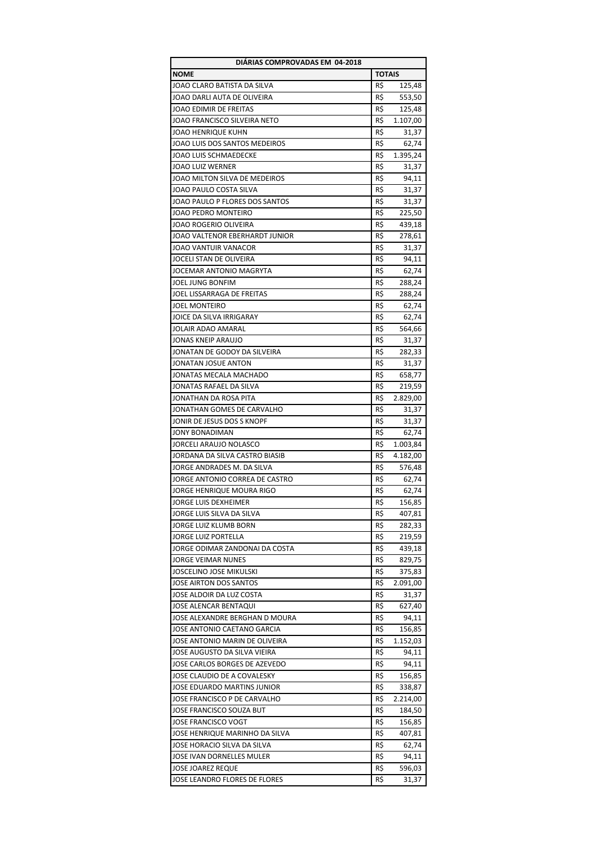| DIARIAS COMPROVADAS EM 04-2018 |               |          |
|--------------------------------|---------------|----------|
| <b>NOME</b>                    | <b>TOTAIS</b> |          |
| JOAO CLARO BATISTA DA SILVA    | R\$           | 125,48   |
| JOAO DARLI AUTA DE OLIVEIRA    | R\$           | 553,50   |
| JOAO EDIMIR DE FREITAS         | R\$           | 125,48   |
| JOAO FRANCISCO SILVEIRA NETO   | R\$           | 1.107,00 |
| JOAO HENRIQUE KUHN             | R\$           | 31,37    |
| JOAO LUIS DOS SANTOS MEDEIROS  | R\$           | 62,74    |
| <b>JOAO LUIS SCHMAEDECKE</b>   | R\$           | 1.395,24 |
| <b>JOAO LUIZ WERNER</b>        | R\$           | 31,37    |
| JOAO MILTON SILVA DE MEDEIROS  | R\$           | 94,11    |
| JOAO PAULO COSTA SILVA         | R\$           | 31,37    |
| JOAO PAULO P FLORES DOS SANTOS | R\$           | 31,37    |
| JOAO PEDRO MONTEIRO            | R\$           | 225,50   |
| JOAO ROGERIO OLIVEIRA          | R\$           | 439,18   |
|                                | R\$           |          |
| JOAO VALTENOR EBERHARDT JUNIOR |               | 278,61   |
| JOAO VANTUIR VANACOR           | R\$           | 31,37    |
| JOCELI STAN DE OLIVEIRA        | R\$           | 94,11    |
| JOCEMAR ANTONIO MAGRYTA        | R\$           | 62,74    |
| JOEL JUNG BONFIM               | R\$           | 288,24   |
| JOEL LISSARRAGA DE FREITAS     | R\$           | 288,24   |
| <b>JOEL MONTEIRO</b>           | R\$           | 62,74    |
| JOICE DA SILVA IRRIGARAY       | R\$           | 62,74    |
| JOLAIR ADAO AMARAL             | R\$           | 564,66   |
| JONAS KNEIP ARAUJO             | R\$           | 31,37    |
| JONATAN DE GODOY DA SILVEIRA   | R\$           | 282,33   |
| JONATAN JOSUE ANTON            | R\$           | 31,37    |
| JONATAS MECALA MACHADO         | R\$           | 658,77   |
| JONATAS RAFAEL DA SILVA        | R\$           | 219,59   |
| JONATHAN DA ROSA PITA          | R\$           | 2.829,00 |
| JONATHAN GOMES DE CARVALHO     | R\$           | 31,37    |
| JONIR DE JESUS DOS S KNOPF     | R\$           | 31,37    |
| <b>JONY BONADIMAN</b>          | R\$           | 62,74    |
| JORCELI ARAUJO NOLASCO         | R\$           | 1.003,84 |
| JORDANA DA SILVA CASTRO BIASIB | R\$           | 4.182,00 |
| JORGE ANDRADES M. DA SILVA     | R\$           | 576,48   |
| JORGE ANTONIO CORREA DE CASTRO | R\$           | 62,74    |
| JORGE HENRIQUE MOURA RIGO      | R\$           | 62,74    |
| JORGE LUIS DEXHEIMER           | R\$           | 156,85   |
| JORGE LUIS SILVA DA SILVA      | R\$           | 407,81   |
| JORGE LUIZ KLUMB BORN          | R\$           | 282,33   |
| JORGE LUIZ PORTELLA            | R\$           | 219,59   |
| JORGE ODIMAR ZANDONAI DA COSTA | R\$           | 439,18   |
| JORGE VEIMAR NUNES             | R\$           | 829,75   |
| JOSCELINO JOSE MIKULSKI        | R\$           | 375,83   |
| JOSE AIRTON DOS SANTOS         | R\$           | 2.091,00 |
| JOSE ALDOIR DA LUZ COSTA       | R\$           | 31,37    |
| JOSE ALENCAR BENTAQUI          | R\$           | 627,40   |
| JOSE ALEXANDRE BERGHAN D MOURA | R\$           | 94,11    |
| JOSE ANTONIO CAETANO GARCIA    | R\$           | 156,85   |
| JOSE ANTONIO MARIN DE OLIVEIRA | R\$           | 1.152,03 |
| JOSE AUGUSTO DA SILVA VIEIRA   | R\$           | 94,11    |
| JOSE CARLOS BORGES DE AZEVEDO  | R\$           | 94,11    |
|                                | R\$           |          |
| JOSE CLAUDIO DE A COVALESKY    |               | 156,85   |
| JOSE EDUARDO MARTINS JUNIOR    | R\$           | 338,87   |
| JOSE FRANCISCO P DE CARVALHO   | R\$           | 2.214,00 |
| JOSE FRANCISCO SOUZA BUT       | R\$           | 184,50   |
| JOSE FRANCISCO VOGT            | R\$           | 156,85   |
| JOSE HENRIQUE MARINHO DA SILVA | R\$           | 407,81   |
| JOSE HORACIO SILVA DA SILVA    | R\$           | 62,74    |
| JOSE IVAN DORNELLES MULER      | R\$           | 94,11    |
| JOSE JOAREZ REQUE              | R\$           | 596,03   |
| JOSE LEANDRO FLORES DE FLORES  | R\$           | 31,37    |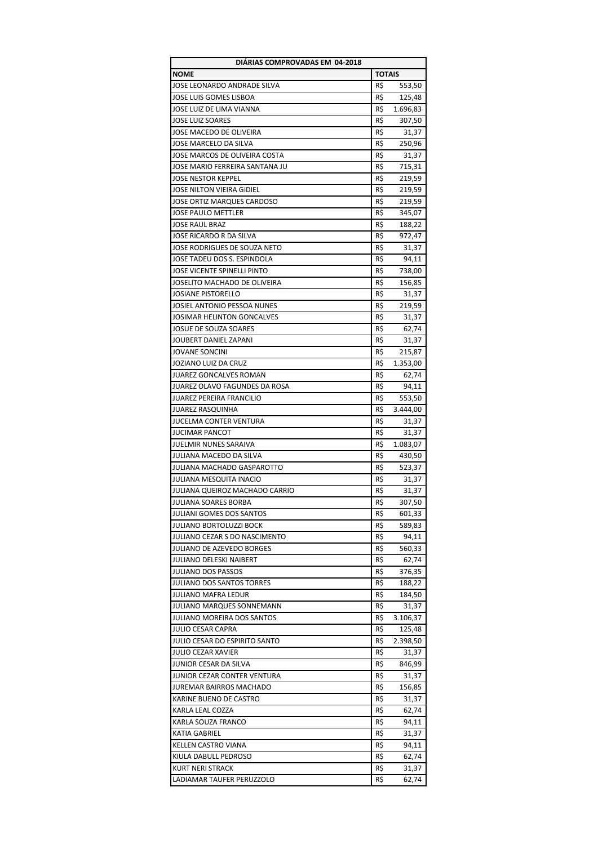| DIÁRIAS COMPROVADAS EM 04-2018                        |               |          |
|-------------------------------------------------------|---------------|----------|
| <b>NOME</b>                                           | <b>TOTAIS</b> |          |
| JOSE LEONARDO ANDRADE SILVA                           | R\$           | 553,50   |
| JOSE LUIS GOMES LISBOA                                | R\$           | 125,48   |
| JOSE LUIZ DE LIMA VIANNA                              | R\$           | 1.696,83 |
| <b>JOSE LUIZ SOARES</b>                               | R\$           | 307,50   |
| JOSE MACEDO DE OLIVEIRA                               | R\$           | 31,37    |
| JOSE MARCELO DA SILVA                                 | R\$           | 250,96   |
| JOSE MARCOS DE OLIVEIRA COSTA                         | R\$           | 31,37    |
| JOSE MARIO FERREIRA SANTANA JU                        | R\$           | 715,31   |
| JOSE NESTOR KEPPEL                                    | R\$           | 219,59   |
| JOSE NILTON VIEIRA GIDIEL                             | R\$           | 219,59   |
| JOSE ORTIZ MARQUES CARDOSO                            | R\$           | 219,59   |
| <b>JOSE PAULO METTLER</b>                             | R\$           | 345,07   |
| <b>JOSE RAUL BRAZ</b>                                 | R\$           | 188,22   |
| JOSE RICARDO R DA SILVA                               | R\$           | 972,47   |
| JOSE RODRIGUES DE SOUZA NETO                          | R\$           | 31,37    |
| JOSE TADEU DOS S. ESPINDOLA                           | R\$           | 94,11    |
| JOSE VICENTE SPINELLI PINTO                           | R\$           | 738,00   |
| JOSELITO MACHADO DE OLIVEIRA                          | R\$           | 156,85   |
| <b>JOSIANE PISTORELLO</b>                             | R\$           | 31,37    |
| JOSIEL ANTONIO PESSOA NUNES                           | R\$           | 219,59   |
| JOSIMAR HELINTON GONCALVES                            | R\$           |          |
|                                                       |               | 31,37    |
| <b>JOSUE DE SOUZA SOARES</b><br>JOUBERT DANIEL ZAPANI | R\$           | 62,74    |
|                                                       | R\$           | 31,37    |
| JOVANE SONCINI                                        | R\$           | 215,87   |
| JOZIANO LUIZ DA CRUZ                                  | R\$           | 1.353,00 |
| JUAREZ GONCALVES ROMAN                                | R\$           | 62,74    |
| JUAREZ OLAVO FAGUNDES DA ROSA                         | R\$           | 94,11    |
| JUAREZ PEREIRA FRANCILIO                              | R\$           | 553,50   |
| JUAREZ RASQUINHA                                      | R\$           | 3.444,00 |
| JUCELMA CONTER VENTURA                                | R\$           | 31,37    |
| <b>JUCIMAR PANCOT</b>                                 | R\$           | 31,37    |
| <b>JUELMIR NUNES SARAIVA</b>                          | R\$           | 1.083,07 |
| JULIANA MACEDO DA SILVA                               | R\$           | 430,50   |
| JULIANA MACHADO GASPAROTTO                            | R\$           | 523,37   |
| JULIANA MESQUITA INACIO                               | R\$           | 31,37    |
| JULIANA QUEIROZ MACHADO CARRIO                        | R\$           | 31,37    |
| JULIANA SOARES BORBA                                  | R\$           | 307,50   |
| JULIANI GOMES DOS SANTOS                              | R\$           | 601,33   |
| JULIANO BORTOLUZZI BOCK                               | R\$           | 589,83   |
| JULIANO CEZAR S DO NASCIMENTO                         | R\$           | 94,11    |
| <b>JULIANO DE AZEVEDO BORGES</b>                      | R\$           | 560,33   |
| JULIANO DELESKI NAIBERT                               | R\$           | 62,74    |
| <b>JULIANO DOS PASSOS</b>                             | R\$           | 376,35   |
| JULIANO DOS SANTOS TORRES                             | R\$           | 188,22   |
| <b>JULIANO MAFRA LEDUR</b>                            | R\$           | 184,50   |
| JULIANO MARQUES SONNEMANN                             | R\$           | 31,37    |
| JULIANO MOREIRA DOS SANTOS                            | R\$           | 3.106,37 |
| JULIO CESAR CAPRA                                     | R\$           | 125,48   |
| JULIO CESAR DO ESPIRITO SANTO                         | R\$           | 2.398,50 |
| JULIO CEZAR XAVIER                                    | R\$           | 31,37    |
| JUNIOR CESAR DA SILVA                                 | R\$           | 846,99   |
| JUNIOR CEZAR CONTER VENTURA                           | R\$           | 31,37    |
| JUREMAR BAIRROS MACHADO                               | R\$           | 156,85   |
| KARINE BUENO DE CASTRO                                | R\$           | 31,37    |
| KARLA LEAL COZZA                                      | R\$           | 62,74    |
| KARLA SOUZA FRANCO                                    | R\$           | 94,11    |
| KATIA GABRIEL                                         | R\$           | 31,37    |
| KELLEN CASTRO VIANA                                   | R\$           | 94,11    |
| KIULA DABULL PEDROSO                                  | R\$           | 62,74    |
| <b>KURT NERI STRACK</b>                               | R\$           | 31,37    |
| LADIAMAR TAUFER PERUZZOLO                             | R\$           | 62,74    |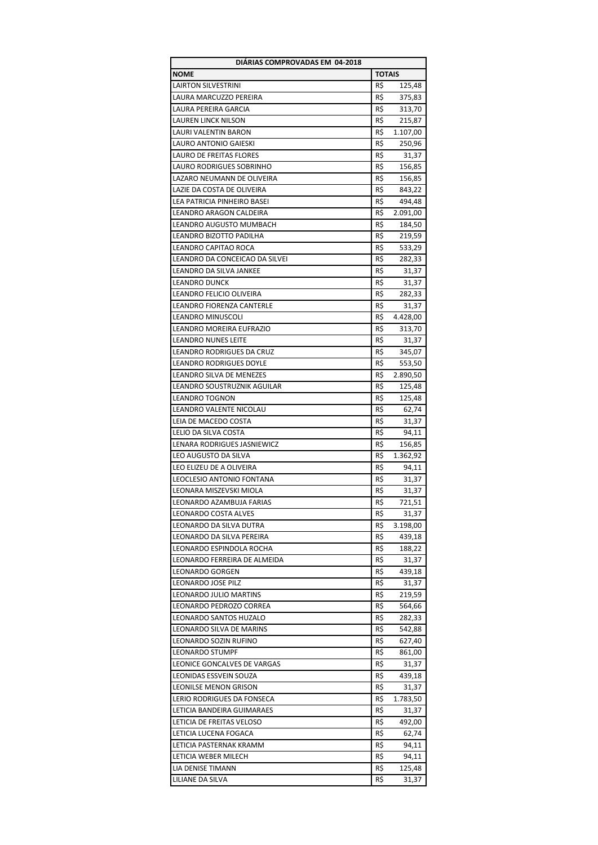| DIÁRIAS COMPROVADAS EM 04-2018   |               |          |
|----------------------------------|---------------|----------|
| <b>NOME</b>                      | <b>TOTAIS</b> |          |
| <b>LAIRTON SILVESTRINI</b>       | R\$           | 125,48   |
| LAURA MARCUZZO PEREIRA           | R\$           | 375,83   |
| <b>LAURA PEREIRA GARCIA</b>      | R\$           | 313,70   |
| <b>LAUREN LINCK NILSON</b>       | R\$           | 215,87   |
| LAURI VALENTIN BARON             | R\$           | 1.107,00 |
| LAURO ANTONIO GAIESKI            | R\$           | 250,96   |
| <b>LAURO DE FREITAS FLORES</b>   | R\$           | 31,37    |
| LAURO RODRIGUES SOBRINHO         | R\$           | 156,85   |
| LAZARO NEUMANN DE OLIVEIRA       | R\$           | 156,85   |
| LAZIE DA COSTA DE OLIVEIRA       | R\$           | 843,22   |
| LEA PATRICIA PINHEIRO BASEI      | R\$           | 494,48   |
|                                  |               |          |
| LEANDRO ARAGON CALDEIRA          | R\$           | 2.091,00 |
| LEANDRO AUGUSTO MUMBACH          | R\$           | 184,50   |
| LEANDRO BIZOTTO PADILHA          | R\$           | 219,59   |
| LEANDRO CAPITAO ROCA             | R\$           | 533,29   |
| LEANDRO DA CONCEICAO DA SILVEI   | R\$           | 282,33   |
| LEANDRO DA SILVA JANKEE          | R\$           | 31,37    |
| <b>LEANDRO DUNCK</b>             | R\$           | 31,37    |
| LEANDRO FELICIO OLIVEIRA         | R\$           | 282,33   |
| LEANDRO FIORENZA CANTERLE        | R\$           | 31,37    |
| LEANDRO MINUSCOLI                | R\$           | 4.428,00 |
| LEANDRO MOREIRA EUFRAZIO         | R\$           | 313,70   |
| <b>LEANDRO NUNES LEITE</b>       | R\$           | 31,37    |
| LEANDRO RODRIGUES DA CRUZ        | R\$           | 345,07   |
| <b>LEANDRO RODRIGUES DOYLE</b>   | R\$           | 553,50   |
| LEANDRO SILVA DE MENEZES         | R\$           | 2.890,50 |
| LEANDRO SOUSTRUZNIK AGUILAR      | R\$           | 125,48   |
| <b>LEANDRO TOGNON</b>            | R\$           | 125,48   |
| LEANDRO VALENTE NICOLAU          | R\$           | 62,74    |
| LEIA DE MACEDO COSTA             | R\$           | 31,37    |
| LELIO DA SILVA COSTA             | R\$           | 94,11    |
| LENARA RODRIGUES JASNIEWICZ      | R\$           |          |
|                                  |               | 156,85   |
| LEO AUGUSTO DA SILVA             | R\$           | 1.362,92 |
| LEO ELIZEU DE A OLIVEIRA         | R\$           | 94,11    |
| <b>LEOCLESIO ANTONIO FONTANA</b> | R\$           | 31,37    |
| LEONARA MISZEVSKI MIOLA          | R\$           | 31,37    |
| LEONARDO AZAMBUJA FARIAS         | R\$           | 721,51   |
| LEONARDO COSTA ALVES             | R\$           | 31,37    |
| LEONARDO DA SILVA DUTRA          | R\$           | 3.198,00 |
| LEONARDO DA SILVA PEREIRA        | R\$           | 439,18   |
| LEONARDO ESPINDOLA ROCHA         | R\$           | 188,22   |
| LEONARDO FERREIRA DE ALMEIDA     | R\$           | 31,37    |
| <b>LEONARDO GORGEN</b>           | R\$           | 439,18   |
| <b>LEONARDO JOSE PILZ</b>        | R\$           | 31,37    |
| LEONARDO JULIO MARTINS           | R\$           | 219,59   |
| LEONARDO PEDROZO CORREA          | R\$           | 564,66   |
| <b>LEONARDO SANTOS HUZALO</b>    | R\$           | 282,33   |
| LEONARDO SILVA DE MARINS         | R\$           | 542,88   |
| LEONARDO SOZIN RUFINO            | R\$           | 627,40   |
| <b>LEONARDO STUMPF</b>           | R\$           | 861,00   |
| LEONICE GONCALVES DE VARGAS      | R\$           | 31,37    |
| LEONIDAS ESSVEIN SOUZA           | R\$           | 439,18   |
| <b>LEONILSE MENON GRISON</b>     | R\$           | 31,37    |
| LERIO RODRIGUES DA FONSECA       | R\$           | 1.783,50 |
| LETICIA BANDEIRA GUIMARAES       | R\$           | 31,37    |
| LETICIA DE FREITAS VELOSO        | R\$           | 492,00   |
| LETICIA LUCENA FOGACA            | R\$           |          |
|                                  |               | 62,74    |
| LETICIA PASTERNAK KRAMM          | R\$           | 94,11    |
| LETICIA WEBER MILECH             | R\$           | 94,11    |
| LIA DENISE TIMANN                | R\$           | 125,48   |
| LILIANE DA SILVA                 | R\$           | 31,37    |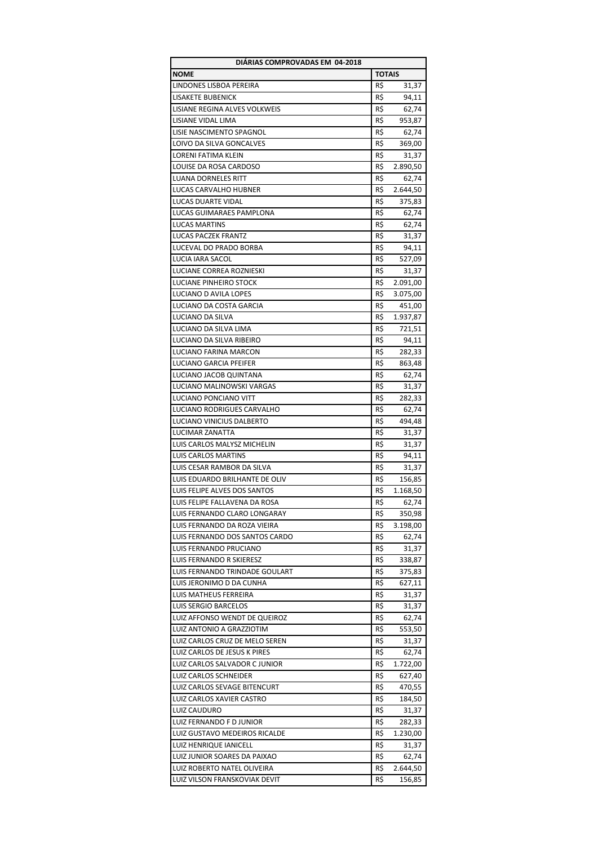| DIÁRIAS COMPROVADAS EM 04-2018  |               |          |
|---------------------------------|---------------|----------|
| <b>NOME</b>                     | <b>TOTAIS</b> |          |
| LINDONES LISBOA PEREIRA         | R\$           | 31,37    |
| <b>LISAKETE BUBENICK</b>        | R\$           | 94,11    |
| LISIANE REGINA ALVES VOLKWEIS   | R\$           | 62,74    |
| LISIANE VIDAL LIMA              | R\$           | 953,87   |
| LISIE NASCIMENTO SPAGNOL        | R\$           | 62,74    |
| LOIVO DA SILVA GONCALVES        | R\$           | 369,00   |
| LORENI FATIMA KLEIN             | R\$           | 31,37    |
| LOUISE DA ROSA CARDOSO          | R\$           | 2.890,50 |
| <b>LUANA DORNELES RITT</b>      | R\$           | 62,74    |
| LUCAS CARVALHO HUBNER           | R\$           | 2.644,50 |
| <b>LUCAS DUARTE VIDAL</b>       | R\$           |          |
|                                 |               | 375,83   |
| LUCAS GUIMARAES PAMPLONA        | R\$           | 62,74    |
| <b>LUCAS MARTINS</b>            | R\$           | 62,74    |
| <b>LUCAS PACZEK FRANTZ</b>      | R\$           | 31,37    |
| LUCEVAL DO PRADO BORBA          | R\$           | 94,11    |
| LUCIA IARA SACOL                | R\$           | 527,09   |
| <b>LUCIANE CORREA ROZNIESKI</b> | R\$           | 31,37    |
| <b>LUCIANE PINHEIRO STOCK</b>   | R\$           | 2.091,00 |
| LUCIANO D AVILA LOPES           | R\$           | 3.075,00 |
| LUCIANO DA COSTA GARCIA         | R\$           | 451,00   |
| <b>LUCIANO DA SILVA</b>         | R\$           | 1.937,87 |
| LUCIANO DA SILVA LIMA           | R\$           | 721,51   |
| LUCIANO DA SILVA RIBEIRO        | R\$           | 94,11    |
| LUCIANO FARINA MARCON           | R\$           | 282,33   |
| <b>LUCIANO GARCIA PFEIFER</b>   | R\$           | 863,48   |
| LUCIANO JACOB QUINTANA          | R\$           | 62,74    |
| LUCIANO MALINOWSKI VARGAS       | R\$           | 31,37    |
| LUCIANO PONCIANO VITT           | R\$           | 282,33   |
|                                 |               |          |
| LUCIANO RODRIGUES CARVALHO      | R\$           | 62,74    |
| LUCIANO VINICIUS DALBERTO       | R\$           | 494,48   |
| <b>LUCIMAR ZANATTA</b>          | R\$           | 31,37    |
| LUIS CARLOS MALYSZ MICHELIN     | R\$           | 31,37    |
| <b>LUIS CARLOS MARTINS</b>      | R\$           | 94,11    |
| LUIS CESAR RAMBOR DA SILVA      | R\$           | 31,37    |
| LUIS EDUARDO BRILHANTE DE OLIV  | R\$           | 156,85   |
| LUIS FELIPE ALVES DOS SANTOS    | R\$           | 1.168,50 |
| LUIS FELIPE FALLAVENA DA ROSA   | R\$           | 62,74    |
| LUIS FERNANDO CLARO LONGARAY    | R\$           | 350,98   |
| LUIS FERNANDO DA ROZA VIEIRA    | R\$           | 3.198,00 |
| LUIS FERNANDO DOS SANTOS CARDO  | R\$           | 62,74    |
| LUIS FERNANDO PRUCIANO          | R\$           | 31,37    |
| LUIS FERNANDO R SKIERESZ        | R\$           | 338,87   |
| LUIS FERNANDO TRINDADE GOULART  | R\$           | 375,83   |
| LUIS JERONIMO D DA CUNHA        | R\$           | 627,11   |
| LUIS MATHEUS FERREIRA           | R\$           | 31,37    |
| LUIS SERGIO BARCELOS            | R\$           | 31,37    |
| LUIZ AFFONSO WENDT DE QUEIROZ   | R\$           | 62,74    |
| LUIZ ANTONIO A GRAZZIOTIM       | R\$           | 553,50   |
| LUIZ CARLOS CRUZ DE MELO SEREN  | R\$           | 31,37    |
| LUIZ CARLOS DE JESUS K PIRES    | R\$           | 62,74    |
|                                 |               |          |
| LUIZ CARLOS SALVADOR C JUNIOR   | R\$           | 1.722,00 |
| LUIZ CARLOS SCHNEIDER           | R\$           | 627,40   |
| LUIZ CARLOS SEVAGE BITENCURT    | R\$           | 470,55   |
| LUIZ CARLOS XAVIER CASTRO       | R\$           | 184,50   |
| LUIZ CAUDURO                    | R\$           | 31,37    |
| LUIZ FERNANDO F D JUNIOR        | R\$           | 282,33   |
| LUIZ GUSTAVO MEDEIROS RICALDE   | R\$           | 1.230,00 |
| LUIZ HENRIQUE IANICELL          | R\$           | 31,37    |
| LUIZ JUNIOR SOARES DA PAIXAO    | R\$           | 62,74    |
| LUIZ ROBERTO NATEL OLIVEIRA     | R\$           | 2.644,50 |
| LUIZ VILSON FRANSKOVIAK DEVIT   | R\$           | 156,85   |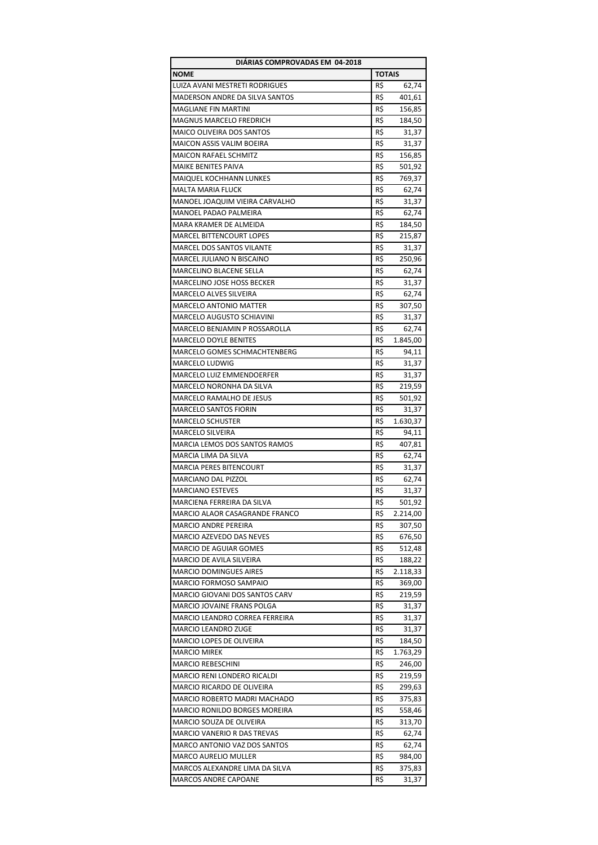| DIÁRIAS COMPROVADAS EM 04-2018       |               |          |
|--------------------------------------|---------------|----------|
| <b>NOME</b>                          | <b>TOTAIS</b> |          |
| LUIZA AVANI MESTRETI RODRIGUES       | R\$           | 62,74    |
| MADERSON ANDRE DA SILVA SANTOS       | R\$           | 401,61   |
| <b>MAGLIANE FIN MARTINI</b>          | R\$           | 156,85   |
| MAGNUS MARCELO FREDRICH              | R\$           | 184,50   |
| MAICO OLIVEIRA DOS SANTOS            | R\$           | 31,37    |
| MAICON ASSIS VALIM BOEIRA            | R\$           |          |
| <b>MAICON RAFAEL SCHMITZ</b>         |               | 31,37    |
|                                      | R\$           | 156,85   |
| MAIKE BENITES PAIVA                  | R\$           | 501,92   |
| MAIQUEL KOCHHANN LUNKES              | R\$           | 769,37   |
| <b>MALTA MARIA FLUCK</b>             | R\$           | 62,74    |
| MANOEL JOAQUIM VIEIRA CARVALHO       | R\$           | 31,37    |
| MANOEL PADAO PALMEIRA                | R\$           | 62,74    |
| MARA KRAMER DE ALMEIDA               | R\$           | 184,50   |
| <b>MARCEL BITTENCOURT LOPES</b>      | R\$           | 215,87   |
| <b>MARCEL DOS SANTOS VILANTE</b>     | R\$           | 31,37    |
| MARCEL JULIANO N BISCAINO            | R\$           | 250,96   |
| MARCELINO BLACENE SELLA              | R\$           | 62,74    |
| <b>MARCELINO JOSE HOSS BECKER</b>    | R\$           | 31,37    |
| MARCELO ALVES SILVEIRA               | R\$           | 62,74    |
|                                      |               |          |
| <b>MARCELO ANTONIO MATTER</b>        | R\$           | 307,50   |
| MARCELO AUGUSTO SCHIAVINI            | R\$           | 31,37    |
| MARCELO BENJAMIN P ROSSAROLLA        | R\$           | 62,74    |
| <b>MARCELO DOYLE BENITES</b>         | R\$           | 1.845,00 |
| MARCELO GOMES SCHMACHTENBERG         | R\$           | 94,11    |
| MARCELO LUDWIG                       | R\$           | 31,37    |
| MARCELO LUIZ EMMENDOERFER            | R\$           | 31,37    |
| MARCELO NORONHA DA SILVA             | R\$           | 219,59   |
| MARCELO RAMALHO DE JESUS             | R\$           | 501,92   |
| <b>MARCELO SANTOS FIORIN</b>         | R\$           | 31,37    |
| <b>MARCELO SCHUSTER</b>              | R\$           | 1.630,37 |
| <b>MARCELO SILVEIRA</b>              | R\$           | 94,11    |
| <b>MARCIA LEMOS DOS SANTOS RAMOS</b> | R\$           | 407,81   |
| MARCIA LIMA DA SILVA                 | R\$           | 62,74    |
| <b>MARCIA PERES BITENCOURT</b>       |               |          |
|                                      | R\$           | 31,37    |
| <b>MARCIANO DAL PIZZOL</b>           | R\$           | 62,74    |
| <b>MARCIANO ESTEVES</b>              | R\$           | 31,37    |
| MARCIENA FERREIRA DA SILVA           | R\$           | 501,92   |
| MARCIO ALAOR CASAGRANDE FRANCO       | R\$           | 2.214,00 |
| <b>MARCIO ANDRE PEREIRA</b>          | R\$           | 307,50   |
| MARCIO AZEVEDO DAS NEVES             | R\$           | 676,50   |
| <b>MARCIO DE AGUIAR GOMES</b>        | R\$           | 512,48   |
| MARCIO DE AVILA SILVEIRA             | R\$           | 188,22   |
| <b>MARCIO DOMINGUES AIRES</b>        | R\$           | 2.118,33 |
| MARCIO FORMOSO SAMPAIO               | R\$           | 369,00   |
| MARCIO GIOVANI DOS SANTOS CARV       | R\$           | 219,59   |
| MARCIO JOVAINE FRANS POLGA           | R\$           | 31,37    |
| MARCIO LEANDRO CORREA FERREIRA       | R\$           | 31,37    |
|                                      |               |          |
| MARCIO LEANDRO ZUGE                  | R\$           | 31,37    |
| MARCIO LOPES DE OLIVEIRA             | R\$           | 184,50   |
| <b>MARCIO MIREK</b>                  | R\$           | 1.763,29 |
| <b>MARCIO REBESCHINI</b>             | R\$           | 246,00   |
| MARCIO RENI LONDERO RICALDI          | R\$           | 219,59   |
| MARCIO RICARDO DE OLIVEIRA           | R\$           | 299,63   |
| MARCIO ROBERTO MADRI MACHADO         | R\$           | 375,83   |
| MARCIO RONILDO BORGES MOREIRA        | R\$           | 558,46   |
| MARCIO SOUZA DE OLIVEIRA             | R\$           | 313,70   |
| MARCIO VANERIO R DAS TREVAS          | R\$           | 62,74    |
| MARCO ANTONIO VAZ DOS SANTOS         | R\$           | 62,74    |
| MARCO AURELIO MULLER                 | R\$           | 984,00   |
| MARCOS ALEXANDRE LIMA DA SILVA       | R\$           | 375,83   |
|                                      | R\$           |          |
| MARCOS ANDRE CAPOANE                 |               | 31,37    |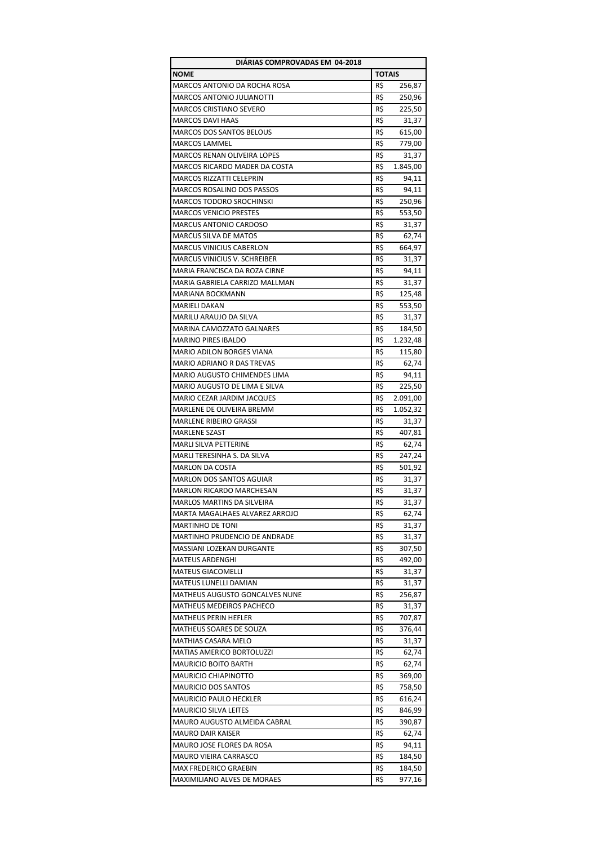| DIÁRIAS COMPROVADAS EM 04-2018      |               |          |
|-------------------------------------|---------------|----------|
| <b>NOME</b>                         | <b>TOTAIS</b> |          |
| <b>MARCOS ANTONIO DA ROCHA ROSA</b> | R\$           | 256,87   |
| <b>MARCOS ANTONIO JULIANOTTI</b>    | R\$           | 250,96   |
| <b>MARCOS CRISTIANO SEVERO</b>      | R\$           | 225,50   |
| <b>MARCOS DAVI HAAS</b>             | R\$           | 31,37    |
| <b>MARCOS DOS SANTOS BELOUS</b>     | R\$           | 615,00   |
| <b>MARCOS LAMMEL</b>                | R\$           | 779,00   |
| MARCOS RENAN OLIVEIRA LOPES         | R\$           | 31,37    |
| MARCOS RICARDO MADER DA COSTA       | R\$           | 1.845,00 |
| <b>MARCOS RIZZATTI CELEPRIN</b>     | R\$           |          |
|                                     |               | 94,11    |
| <b>MARCOS ROSALINO DOS PASSOS</b>   | R\$           | 94,11    |
| <b>MARCOS TODORO SROCHINSKI</b>     | R\$           | 250,96   |
| <b>MARCOS VENICIO PRESTES</b>       | R\$           | 553,50   |
| <b>MARCUS ANTONIO CARDOSO</b>       | R\$           | 31,37    |
| <b>MARCUS SILVA DE MATOS</b>        | R\$           | 62,74    |
| <b>MARCUS VINICIUS CABERLON</b>     | R\$           | 664,97   |
| <b>MARCUS VINICIUS V. SCHREIBER</b> | R\$           | 31,37    |
| MARIA FRANCISCA DA ROZA CIRNE       | R\$           | 94,11    |
| MARIA GABRIELA CARRIZO MALLMAN      | R\$           | 31,37    |
| MARIANA BOCKMANN                    | R\$           | 125,48   |
| <b>MARIELI DAKAN</b>                | R\$           | 553,50   |
| MARILU ARAUJO DA SILVA              | R\$           | 31,37    |
| <b>MARINA CAMOZZATO GALNARES</b>    | R\$           | 184,50   |
| <b>MARINO PIRES IBALDO</b>          | R\$           | 1.232,48 |
| <b>MARIO ADILON BORGES VIANA</b>    | R\$           | 115,80   |
| MARIO ADRIANO R DAS TREVAS          | R\$           | 62,74    |
| MARIO AUGUSTO CHIMENDES LIMA        | R\$           | 94,11    |
| MARIO AUGUSTO DE LIMA E SILVA       | R\$           | 225,50   |
|                                     |               |          |
| MARIO CEZAR JARDIM JACQUES          | R\$           | 2.091,00 |
| MARLENE DE OLIVEIRA BREMM           | R\$           | 1.052,32 |
| <b>MARLENE RIBEIRO GRASSI</b>       | R\$           | 31,37    |
| <b>MARLENE SZAST</b>                | R\$           | 407,81   |
| MARLI SILVA PETTERINE               | R\$           | 62,74    |
| MARLI TERESINHA S. DA SILVA         | R\$           | 247,24   |
| <b>MARLON DA COSTA</b>              | R\$           | 501,92   |
| <b>MARLON DOS SANTOS AGUIAR</b>     | R\$           | 31,37    |
| <b>MARLON RICARDO MARCHESAN</b>     | R\$           | 31,37    |
| MARLOS MARTINS DA SILVEIRA          | R\$           | 31,37    |
| MARTA MAGALHAES ALVAREZ ARROJO      | R\$           | 62,74    |
| <b>MARTINHO DE TONI</b>             | R\$           | 31,37    |
| MARTINHO PRUDENCIO DE ANDRADE       | R\$           | 31,37    |
| MASSIANI LOZEKAN DURGANTE           | R\$           | 307,50   |
| <b>MATEUS ARDENGHI</b>              | R\$           | 492,00   |
| <b>MATEUS GIACOMELLI</b>            | R\$           | 31,37    |
| MATEUS LUNELLI DAMIAN               | R\$           | 31,37    |
| MATHEUS AUGUSTO GONCALVES NUNE      | R\$           | 256,87   |
| MATHEUS MEDEIROS PACHECO            | R\$           | 31,37    |
| <b>MATHEUS PERIN HEFLER</b>         | R\$           | 707,87   |
| MATHEUS SOARES DE SOUZA             | R\$           | 376,44   |
| MATHIAS CASARA MELO                 | R\$           | 31,37    |
| MATIAS AMERICO BORTOLUZZI           | R\$           |          |
|                                     |               | 62,74    |
| <b>MAURICIO BOITO BARTH</b>         | R\$           | 62,74    |
| <b>MAURICIO CHIAPINOTTO</b>         | R\$           | 369,00   |
| <b>MAURICIO DOS SANTOS</b>          | R\$           | 758,50   |
| <b>MAURICIO PAULO HECKLER</b>       | R\$           | 616,24   |
| <b>MAURICIO SILVA LEITES</b>        | R\$           | 846,99   |
| MAURO AUGUSTO ALMEIDA CABRAL        | R\$           | 390,87   |
| <b>MAURO DAIR KAISER</b>            | R\$           | 62,74    |
| MAURO JOSE FLORES DA ROSA           | R\$           | 94,11    |
| MAURO VIEIRA CARRASCO               | R\$           | 184,50   |
| <b>MAX FREDERICO GRAEBIN</b>        | R\$           | 184,50   |
| MAXIMILIANO ALVES DE MORAES         | R\$           | 977,16   |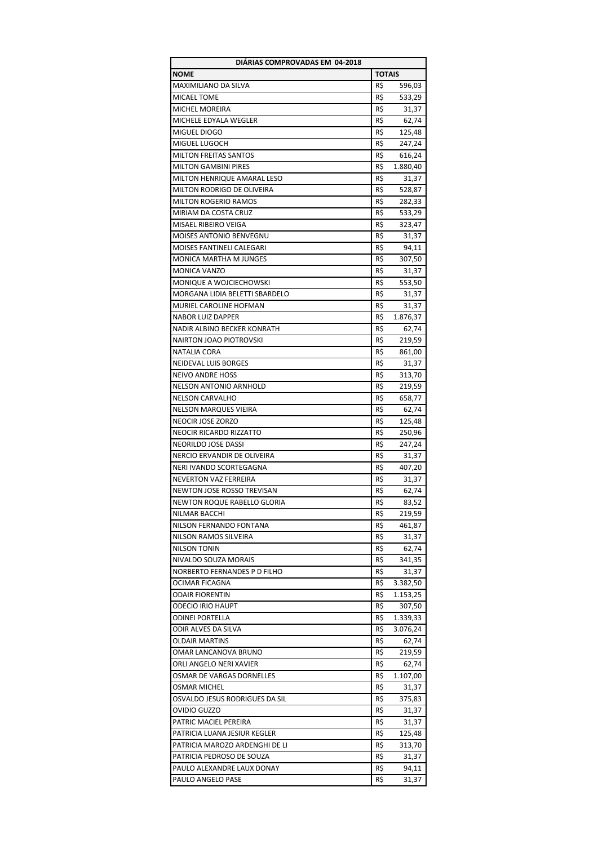| DIÁRIAS COMPROVADAS EM 04-2018    |               |                 |
|-----------------------------------|---------------|-----------------|
| <b>NOME</b>                       | <b>TOTAIS</b> |                 |
| MAXIMILIANO DA SILVA              | R\$           | 596,03          |
| MICAEL TOME                       | R\$           | 533,29          |
| MICHEL MOREIRA                    | R\$           | 31,37           |
| MICHELE EDYALA WEGLER             | R\$           | 62,74           |
| MIGUEL DIOGO                      | R\$           | 125,48          |
| MIGUEL LUGOCH                     | R\$           | 247,24          |
| <b>MILTON FREITAS SANTOS</b>      | R\$           | 616,24          |
| <b>MILTON GAMBINI PIRES</b>       | R\$           | 1.880,40        |
| MILTON HENRIQUE AMARAL LESO       | R\$           | 31,37           |
| <b>MILTON RODRIGO DE OLIVEIRA</b> | R\$           | 528,87          |
| <b>MILTON ROGERIO RAMOS</b>       | R\$           | 282,33          |
| MIRIAM DA COSTA CRUZ              | R\$           | 533,29          |
| MISAEL RIBEIRO VEIGA              | R\$           | 323,47          |
| <b>MOISES ANTONIO BENVEGNU</b>    | R\$           | 31,37           |
| MOISES FANTINELI CALEGARI         | R\$           | 94,11           |
| <b>MONICA MARTHA M JUNGES</b>     | R\$           | 307,50          |
| MONICA VANZO                      | R\$           |                 |
| MONIQUE A WOJCIECHOWSKI           | R\$           | 31,37<br>553,50 |
| MORGANA LIDIA BELETTI SBARDELO    | R\$           | 31,37           |
| MURIEL CAROLINE HOFMAN            |               |                 |
|                                   | R\$           | 31,37           |
| <b>NABOR LUIZ DAPPER</b>          | R\$           | 1.876,37        |
| NADIR ALBINO BECKER KONRATH       | R\$           | 62,74           |
| <b>NAIRTON JOAO PIOTROVSKI</b>    | R\$           | 219,59          |
| NATALIA CORA                      | R\$           | 861,00          |
| NEIDEVAL LUIS BORGES              | R\$           | 31,37           |
| <b>NEIVO ANDRE HOSS</b>           | R\$           | 313,70          |
| <b>NELSON ANTONIO ARNHOLD</b>     | R\$           | 219,59          |
| <b>NELSON CARVALHO</b>            | R\$           | 658,77          |
| <b>NELSON MARQUES VIEIRA</b>      | R\$           | 62,74           |
| NEOCIR JOSE ZORZO                 | R\$           | 125,48          |
| NEOCIR RICARDO RIZZATTO           | R\$           | 250,96          |
| NEORILDO JOSE DASSI               | R\$           | 247,24          |
| NERCIO ERVANDIR DE OLIVEIRA       | R\$           | 31,37           |
| NERI IVANDO SCORTEGAGNA           | R\$           | 407,20          |
| NEVERTON VAZ FERREIRA             | R\$           | 31,37           |
| NEWTON JOSE ROSSO TREVISAN        | R\$           | 62,74           |
| NEWTON ROQUE RABELLO GLORIA       | R\$           | 83,52           |
| NILMAR BACCHI                     | R\$           | 219,59          |
| NILSON FERNANDO FONTANA           | R\$           | 461,87          |
| NILSON RAMOS SILVEIRA             | R\$           | 31,37           |
| <b>NILSON TONIN</b>               | R\$           | 62,74           |
| NIVALDO SOUZA MORAIS              | R\$           | 341,35          |
| NORBERTO FERNANDES P D FILHO      | R\$           | 31,37           |
| OCIMAR FICAGNA                    | R\$           | 3.382,50        |
| <b>ODAIR FIORENTIN</b>            | R\$           | 1.153,25        |
| <b>ODECIO IRIO HAUPT</b>          | R\$           | 307,50          |
| <b>ODINEI PORTELLA</b>            | R\$           | 1.339,33        |
| ODIR ALVES DA SILVA               | R\$           | 3.076,24        |
| <b>OLDAIR MARTINS</b>             | R\$           | 62,74           |
| OMAR LANCANOVA BRUNO              | R\$           | 219,59          |
| ORLI ANGELO NERI XAVIER           | R\$           | 62,74           |
| OSMAR DE VARGAS DORNELLES         | R\$           | 1.107,00        |
| OSMAR MICHEL                      | R\$           | 31,37           |
| OSVALDO JESUS RODRIGUES DA SIL    | R\$           | 375,83          |
| OVIDIO GUZZO                      | R\$           | 31,37           |
| PATRIC MACIEL PEREIRA             | R\$           | 31,37           |
| PATRICIA LUANA JESIUR KEGLER      | R\$           | 125,48          |
| PATRICIA MAROZO ARDENGHI DE LI    | R\$           | 313,70          |
| PATRICIA PEDROSO DE SOUZA         | R\$           | 31,37           |
| PAULO ALEXANDRE LAUX DONAY        | R\$           |                 |
|                                   |               | 94,11           |
| PAULO ANGELO PASE                 | R\$           | 31,37           |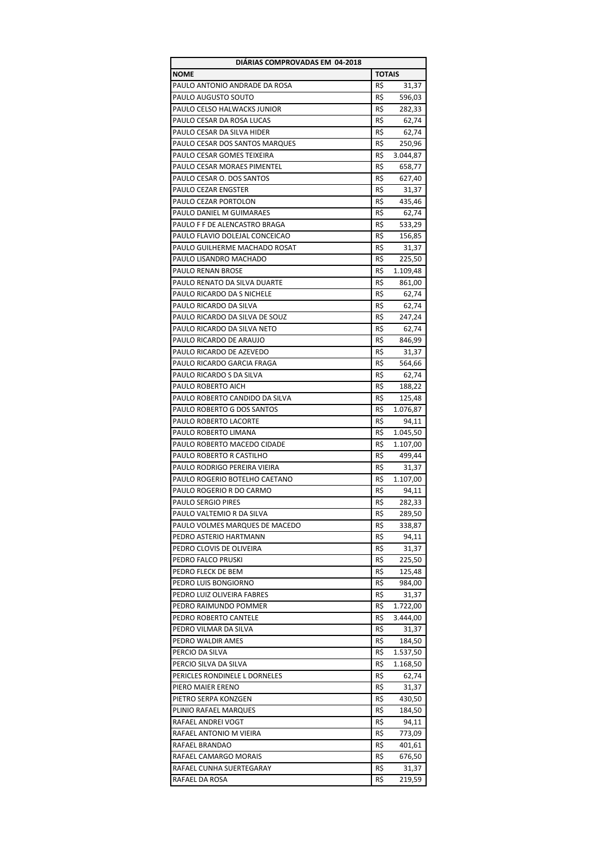| DIÁRIAS COMPROVADAS EM 04-2018                         |               |                   |
|--------------------------------------------------------|---------------|-------------------|
| <b>NOME</b>                                            | <b>TOTAIS</b> |                   |
| PAULO ANTONIO ANDRADE DA ROSA                          | R\$           | 31,37             |
| PAULO AUGUSTO SOUTO                                    | R\$           | 596,03            |
| PAULO CELSO HALWACKS JUNIOR                            | R\$           | 282,33            |
| PAULO CESAR DA ROSA LUCAS                              | R\$           | 62,74             |
| PAULO CESAR DA SILVA HIDER                             | R\$           | 62,74             |
| PAULO CESAR DOS SANTOS MARQUES                         | R\$           | 250,96            |
| PAULO CESAR GOMES TEIXEIRA                             | R\$           | 3.044,87          |
| PAULO CESAR MORAES PIMENTEL                            | R\$           | 658,77            |
| PAULO CESAR O. DOS SANTOS                              | R\$           | 627,40            |
| PAULO CEZAR ENGSTER                                    | R\$           | 31,37             |
| PAULO CEZAR PORTOLON                                   | R\$           | 435,46            |
| PAULO DANIEL M GUIMARAES                               | R\$           | 62,74             |
| PAULO F F DE ALENCASTRO BRAGA                          | R\$           | 533,29            |
| PAULO FLAVIO DOLEJAL CONCEICAO                         | R\$           | 156,85            |
| PAULO GUILHERME MACHADO ROSAT                          | R\$           | 31,37             |
| PAULO LISANDRO MACHADO                                 | R\$           | 225,50            |
| PAULO RENAN BROSE                                      | R\$           | 1.109,48          |
| PAULO RENATO DA SILVA DUARTE                           | R\$           | 861,00            |
| PAULO RICARDO DA S NICHELE                             | R\$           | 62,74             |
| PAULO RICARDO DA SILVA                                 | R\$           | 62,74             |
| PAULO RICARDO DA SILVA DE SOUZ                         | R\$           | 247,24            |
| PAULO RICARDO DA SILVA NETO                            | R\$           | 62,74             |
| PAULO RICARDO DE ARAUJO                                | R\$           | 846,99            |
| PAULO RICARDO DE AZEVEDO                               | R\$           | 31,37             |
| PAULO RICARDO GARCIA FRAGA                             | R\$           | 564,66            |
| PAULO RICARDO S DA SILVA                               | R\$           | 62,74             |
| PAULO ROBERTO AICH                                     | R\$           | 188,22            |
| PAULO ROBERTO CANDIDO DA SILVA                         | R\$           | 125,48            |
| PAULO ROBERTO G DOS SANTOS                             | R\$           | 1.076,87          |
| PAULO ROBERTO LACORTE                                  | R\$           | 94,11             |
| PAULO ROBERTO LIMANA                                   | R\$           | 1.045,50          |
| PAULO ROBERTO MACEDO CIDADE                            | R\$           | 1.107,00          |
| PAULO ROBERTO R CASTILHO                               | R\$           | 499,44            |
| PAULO RODRIGO PEREIRA VIEIRA                           | R\$           |                   |
| PAULO ROGERIO BOTELHO CAETANO                          | R\$           | 31,37<br>1.107,00 |
| PAULO ROGERIO R DO CARMO                               |               |                   |
|                                                        | R\$<br>R\$    | 94,11             |
| <b>PAULO SERGIO PIRES</b><br>PAULO VALTEMIO R DA SILVA |               | 282,33            |
|                                                        | R\$           | 289,50            |
| PAULO VOLMES MARQUES DE MACEDO                         | R\$           | 338,87            |
| PEDRO ASTERIO HARTMANN                                 | R\$           | 94,11             |
| PEDRO CLOVIS DE OLIVEIRA                               | R\$           | 31,37             |
| PEDRO FALCO PRUSKI                                     | R\$           | 225,50            |
| PEDRO FLECK DE BEM                                     | R\$           | 125,48            |
| PEDRO LUIS BONGIORNO                                   | R\$           | 984,00            |
| PEDRO LUIZ OLIVEIRA FABRES                             | R\$           | 31,37             |
| PEDRO RAIMUNDO POMMER                                  | R\$           | 1.722,00          |
| PEDRO ROBERTO CANTELE                                  | R\$           | 3.444,00          |
| PEDRO VILMAR DA SILVA                                  | R\$           | 31,37             |
| PEDRO WALDIR AMES                                      | R\$           | 184,50            |
| PERCIO DA SILVA                                        | R\$           | 1.537,50          |
| PERCIO SILVA DA SILVA                                  | R\$           | 1.168,50          |
| PERICLES RONDINELE L DORNELES                          | R\$           | 62,74             |
| PIERO MAIER ERENO                                      | R\$           | 31,37             |
| PIETRO SERPA KONZGEN                                   | R\$           | 430,50            |
| PLINIO RAFAEL MARQUES                                  | R\$           | 184,50            |
| RAFAEL ANDREI VOGT                                     | R\$           | 94,11             |
| RAFAEL ANTONIO M VIEIRA                                | R\$           | 773,09            |
| RAFAEL BRANDAO                                         | R\$           | 401,61            |
| RAFAEL CAMARGO MORAIS                                  | R\$           | 676,50            |
| RAFAEL CUNHA SUERTEGARAY                               | R\$           | 31,37             |
| RAFAEL DA ROSA                                         | R\$           | 219,59            |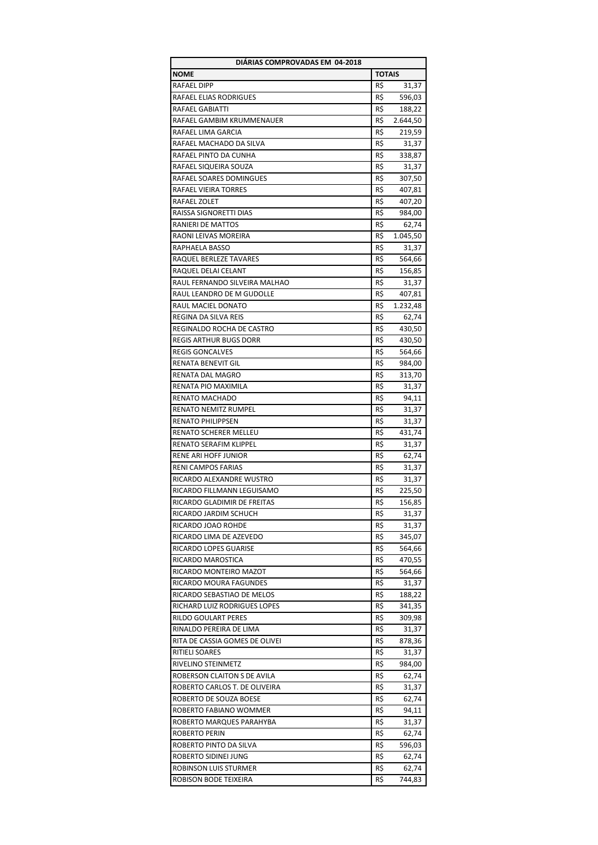| DIARIAS COMPROVADAS EM 04-2018 |               |          |
|--------------------------------|---------------|----------|
| <b>NOME</b>                    | <b>TOTAIS</b> |          |
| RAFAEL DIPP                    | R\$           | 31,37    |
| RAFAEL ELIAS RODRIGUES         | R\$           | 596,03   |
| RAFAEL GABIATTI                | R\$           | 188,22   |
| RAFAEL GAMBIM KRUMMENAUER      | R\$           | 2.644,50 |
| RAFAEL LIMA GARCIA             | R\$           | 219,59   |
| RAFAEL MACHADO DA SILVA        | R\$           | 31,37    |
| RAFAEL PINTO DA CUNHA          | R\$           | 338,87   |
| RAFAEL SIQUEIRA SOUZA          | R\$           | 31,37    |
| RAFAEL SOARES DOMINGUES        | R\$           | 307,50   |
| RAFAEL VIEIRA TORRES           | R\$           | 407,81   |
| RAFAEL ZOLET                   | R\$           | 407,20   |
| RAISSA SIGNORETTI DIAS         | R\$           | 984,00   |
| RANIERI DE MATTOS              | R\$           | 62,74    |
| RAONI LEIVAS MOREIRA           | R\$           | 1.045,50 |
| RAPHAELA BASSO                 | R\$           | 31,37    |
| RAQUEL BERLEZE TAVARES         | R\$           | 564,66   |
| RAQUEL DELAI CELANT            | R\$           |          |
| RAUL FERNANDO SILVEIRA MALHAO  | R\$           | 156,85   |
|                                |               | 31,37    |
| RAUL LEANDRO DE M GUDOLLE      | R\$           | 407,81   |
| RAUL MACIEL DONATO             | R\$           | 1.232,48 |
| REGINA DA SILVA REIS           | R\$           | 62,74    |
| REGINALDO ROCHA DE CASTRO      | R\$           | 430,50   |
| <b>REGIS ARTHUR BUGS DORR</b>  | R\$           | 430,50   |
| <b>REGIS GONCALVES</b>         | R\$           | 564,66   |
| RENATA BENEVIT GIL             | R\$           | 984,00   |
| RENATA DAL MAGRO               | R\$           | 313,70   |
| RENATA PIO MAXIMILA            | R\$           | 31,37    |
| RENATO MACHADO                 | R\$           | 94,11    |
| RENATO NEMITZ RUMPEL           | R\$           | 31,37    |
| RENATO PHILIPPSEN              | R\$           | 31,37    |
| RENATO SCHERER MELLEU          | R\$           | 431,74   |
| RENATO SERAFIM KLIPPEL         | R\$           | 31,37    |
| <b>RENE ARI HOFF JUNIOR</b>    | R\$           | 62,74    |
| RENI CAMPOS FARIAS             | R\$           | 31,37    |
| RICARDO ALEXANDRE WUSTRO       | R\$           | 31,37    |
| RICARDO FILLMANN LEGUISAMO     | R\$           | 225,50   |
| RICARDO GLADIMIR DE FREITAS    | R\$           | 156,85   |
| RICARDO JARDIM SCHUCH          | R\$           | 31,37    |
| RICARDO JOAO ROHDE             | R\$           | 31,37    |
| RICARDO LIMA DE AZEVEDO        | R\$           | 345,07   |
| RICARDO LOPES GUARISE          | R\$           | 564,66   |
| RICARDO MAROSTICA              | R\$           | 470,55   |
| RICARDO MONTEIRO MAZOT         | R\$           | 564,66   |
| RICARDO MOURA FAGUNDES         | R\$           | 31,37    |
| RICARDO SEBASTIAO DE MELOS     | R\$           | 188,22   |
| RICHARD LUIZ RODRIGUES LOPES   | R\$           | 341,35   |
| RILDO GOULART PERES            | R\$           | 309,98   |
| RINALDO PEREIRA DE LIMA        | R\$           | 31,37    |
| RITA DE CASSIA GOMES DE OLIVEI | R\$           | 878,36   |
| RITIELI SOARES                 | R\$           | 31,37    |
| RIVELINO STEINMETZ             | R\$           | 984,00   |
| ROBERSON CLAITON S DE AVILA    | R\$           | 62,74    |
| ROBERTO CARLOS T. DE OLIVEIRA  | R\$           | 31,37    |
| ROBERTO DE SOUZA BOESE         | R\$           | 62,74    |
| ROBERTO FABIANO WOMMER         | R\$           | 94,11    |
| ROBERTO MARQUES PARAHYBA       | R\$           | 31,37    |
| ROBERTO PERIN                  | R\$           | 62,74    |
| ROBERTO PINTO DA SILVA         | R\$           | 596,03   |
| ROBERTO SIDINEI JUNG           | R\$           | 62,74    |
| ROBINSON LUIS STURMER          | R\$           | 62,74    |
| ROBISON BODE TEIXEIRA          | R\$           | 744,83   |
|                                |               |          |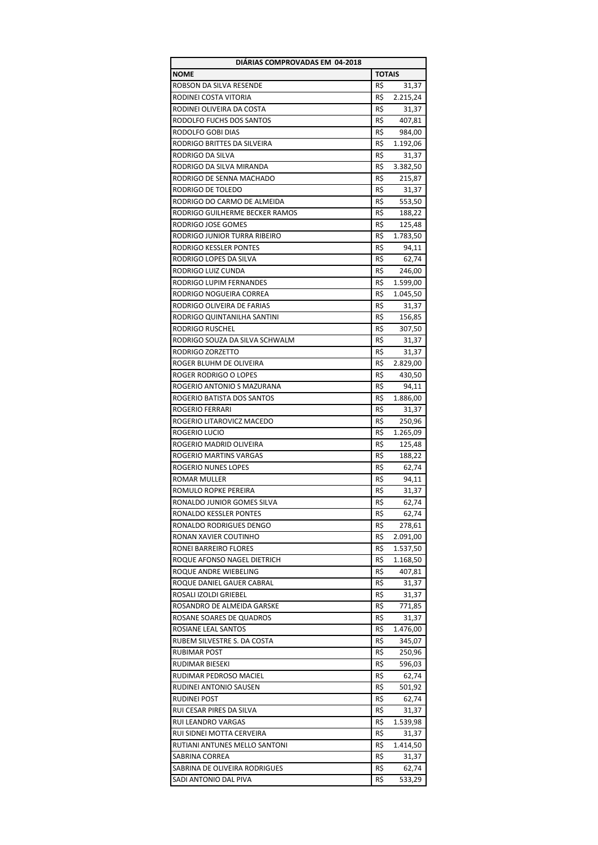| DIÁRIAS COMPROVADAS EM 04-2018 |               |          |
|--------------------------------|---------------|----------|
| <b>NOME</b>                    | <b>TOTAIS</b> |          |
| ROBSON DA SILVA RESENDE        | R\$           | 31,37    |
| RODINEI COSTA VITORIA          | R\$           | 2.215,24 |
| RODINEI OLIVEIRA DA COSTA      | R\$           | 31,37    |
| RODOLFO FUCHS DOS SANTOS       | R\$           | 407,81   |
| RODOLFO GOBI DIAS              | R\$           | 984,00   |
| RODRIGO BRITTES DA SILVEIRA    | R\$           | 1.192,06 |
| <b>RODRIGO DA SILVA</b>        | R\$           | 31,37    |
| RODRIGO DA SILVA MIRANDA       | R\$           | 3.382,50 |
| RODRIGO DE SENNA MACHADO       | R\$           | 215,87   |
|                                |               |          |
| RODRIGO DE TOLEDO              | R\$           | 31,37    |
| RODRIGO DO CARMO DE ALMEIDA    | R\$           | 553,50   |
| RODRIGO GUILHERME BECKER RAMOS | R\$           | 188,22   |
| RODRIGO JOSE GOMES             | R\$           | 125,48   |
| RODRIGO JUNIOR TURRA RIBEIRO   | R\$           | 1.783,50 |
| RODRIGO KESSLER PONTES         | R\$           | 94,11    |
| RODRIGO LOPES DA SILVA         | R\$           | 62,74    |
| RODRIGO LUIZ CUNDA             | R\$           | 246,00   |
| RODRIGO LUPIM FERNANDES        | R\$           | 1.599,00 |
| RODRIGO NOGUEIRA CORREA        | R\$           | 1.045,50 |
| RODRIGO OLIVEIRA DE FARIAS     | R\$           | 31,37    |
| RODRIGO QUINTANILHA SANTINI    | R\$           | 156,85   |
| <b>RODRIGO RUSCHEL</b>         | R\$           | 307,50   |
| RODRIGO SOUZA DA SILVA SCHWALM | R\$           | 31,37    |
| RODRIGO ZORZETTO               | R\$           | 31,37    |
| ROGER BLUHM DE OLIVEIRA        | R\$           | 2.829,00 |
| ROGER RODRIGO O LOPES          | R\$           | 430,50   |
| ROGERIO ANTONIO S MAZURANA     | R\$           |          |
|                                |               | 94,11    |
| ROGERIO BATISTA DOS SANTOS     | R\$           | 1.886,00 |
| ROGERIO FERRARI                | R\$           | 31,37    |
| ROGERIO LITAROVICZ MACEDO      | R\$           | 250,96   |
| ROGERIO LUCIO                  | R\$           | 1.265,09 |
| ROGERIO MADRID OLIVEIRA        | R\$           | 125,48   |
| ROGERIO MARTINS VARGAS         | R\$           | 188,22   |
| <b>ROGERIO NUNES LOPES</b>     | R\$           | 62,74    |
| ROMAR MULLER                   | R\$           | 94,11    |
| ROMULO ROPKE PEREIRA           | R\$           | 31,37    |
| RONALDO JUNIOR GOMES SILVA     | R\$           | 62,74    |
| RONALDO KESSLER PONTES         | R\$           | 62,74    |
| RONALDO RODRIGUES DENGO        | R\$           | 278,61   |
| RONAN XAVIER COUTINHO          | R\$           | 2.091,00 |
| RONEI BARREIRO FLORES          | R\$           | 1.537,50 |
| ROQUE AFONSO NAGEL DIETRICH    | R\$           | 1.168,50 |
| ROQUE ANDRE WIEBELING          | R\$           | 407,81   |
| ROQUE DANIEL GAUER CABRAL      | R\$           | 31,37    |
| ROSALI IZOLDI GRIEBEL          | R\$           | 31,37    |
| ROSANDRO DE ALMEIDA GARSKE     | R\$           | 771,85   |
| ROSANE SOARES DE QUADROS       | R\$           | 31,37    |
| ROSIANE LEAL SANTOS            | R\$           | 1.476,00 |
| RUBEM SILVESTRE S. DA COSTA    | R\$           | 345,07   |
| <b>RUBIMAR POST</b>            | R\$           | 250,96   |
|                                | R\$           |          |
| RUDIMAR BIESEKI                |               | 596,03   |
| RUDIMAR PEDROSO MACIEL         | R\$           | 62,74    |
| RUDINEI ANTONIO SAUSEN         | R\$           | 501,92   |
| RUDINEI POST                   | R\$           | 62,74    |
| RUI CESAR PIRES DA SILVA       | R\$           | 31,37    |
| RUI LEANDRO VARGAS             | R\$           | 1.539,98 |
| RUI SIDNEI MOTTA CERVEIRA      | R\$           | 31,37    |
| RUTIANI ANTUNES MELLO SANTONI  | R\$           | 1.414,50 |
| SABRINA CORREA                 | R\$           | 31,37    |
| SABRINA DE OLIVEIRA RODRIGUES  | R\$           | 62,74    |
| SADI ANTONIO DAL PIVA          | R\$           | 533,29   |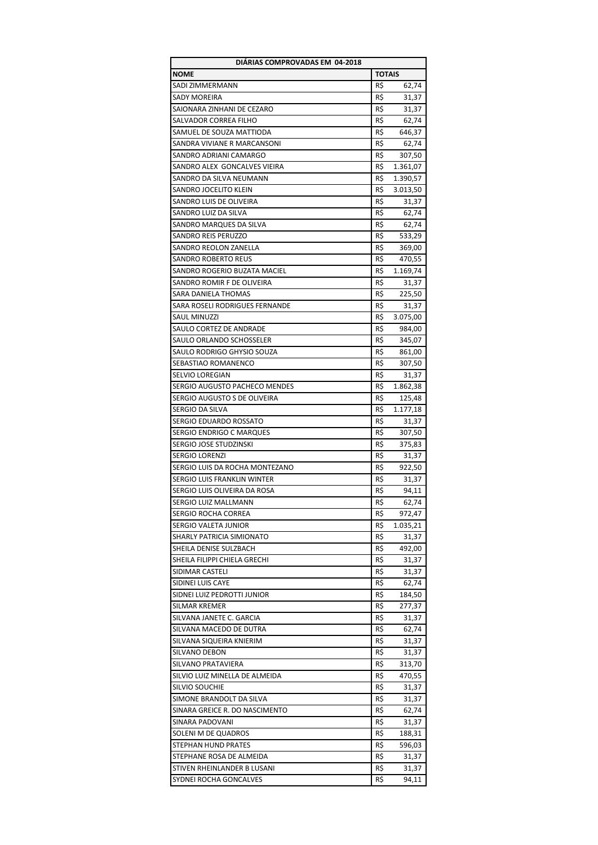| DIÁRIAS COMPROVADAS EM 04-2018                         |               |                    |
|--------------------------------------------------------|---------------|--------------------|
| <b>NOME</b>                                            | <b>TOTAIS</b> |                    |
| <b>SADI ZIMMERMANN</b>                                 | R\$           | 62,74              |
| <b>SADY MOREIRA</b>                                    | R\$           | 31,37              |
| SAIONARA ZINHANI DE CEZARO                             | R\$           | 31,37              |
| SALVADOR CORREA FILHO                                  | R\$           | 62,74              |
| SAMUEL DE SOUZA MATTIODA                               | R\$           | 646,37             |
| SANDRA VIVIANE R MARCANSONI                            | R\$           | 62,74              |
| SANDRO ADRIANI CAMARGO                                 | R\$           | 307,50             |
| SANDRO ALEX GONCALVES VIEIRA                           | R\$           | 1.361,07           |
| SANDRO DA SILVA NEUMANN                                | R\$           | 1.390,57           |
| SANDRO JOCELITO KLEIN                                  | R\$           | 3.013,50           |
| SANDRO LUIS DE OLIVEIRA                                | R\$           | 31,37              |
| SANDRO LUIZ DA SILVA                                   | R\$           | 62,74              |
| SANDRO MARQUES DA SILVA                                | R\$           | 62,74              |
| SANDRO REIS PERUZZO                                    | R\$           | 533,29             |
| SANDRO REOLON ZANELLA                                  | R\$           | 369,00             |
| <b>SANDRO ROBERTO REUS</b>                             | R\$           | 470,55             |
| SANDRO ROGERIO BUZATA MACIEL                           | R\$           | 1.169,74           |
| SANDRO ROMIR F DE OLIVEIRA                             | R\$           | 31,37              |
| SARA DANIELA THOMAS                                    | R\$           | 225,50             |
| SARA ROSELI RODRIGUES FERNANDE                         | R\$           | 31,37              |
| <b>SAUL MINUZZI</b>                                    | R\$           | 3.075,00           |
| SAULO CORTEZ DE ANDRADE                                | R\$           | 984,00             |
| SAULO ORLANDO SCHOSSELER                               | R\$           | 345,07             |
| SAULO RODRIGO GHYSIO SOUZA                             | R\$           | 861,00             |
| SEBASTIAO ROMANENCO                                    | R\$           | 307,50             |
| SELVIO LOREGIAN                                        | R\$           | 31,37              |
| SERGIO AUGUSTO PACHECO MENDES                          | R\$           | 1.862,38           |
| SERGIO AUGUSTO S DE OLIVEIRA                           | R\$           | 125,48             |
| SERGIO DA SILVA                                        | R\$           | 1.177,18           |
| SERGIO EDUARDO ROSSATO                                 | R\$           | 31,37              |
| SERGIO ENDRIGO C MARQUES                               | R\$           | 307,50             |
| SERGIO JOSE STUDZINSKI                                 | R\$           | 375,83             |
| SERGIO LORENZI                                         | R\$           | 31,37              |
| SERGIO LUIS DA ROCHA MONTEZANO                         | R\$           |                    |
| SERGIO LUIS FRANKLIN WINTER                            | R\$           | 922,50             |
| SERGIO LUIS OLIVEIRA DA ROSA                           | R\$           | 31,37<br>94,11     |
|                                                        | R\$           | 62.74              |
| SERGIO LUIZ MALLMANN<br>SERGIO ROCHA CORREA            | R\$           |                    |
| SERGIO VALETA JUNIOR                                   | R\$           | 972,47<br>1.035,21 |
|                                                        | R\$           |                    |
| SHARLY PATRICIA SIMIONATO                              |               | 31,37              |
| SHEILA DENISE SULZBACH<br>SHEILA FILIPPI CHIELA GRECHI | R\$           | 492,00             |
|                                                        | R\$           | 31,37              |
| SIDIMAR CASTELI                                        | R\$           | 31,37              |
| SIDINEI LUIS CAYE                                      | R\$           | 62,74              |
| SIDNEI LUIZ PEDROTTI JUNIOR                            | R\$           | 184,50             |
| SILMAR KREMER                                          | R\$           | 277,37             |
| SILVANA JANETE C. GARCIA                               | R\$           | 31,37              |
| SILVANA MACEDO DE DUTRA                                | R\$           | 62,74              |
| SILVANA SIQUEIRA KNIERIM                               | R\$           | 31,37              |
| SILVANO DEBON                                          | R\$           | 31,37              |
| SILVANO PRATAVIERA                                     | R\$           | 313,70             |
| SILVIO LUIZ MINELLA DE ALMEIDA                         | R\$           | 470,55             |
| <b>SILVIO SOUCHIE</b>                                  | R\$           | 31,37              |
| SIMONE BRANDOLT DA SILVA                               | R\$           | 31,37              |
| SINARA GREICE R. DO NASCIMENTO                         | R\$           | 62,74              |
| SINARA PADOVANI                                        | R\$           | 31,37              |
| SOLENI M DE QUADROS                                    | R\$           | 188,31             |
| STEPHAN HUND PRATES                                    | R\$           | 596,03             |
| STEPHANE ROSA DE ALMEIDA                               | R\$           | 31,37              |
| STIVEN RHEINLANDER B LUSANI                            | R\$           | 31,37              |
| SYDNEI ROCHA GONCALVES                                 | R\$           | 94,11              |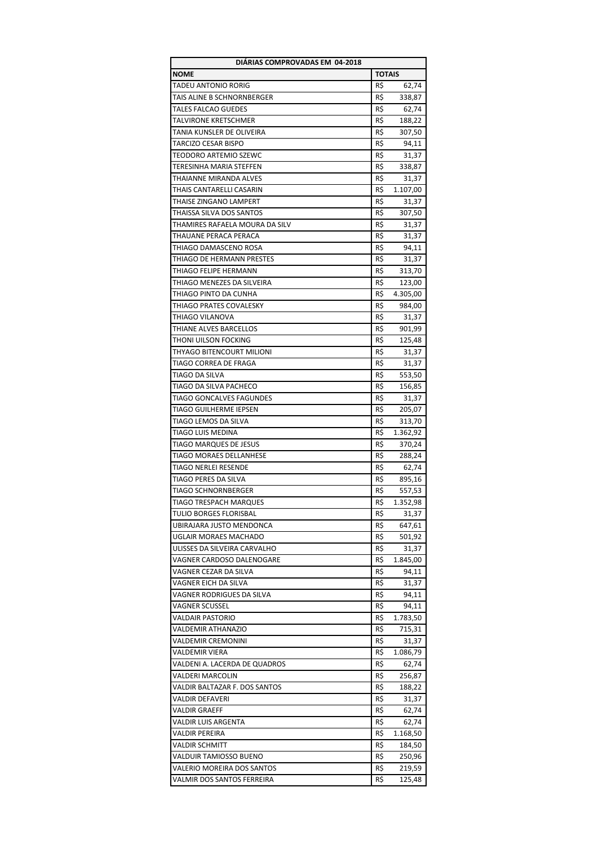| DIÁRIAS COMPROVADAS EM 04-2018 |               |                 |
|--------------------------------|---------------|-----------------|
| NOME                           | <b>TOTAIS</b> |                 |
| TADEU ANTONIO RORIG            | R\$           | 62,74           |
| TAIS ALINE B SCHNORNBERGER     | R\$           | 338,87          |
| <b>TALES FALCAO GUEDES</b>     | R\$           | 62,74           |
| TALVIRONE KRETSCHMER           | R\$           | 188,22          |
| TANIA KUNSLER DE OLIVEIRA      | R\$           | 307,50          |
| TARCIZO CESAR BISPO            | R\$           | 94,11           |
| TEODORO ARTEMIO SZEWC          | R\$           | 31,37           |
| TERESINHA MARIA STEFFEN        | R\$           | 338,87          |
| THAIANNE MIRANDA ALVES         | R\$           | 31,37           |
| THAIS CANTARELLI CASARIN       | R\$           | 1.107,00        |
| THAISE ZINGANO LAMPERT         | R\$           | 31,37           |
| THAISSA SILVA DOS SANTOS       | R\$           | 307,50          |
| THAMIRES RAFAELA MOURA DA SILV | R\$           | 31,37           |
| THAUANE PERACA PERACA          | R\$           | 31,37           |
| THIAGO DAMASCENO ROSA          | R\$           | 94,11           |
| THIAGO DE HERMANN PRESTES      | R\$           | 31,37           |
| THIAGO FELIPE HERMANN          | R\$           | 313,70          |
| THIAGO MENEZES DA SILVEIRA     | R\$           | 123,00          |
| THIAGO PINTO DA CUNHA          | R\$           | 4.305,00        |
| THIAGO PRATES COVALESKY        | R\$           | 984,00          |
| THIAGO VILANOVA                | R\$           | 31,37           |
| THIANE ALVES BARCELLOS         | R\$           | 901,99          |
| THONI UILSON FOCKING           | R\$           | 125,48          |
| THYAGO BITENCOURT MILIONI      | R\$           | 31,37           |
| TIAGO CORREA DE FRAGA          | R\$           | 31,37           |
| TIAGO DA SILVA                 | R\$           | 553,50          |
| TIAGO DA SILVA PACHECO         | R\$           | 156,85          |
| TIAGO GONCALVES FAGUNDES       | R\$           | 31,37           |
| TIAGO GUILHERME IEPSEN         | R\$           | 205,07          |
| TIAGO LEMOS DA SILVA           | R\$           | 313,70          |
| TIAGO LUIS MEDINA              | R\$           | 1.362,92        |
| TIAGO MARQUES DE JESUS         | R\$           | 370,24          |
| TIAGO MORAES DELLANHESE        | R\$           | 288,24          |
| TIAGO NERLEI RESENDE           | R\$           | 62,74           |
| TIAGO PERES DA SILVA           | R\$           | 895,16          |
| TIAGO SCHNORNBERGER            | R\$           | 557,53          |
| <b>TIAGO TRESPACH MARQUES</b>  | R\$           | 1.352,98        |
| TULIO BORGES FLORISBAL         | R\$           | 31,37           |
| UBIRAJARA JUSTO MENDONCA       | R\$           | 647,61          |
| UGLAIR MORAES MACHADO          | R\$           | 501,92          |
| ULISSES DA SILVEIRA CARVALHO   | R\$           | 31,37           |
| VAGNER CARDOSO DALENOGARE      | R\$           | 1.845,00        |
| VAGNER CEZAR DA SILVA          | R\$           | 94,11           |
| VAGNER EICH DA SILVA           | R\$           | 31,37           |
| VAGNER RODRIGUES DA SILVA      | R\$           | 94,11           |
| VAGNER SCUSSEL                 | R\$           | 94,11           |
| VALDAIR PASTORIO               | R\$           | 1.783,50        |
| VALDEMIR ATHANAZIO             | R\$           | 715,31          |
| VALDEMIR CREMONINI             | R\$           | 31,37           |
| VALDEMIR VIERA                 | R\$           | 1.086,79        |
| VALDENI A. LACERDA DE QUADROS  | R\$           |                 |
| VALDERI MARCOLIN               | R\$           | 62,74<br>256,87 |
| VALDIR BALTAZAR F. DOS SANTOS  | R\$           |                 |
|                                |               | 188,22          |
| VALDIR DEFAVERI                | R\$           | 31,37           |
| VALDIR GRAEFF                  | R\$           | 62,74           |
| VALDIR LUIS ARGENTA            | R\$           | 62,74           |
| VALDIR PEREIRA                 | R\$           | 1.168,50        |
| VALDIR SCHMITT                 | R\$           | 184,50          |
| VALDUIR TAMIOSSO BUENO         | R\$           | 250,96          |
| VALERIO MOREIRA DOS SANTOS     | R\$           | 219,59          |
| VALMIR DOS SANTOS FERREIRA     | R\$           | 125,48          |